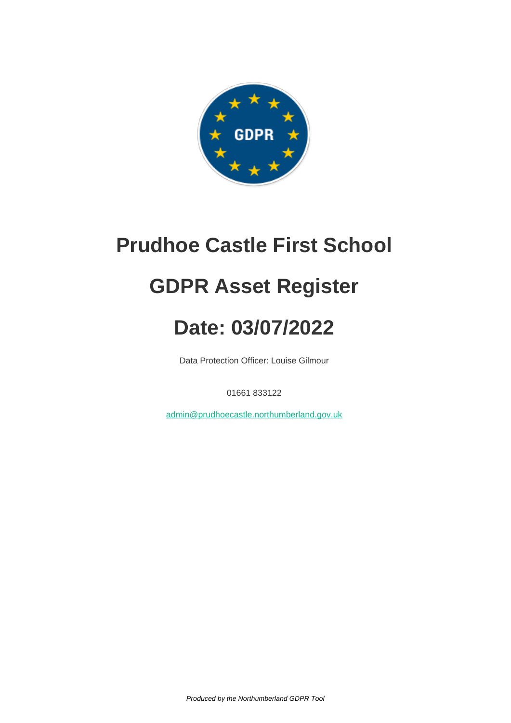

### **Prudhoe Castle First School**

## **GDPR Asset Register**

# **Date: 03/07/2022**

Data Protection Officer: Louise Gilmour

01661 833122

[admin@prudhoecastle.northumberland.gov.uk](mailto:admin@prudhoecastle.northumberland.gov.uk)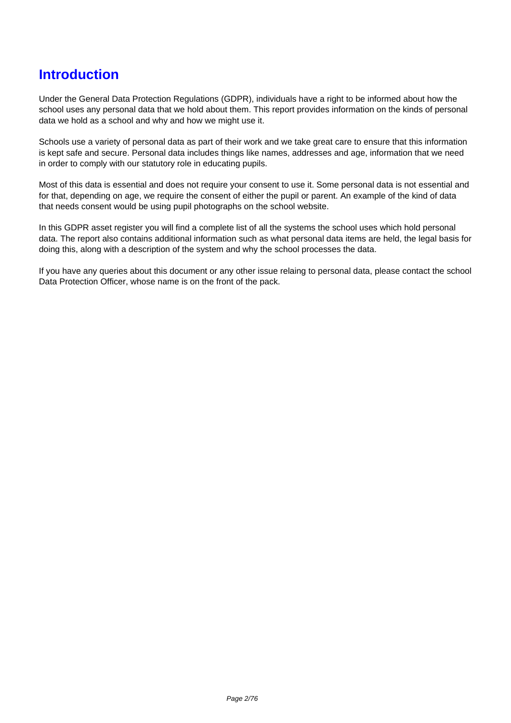### **Introduction**

Under the General Data Protection Regulations (GDPR), individuals have a right to be informed about how the school uses any personal data that we hold about them. This report provides information on the kinds of personal data we hold as a school and why and how we might use it.

Schools use a variety of personal data as part of their work and we take great care to ensure that this information is kept safe and secure. Personal data includes things like names, addresses and age, information that we need in order to comply with our statutory role in educating pupils.

Most of this data is essential and does not require your consent to use it. Some personal data is not essential and for that, depending on age, we require the consent of either the pupil or parent. An example of the kind of data that needs consent would be using pupil photographs on the school website.

In this GDPR asset register you will find a complete list of all the systems the school uses which hold personal data. The report also contains additional information such as what personal data items are held, the legal basis for doing this, along with a description of the system and why the school processes the data.

If you have any queries about this document or any other issue relaing to personal data, please contact the school Data Protection Officer, whose name is on the front of the pack.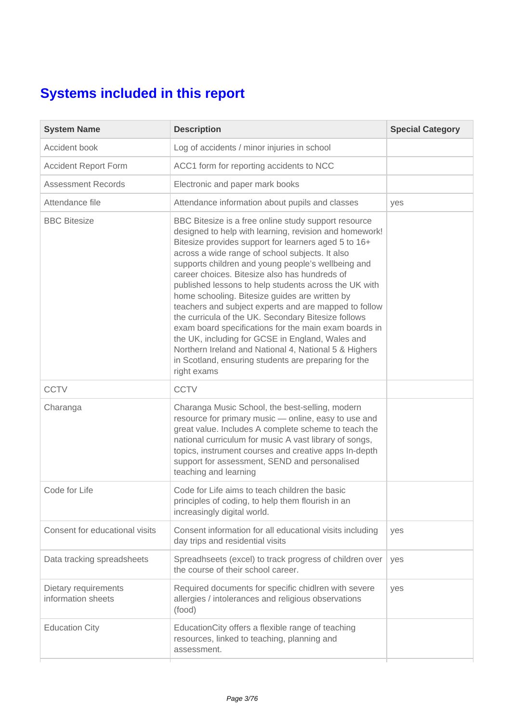### **Systems included in this report**

| <b>System Name</b>                         | <b>Description</b>                                                                                                                                                                                                                                                                                                                                                                                                                                                                                                                                                                                                                                                                                                                                                                                       | <b>Special Category</b> |
|--------------------------------------------|----------------------------------------------------------------------------------------------------------------------------------------------------------------------------------------------------------------------------------------------------------------------------------------------------------------------------------------------------------------------------------------------------------------------------------------------------------------------------------------------------------------------------------------------------------------------------------------------------------------------------------------------------------------------------------------------------------------------------------------------------------------------------------------------------------|-------------------------|
| Accident book                              | Log of accidents / minor injuries in school                                                                                                                                                                                                                                                                                                                                                                                                                                                                                                                                                                                                                                                                                                                                                              |                         |
| <b>Accident Report Form</b>                | ACC1 form for reporting accidents to NCC                                                                                                                                                                                                                                                                                                                                                                                                                                                                                                                                                                                                                                                                                                                                                                 |                         |
| <b>Assessment Records</b>                  | Electronic and paper mark books                                                                                                                                                                                                                                                                                                                                                                                                                                                                                                                                                                                                                                                                                                                                                                          |                         |
| Attendance file                            | Attendance information about pupils and classes                                                                                                                                                                                                                                                                                                                                                                                                                                                                                                                                                                                                                                                                                                                                                          | yes                     |
| <b>BBC Bitesize</b>                        | BBC Bitesize is a free online study support resource<br>designed to help with learning, revision and homework!<br>Bitesize provides support for learners aged 5 to 16+<br>across a wide range of school subjects. It also<br>supports children and young people's wellbeing and<br>career choices. Bitesize also has hundreds of<br>published lessons to help students across the UK with<br>home schooling. Bitesize guides are written by<br>teachers and subject experts and are mapped to follow<br>the curricula of the UK. Secondary Bitesize follows<br>exam board specifications for the main exam boards in<br>the UK, including for GCSE in England, Wales and<br>Northern Ireland and National 4, National 5 & Highers<br>in Scotland, ensuring students are preparing for the<br>right exams |                         |
| <b>CCTV</b>                                | <b>CCTV</b>                                                                                                                                                                                                                                                                                                                                                                                                                                                                                                                                                                                                                                                                                                                                                                                              |                         |
| Charanga                                   | Charanga Music School, the best-selling, modern<br>resource for primary music - online, easy to use and<br>great value. Includes A complete scheme to teach the<br>national curriculum for music A vast library of songs,<br>topics, instrument courses and creative apps In-depth<br>support for assessment, SEND and personalised<br>teaching and learning                                                                                                                                                                                                                                                                                                                                                                                                                                             |                         |
| Code for Life                              | Code for Life aims to teach children the basic<br>principles of coding, to help them flourish in an<br>increasingly digital world.                                                                                                                                                                                                                                                                                                                                                                                                                                                                                                                                                                                                                                                                       |                         |
| Consent for educational visits             | Consent information for all educational visits including<br>day trips and residential visits                                                                                                                                                                                                                                                                                                                                                                                                                                                                                                                                                                                                                                                                                                             | yes                     |
| Data tracking spreadsheets                 | Spreadhseets (excel) to track progress of children over<br>the course of their school career.                                                                                                                                                                                                                                                                                                                                                                                                                                                                                                                                                                                                                                                                                                            | yes                     |
| Dietary requirements<br>information sheets | Required documents for specific chidlren with severe<br>allergies / intolerances and religious observations<br>(food)                                                                                                                                                                                                                                                                                                                                                                                                                                                                                                                                                                                                                                                                                    | yes                     |
| <b>Education City</b>                      | EducationCity offers a flexible range of teaching<br>resources, linked to teaching, planning and<br>assessment.                                                                                                                                                                                                                                                                                                                                                                                                                                                                                                                                                                                                                                                                                          |                         |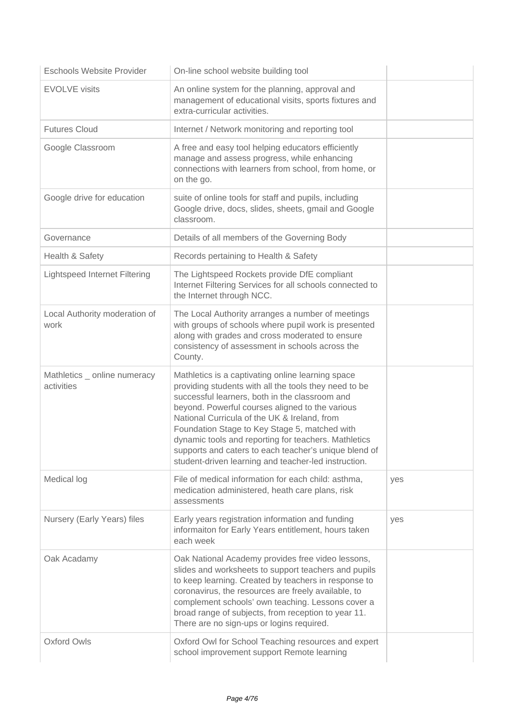| Eschools Website Provider                  | On-line school website building tool                                                                                                                                                                                                                                                                                                                                                                                                                                                      |     |
|--------------------------------------------|-------------------------------------------------------------------------------------------------------------------------------------------------------------------------------------------------------------------------------------------------------------------------------------------------------------------------------------------------------------------------------------------------------------------------------------------------------------------------------------------|-----|
| <b>EVOLVE</b> visits                       | An online system for the planning, approval and<br>management of educational visits, sports fixtures and<br>extra-curricular activities.                                                                                                                                                                                                                                                                                                                                                  |     |
| <b>Futures Cloud</b>                       | Internet / Network monitoring and reporting tool                                                                                                                                                                                                                                                                                                                                                                                                                                          |     |
| Google Classroom                           | A free and easy tool helping educators efficiently<br>manage and assess progress, while enhancing<br>connections with learners from school, from home, or<br>on the go.                                                                                                                                                                                                                                                                                                                   |     |
| Google drive for education                 | suite of online tools for staff and pupils, including<br>Google drive, docs, slides, sheets, gmail and Google<br>classroom.                                                                                                                                                                                                                                                                                                                                                               |     |
| Governance                                 | Details of all members of the Governing Body                                                                                                                                                                                                                                                                                                                                                                                                                                              |     |
| Health & Safety                            | Records pertaining to Health & Safety                                                                                                                                                                                                                                                                                                                                                                                                                                                     |     |
| Lightspeed Internet Filtering              | The Lightspeed Rockets provide DfE compliant<br>Internet Filtering Services for all schools connected to<br>the Internet through NCC.                                                                                                                                                                                                                                                                                                                                                     |     |
| Local Authority moderation of<br>work      | The Local Authority arranges a number of meetings<br>with groups of schools where pupil work is presented<br>along with grades and cross moderated to ensure<br>consistency of assessment in schools across the<br>County.                                                                                                                                                                                                                                                                |     |
| Mathletics _ online numeracy<br>activities | Mathletics is a captivating online learning space<br>providing students with all the tools they need to be<br>successful learners, both in the classroom and<br>beyond. Powerful courses aligned to the various<br>National Curricula of the UK & Ireland, from<br>Foundation Stage to Key Stage 5, matched with<br>dynamic tools and reporting for teachers. Mathletics<br>supports and caters to each teacher's unique blend of<br>student-driven learning and teacher-led instruction. |     |
| Medical log                                | File of medical information for each child: asthma,<br>medication administered, heath care plans, risk<br>assessments                                                                                                                                                                                                                                                                                                                                                                     | yes |
| Nursery (Early Years) files                | Early years registration information and funding<br>informaiton for Early Years entitlement, hours taken<br>each week                                                                                                                                                                                                                                                                                                                                                                     | yes |
| Oak Acadamy                                | Oak National Academy provides free video lessons,<br>slides and worksheets to support teachers and pupils<br>to keep learning. Created by teachers in response to<br>coronavirus, the resources are freely available, to<br>complement schools' own teaching. Lessons cover a<br>broad range of subjects, from reception to year 11.<br>There are no sign-ups or logins required.                                                                                                         |     |
| <b>Oxford Owls</b>                         | Oxford Owl for School Teaching resources and expert<br>school improvement support Remote learning                                                                                                                                                                                                                                                                                                                                                                                         |     |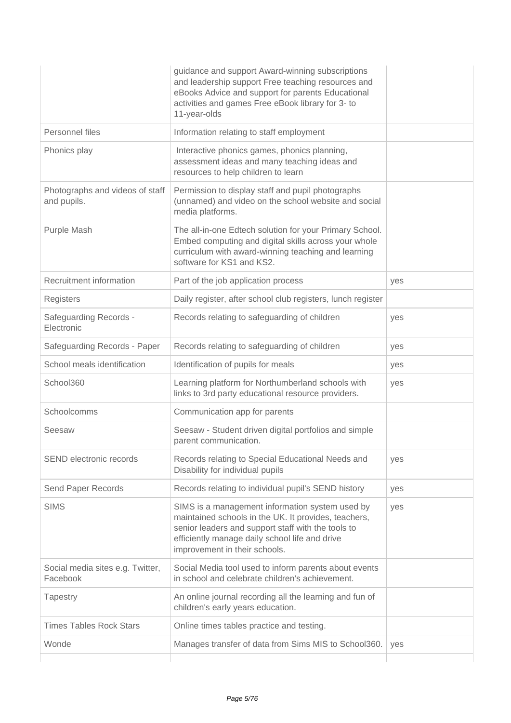|                                                | guidance and support Award-winning subscriptions<br>and leadership support Free teaching resources and<br>eBooks Advice and support for parents Educational<br>activities and games Free eBook library for 3- to<br>11-year-olds                 |     |
|------------------------------------------------|--------------------------------------------------------------------------------------------------------------------------------------------------------------------------------------------------------------------------------------------------|-----|
| Personnel files                                | Information relating to staff employment                                                                                                                                                                                                         |     |
| Phonics play                                   | Interactive phonics games, phonics planning,<br>assessment ideas and many teaching ideas and<br>resources to help children to learn                                                                                                              |     |
| Photographs and videos of staff<br>and pupils. | Permission to display staff and pupil photographs<br>(unnamed) and video on the school website and social<br>media platforms.                                                                                                                    |     |
| Purple Mash                                    | The all-in-one Edtech solution for your Primary School.<br>Embed computing and digital skills across your whole<br>curriculum with award-winning teaching and learning<br>software for KS1 and KS2.                                              |     |
| Recruitment information                        | Part of the job application process                                                                                                                                                                                                              | yes |
| Registers                                      | Daily register, after school club registers, lunch register                                                                                                                                                                                      |     |
| <b>Safeguarding Records -</b><br>Electronic    | Records relating to safeguarding of children                                                                                                                                                                                                     | yes |
| Safeguarding Records - Paper                   | Records relating to safeguarding of children                                                                                                                                                                                                     | yes |
| School meals identification                    | Identification of pupils for meals                                                                                                                                                                                                               | yes |
| School360                                      | Learning platform for Northumberland schools with<br>links to 3rd party educational resource providers.                                                                                                                                          | yes |
| Schoolcomms                                    | Communication app for parents                                                                                                                                                                                                                    |     |
| Seesaw                                         | Seesaw - Student driven digital portfolios and simple<br>parent communication.                                                                                                                                                                   |     |
| SEND electronic records                        | Records relating to Special Educational Needs and<br>Disability for individual pupils                                                                                                                                                            | yes |
| Send Paper Records                             | Records relating to individual pupil's SEND history                                                                                                                                                                                              | yes |
| <b>SIMS</b>                                    | SIMS is a management information system used by<br>maintained schools in the UK. It provides, teachers,<br>senior leaders and support staff with the tools to<br>efficiently manage daily school life and drive<br>improvement in their schools. | yes |
| Social media sites e.g. Twitter,<br>Facebook   | Social Media tool used to inform parents about events<br>in school and celebrate children's achievement.                                                                                                                                         |     |
| Tapestry                                       | An online journal recording all the learning and fun of<br>children's early years education.                                                                                                                                                     |     |
| <b>Times Tables Rock Stars</b>                 | Online times tables practice and testing.                                                                                                                                                                                                        |     |
| Wonde                                          | Manages transfer of data from Sims MIS to School360.                                                                                                                                                                                             | yes |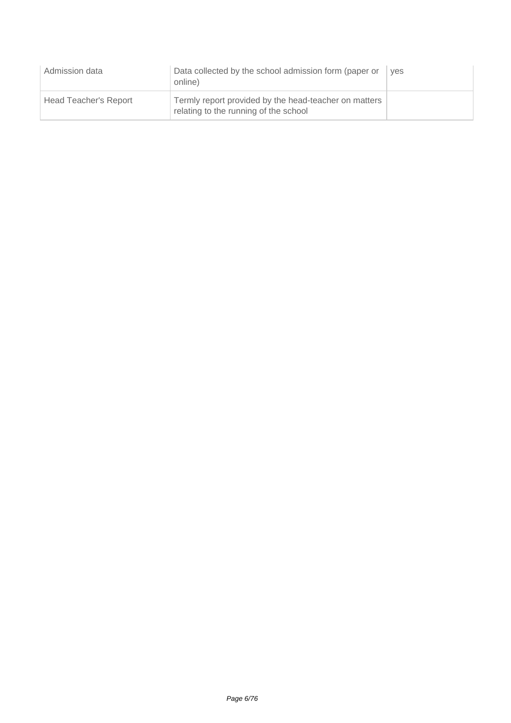| Admission data        | Data collected by the school admission form (paper or<br>online)                               | ves |
|-----------------------|------------------------------------------------------------------------------------------------|-----|
| Head Teacher's Report | Termly report provided by the head-teacher on matters<br>relating to the running of the school |     |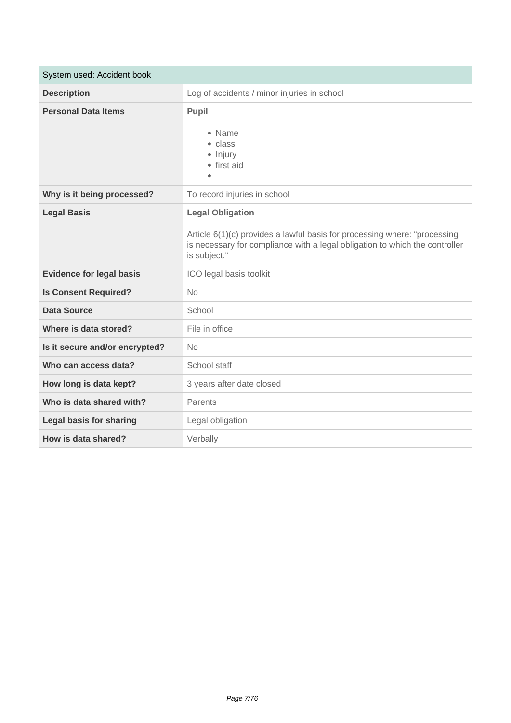| System used: Accident book      |                                                                                                                                                                                                     |
|---------------------------------|-----------------------------------------------------------------------------------------------------------------------------------------------------------------------------------------------------|
| <b>Description</b>              | Log of accidents / minor injuries in school                                                                                                                                                         |
| <b>Personal Data Items</b>      | Pupil<br>• Name<br>$\bullet$ class<br>· Injury<br>• first aid<br>$\bullet$                                                                                                                          |
| Why is it being processed?      | To record injuries in school                                                                                                                                                                        |
| <b>Legal Basis</b>              | <b>Legal Obligation</b><br>Article 6(1)(c) provides a lawful basis for processing where: "processing<br>is necessary for compliance with a legal obligation to which the controller<br>is subject." |
| <b>Evidence for legal basis</b> | ICO legal basis toolkit                                                                                                                                                                             |
| <b>Is Consent Required?</b>     | <b>No</b>                                                                                                                                                                                           |
| <b>Data Source</b>              | School                                                                                                                                                                                              |
| Where is data stored?           | File in office                                                                                                                                                                                      |
| Is it secure and/or encrypted?  | <b>No</b>                                                                                                                                                                                           |
| Who can access data?            | School staff                                                                                                                                                                                        |
| How long is data kept?          | 3 years after date closed                                                                                                                                                                           |
| Who is data shared with?        | Parents                                                                                                                                                                                             |
| <b>Legal basis for sharing</b>  | Legal obligation                                                                                                                                                                                    |
| How is data shared?             | Verbally                                                                                                                                                                                            |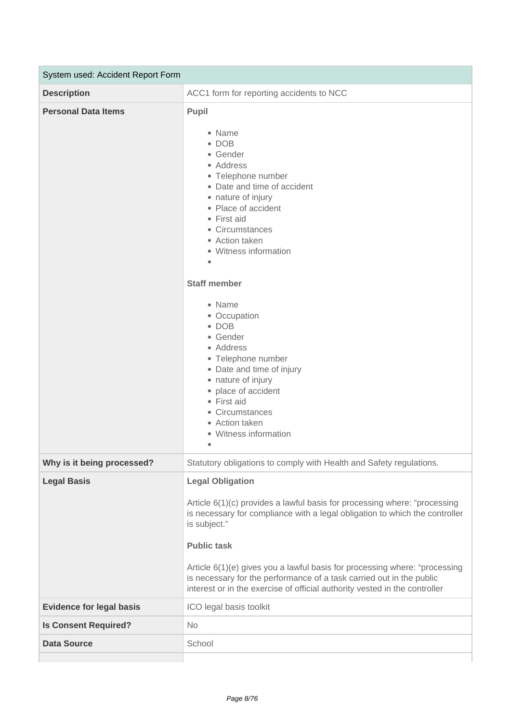| System used: Accident Report Form |                                                                                                                                                                                                                                                                                                                                                                                                                                                               |  |
|-----------------------------------|---------------------------------------------------------------------------------------------------------------------------------------------------------------------------------------------------------------------------------------------------------------------------------------------------------------------------------------------------------------------------------------------------------------------------------------------------------------|--|
| <b>Description</b>                | ACC1 form for reporting accidents to NCC                                                                                                                                                                                                                                                                                                                                                                                                                      |  |
| <b>Personal Data Items</b>        | Pupil<br>• Name<br>$\bullet$ DOB<br>• Gender<br>• Address<br>• Telephone number<br>• Date and time of accident<br>• nature of injury<br>• Place of accident<br>• First aid<br>• Circumstances<br>• Action taken<br>• Witness information<br>$\bullet$                                                                                                                                                                                                         |  |
|                                   | <b>Staff member</b><br>• Name<br>• Occupation<br>$\bullet$ DOB<br>• Gender<br>• Address<br>• Telephone number<br>• Date and time of injury<br>• nature of injury<br>• place of accident<br>• First aid<br>• Circumstances<br>• Action taken<br>• Witness information<br>۰                                                                                                                                                                                     |  |
| Why is it being processed?        | Statutory obligations to comply with Health and Safety regulations.                                                                                                                                                                                                                                                                                                                                                                                           |  |
| <b>Legal Basis</b>                | <b>Legal Obligation</b><br>Article 6(1)(c) provides a lawful basis for processing where: "processing<br>is necessary for compliance with a legal obligation to which the controller<br>is subject."<br><b>Public task</b><br>Article 6(1)(e) gives you a lawful basis for processing where: "processing<br>is necessary for the performance of a task carried out in the public<br>interest or in the exercise of official authority vested in the controller |  |
| <b>Evidence for legal basis</b>   | ICO legal basis toolkit                                                                                                                                                                                                                                                                                                                                                                                                                                       |  |
| <b>Is Consent Required?</b>       | <b>No</b>                                                                                                                                                                                                                                                                                                                                                                                                                                                     |  |
| <b>Data Source</b>                | School                                                                                                                                                                                                                                                                                                                                                                                                                                                        |  |
|                                   |                                                                                                                                                                                                                                                                                                                                                                                                                                                               |  |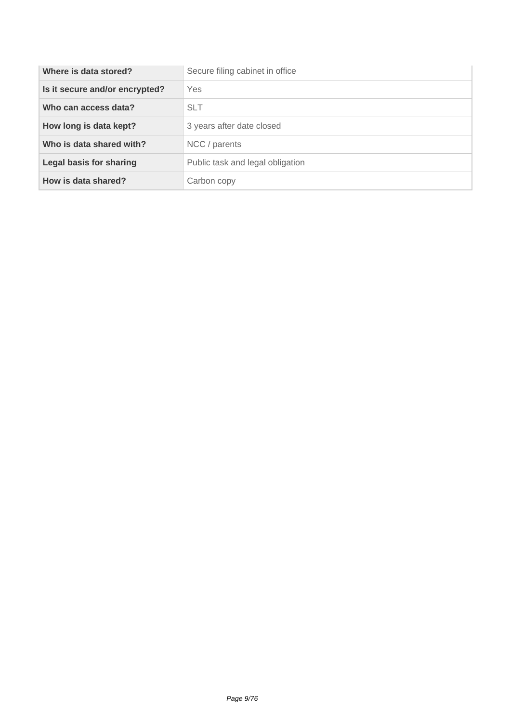| Where is data stored?          | Secure filing cabinet in office  |
|--------------------------------|----------------------------------|
| Is it secure and/or encrypted? | Yes                              |
| Who can access data?           | <b>SLT</b>                       |
| How long is data kept?         | 3 years after date closed        |
| Who is data shared with?       | NCC / parents                    |
| Legal basis for sharing        | Public task and legal obligation |
| How is data shared?            | Carbon copy                      |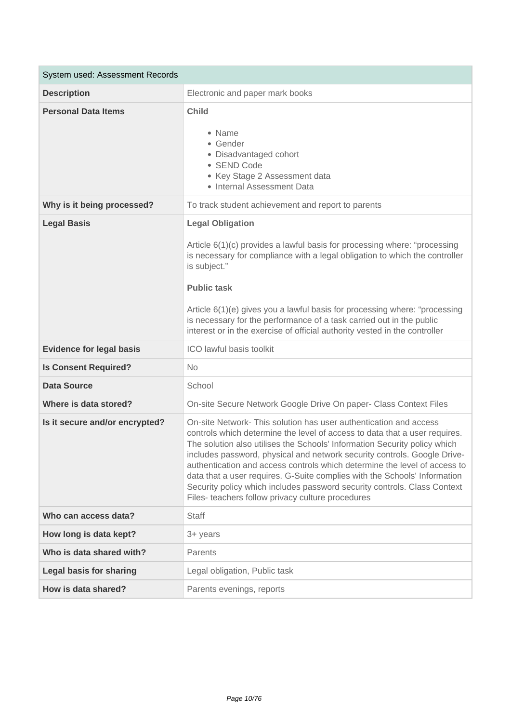| System used: Assessment Records |                                                                                                                                                                                                                                                                                                                                                                                                                                                                                                                                                                                                    |
|---------------------------------|----------------------------------------------------------------------------------------------------------------------------------------------------------------------------------------------------------------------------------------------------------------------------------------------------------------------------------------------------------------------------------------------------------------------------------------------------------------------------------------------------------------------------------------------------------------------------------------------------|
| <b>Description</b>              | Electronic and paper mark books                                                                                                                                                                                                                                                                                                                                                                                                                                                                                                                                                                    |
| <b>Personal Data Items</b>      | Child<br>• Name<br>• Gender<br>· Disadvantaged cohort<br>• SEND Code<br>• Key Stage 2 Assessment data<br>• Internal Assessment Data                                                                                                                                                                                                                                                                                                                                                                                                                                                                |
| Why is it being processed?      | To track student achievement and report to parents                                                                                                                                                                                                                                                                                                                                                                                                                                                                                                                                                 |
| <b>Legal Basis</b>              | <b>Legal Obligation</b><br>Article 6(1)(c) provides a lawful basis for processing where: "processing<br>is necessary for compliance with a legal obligation to which the controller<br>is subject."<br><b>Public task</b><br>Article 6(1)(e) gives you a lawful basis for processing where: "processing<br>is necessary for the performance of a task carried out in the public<br>interest or in the exercise of official authority vested in the controller                                                                                                                                      |
| <b>Evidence for legal basis</b> | ICO lawful basis toolkit                                                                                                                                                                                                                                                                                                                                                                                                                                                                                                                                                                           |
| <b>Is Consent Required?</b>     | <b>No</b>                                                                                                                                                                                                                                                                                                                                                                                                                                                                                                                                                                                          |
| <b>Data Source</b>              | School                                                                                                                                                                                                                                                                                                                                                                                                                                                                                                                                                                                             |
| Where is data stored?           | On-site Secure Network Google Drive On paper- Class Context Files                                                                                                                                                                                                                                                                                                                                                                                                                                                                                                                                  |
| Is it secure and/or encrypted?  | On-site Network-This solution has user authentication and access<br>controls which determine the level of access to data that a user requires.<br>The solution also utilises the Schools' Information Security policy which<br>includes password, physical and network security controls. Google Drive-<br>authentication and access controls which determine the level of access to<br>data that a user requires. G-Suite complies with the Schools' Information<br>Security policy which includes password security controls. Class Context<br>Files- teachers follow privacy culture procedures |
| Who can access data?            | <b>Staff</b>                                                                                                                                                                                                                                                                                                                                                                                                                                                                                                                                                                                       |
| How long is data kept?          | 3+ years                                                                                                                                                                                                                                                                                                                                                                                                                                                                                                                                                                                           |
| Who is data shared with?        | Parents                                                                                                                                                                                                                                                                                                                                                                                                                                                                                                                                                                                            |
| <b>Legal basis for sharing</b>  | Legal obligation, Public task                                                                                                                                                                                                                                                                                                                                                                                                                                                                                                                                                                      |
| How is data shared?             | Parents evenings, reports                                                                                                                                                                                                                                                                                                                                                                                                                                                                                                                                                                          |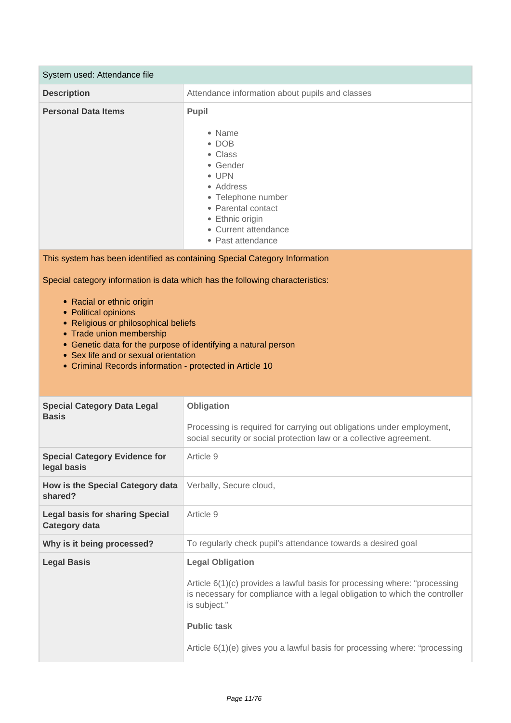| System used: Attendance file                                                                                                                                                                                                                                                                                                                                                 |                                                                                                                                                                                                     |  |
|------------------------------------------------------------------------------------------------------------------------------------------------------------------------------------------------------------------------------------------------------------------------------------------------------------------------------------------------------------------------------|-----------------------------------------------------------------------------------------------------------------------------------------------------------------------------------------------------|--|
| <b>Description</b>                                                                                                                                                                                                                                                                                                                                                           | Attendance information about pupils and classes                                                                                                                                                     |  |
| <b>Personal Data Items</b>                                                                                                                                                                                                                                                                                                                                                   | Pupil<br>• Name<br>$\bullet$ DOB<br>• Class<br>• Gender<br>$\bullet$ UPN<br>• Address<br>• Telephone number<br>• Parental contact<br>• Ethnic origin<br>• Current attendance<br>• Past attendance   |  |
|                                                                                                                                                                                                                                                                                                                                                                              | This system has been identified as containing Special Category Information                                                                                                                          |  |
| Special category information is data which has the following characteristics:<br>• Racial or ethnic origin<br>• Political opinions<br>• Religious or philosophical beliefs<br>• Trade union membership<br>• Genetic data for the purpose of identifying a natural person<br>• Sex life and or sexual orientation<br>• Criminal Records information - protected in Article 10 |                                                                                                                                                                                                     |  |
| <b>Special Category Data Legal</b><br><b>Basis</b>                                                                                                                                                                                                                                                                                                                           | Obligation<br>Processing is required for carrying out obligations under employment,<br>social security or social protection law or a collective agreement.                                          |  |
| <b>Special Category Evidence for</b><br>legal basis                                                                                                                                                                                                                                                                                                                          | Article 9                                                                                                                                                                                           |  |
| How is the Special Category data<br>shared?                                                                                                                                                                                                                                                                                                                                  | Verbally, Secure cloud,                                                                                                                                                                             |  |
| <b>Legal basis for sharing Special</b><br><b>Category data</b>                                                                                                                                                                                                                                                                                                               | Article 9                                                                                                                                                                                           |  |
| Why is it being processed?                                                                                                                                                                                                                                                                                                                                                   | To regularly check pupil's attendance towards a desired goal                                                                                                                                        |  |
| <b>Legal Basis</b>                                                                                                                                                                                                                                                                                                                                                           | <b>Legal Obligation</b><br>Article 6(1)(c) provides a lawful basis for processing where: "processing<br>is necessary for compliance with a legal obligation to which the controller<br>is subject." |  |

#### **Public task**

Article 6(1)(e) gives you a lawful basis for processing where: "processing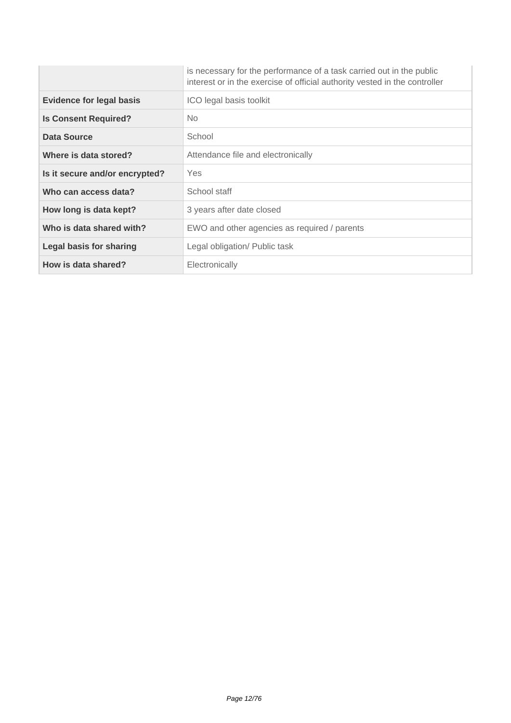|                                 | is necessary for the performance of a task carried out in the public<br>interest or in the exercise of official authority vested in the controller |
|---------------------------------|----------------------------------------------------------------------------------------------------------------------------------------------------|
| <b>Evidence for legal basis</b> | ICO legal basis toolkit                                                                                                                            |
| <b>Is Consent Required?</b>     | No.                                                                                                                                                |
| Data Source                     | School                                                                                                                                             |
| Where is data stored?           | Attendance file and electronically                                                                                                                 |
| Is it secure and/or encrypted?  | <b>Yes</b>                                                                                                                                         |
| Who can access data?            | School staff                                                                                                                                       |
| How long is data kept?          | 3 years after date closed                                                                                                                          |
| Who is data shared with?        | EWO and other agencies as required / parents                                                                                                       |
| <b>Legal basis for sharing</b>  | Legal obligation/ Public task                                                                                                                      |
| How is data shared?             | Electronically                                                                                                                                     |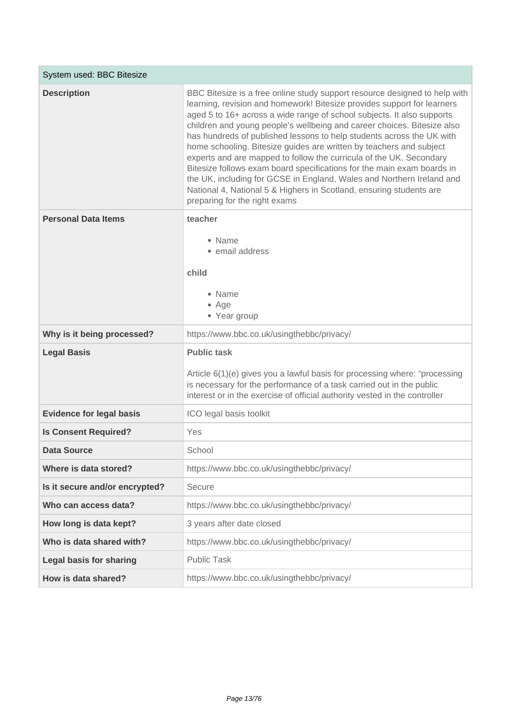| System used: BBC Bitesize       |                                                                                                                                                                                                                                                                                                                                                                                                                                                                                                                                                                                                                                                                                                                                                                                              |
|---------------------------------|----------------------------------------------------------------------------------------------------------------------------------------------------------------------------------------------------------------------------------------------------------------------------------------------------------------------------------------------------------------------------------------------------------------------------------------------------------------------------------------------------------------------------------------------------------------------------------------------------------------------------------------------------------------------------------------------------------------------------------------------------------------------------------------------|
| <b>Description</b>              | BBC Bitesize is a free online study support resource designed to help with<br>learning, revision and homework! Bitesize provides support for learners<br>aged 5 to 16+ across a wide range of school subjects. It also supports<br>children and young people's wellbeing and career choices. Bitesize also<br>has hundreds of published lessons to help students across the UK with<br>home schooling. Bitesize guides are written by teachers and subject<br>experts and are mapped to follow the curricula of the UK. Secondary<br>Bitesize follows exam board specifications for the main exam boards in<br>the UK, including for GCSE in England, Wales and Northern Ireland and<br>National 4, National 5 & Highers in Scotland, ensuring students are<br>preparing for the right exams |
| <b>Personal Data Items</b>      | teacher                                                                                                                                                                                                                                                                                                                                                                                                                                                                                                                                                                                                                                                                                                                                                                                      |
|                                 | • Name<br>• email address<br>child<br>• Name<br>• Age<br>• Year group                                                                                                                                                                                                                                                                                                                                                                                                                                                                                                                                                                                                                                                                                                                        |
| Why is it being processed?      | https://www.bbc.co.uk/usingthebbc/privacy/                                                                                                                                                                                                                                                                                                                                                                                                                                                                                                                                                                                                                                                                                                                                                   |
| <b>Legal Basis</b>              | <b>Public task</b><br>Article 6(1)(e) gives you a lawful basis for processing where: "processing<br>is necessary for the performance of a task carried out in the public<br>interest or in the exercise of official authority vested in the controller                                                                                                                                                                                                                                                                                                                                                                                                                                                                                                                                       |
| <b>Evidence for legal basis</b> | ICO legal basis toolkit                                                                                                                                                                                                                                                                                                                                                                                                                                                                                                                                                                                                                                                                                                                                                                      |
| <b>Is Consent Required?</b>     | Yes                                                                                                                                                                                                                                                                                                                                                                                                                                                                                                                                                                                                                                                                                                                                                                                          |
| <b>Data Source</b>              | School                                                                                                                                                                                                                                                                                                                                                                                                                                                                                                                                                                                                                                                                                                                                                                                       |
| Where is data stored?           | https://www.bbc.co.uk/usingthebbc/privacy/                                                                                                                                                                                                                                                                                                                                                                                                                                                                                                                                                                                                                                                                                                                                                   |
| Is it secure and/or encrypted?  | Secure                                                                                                                                                                                                                                                                                                                                                                                                                                                                                                                                                                                                                                                                                                                                                                                       |
| Who can access data?            | https://www.bbc.co.uk/usingthebbc/privacy/                                                                                                                                                                                                                                                                                                                                                                                                                                                                                                                                                                                                                                                                                                                                                   |
| How long is data kept?          | 3 years after date closed                                                                                                                                                                                                                                                                                                                                                                                                                                                                                                                                                                                                                                                                                                                                                                    |
| Who is data shared with?        | https://www.bbc.co.uk/usingthebbc/privacy/                                                                                                                                                                                                                                                                                                                                                                                                                                                                                                                                                                                                                                                                                                                                                   |
| <b>Legal basis for sharing</b>  | <b>Public Task</b>                                                                                                                                                                                                                                                                                                                                                                                                                                                                                                                                                                                                                                                                                                                                                                           |
| How is data shared?             | https://www.bbc.co.uk/usingthebbc/privacy/                                                                                                                                                                                                                                                                                                                                                                                                                                                                                                                                                                                                                                                                                                                                                   |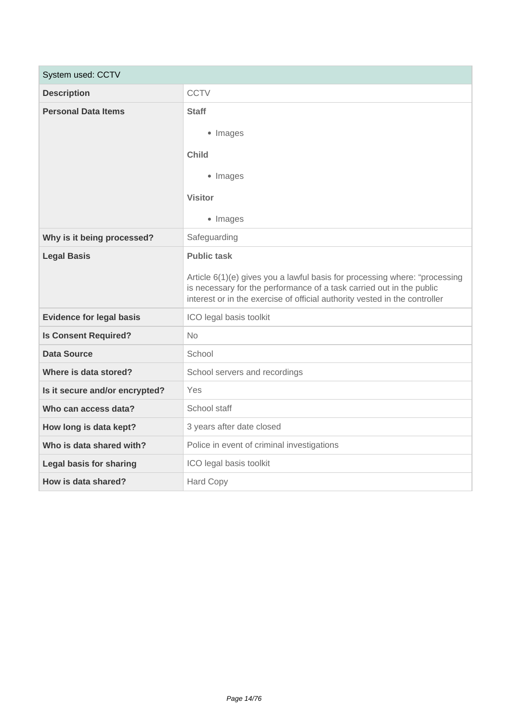| System used: CCTV               |                                                                                                                                                                                                                                  |  |
|---------------------------------|----------------------------------------------------------------------------------------------------------------------------------------------------------------------------------------------------------------------------------|--|
| <b>Description</b>              | <b>CCTV</b>                                                                                                                                                                                                                      |  |
| <b>Personal Data Items</b>      | <b>Staff</b>                                                                                                                                                                                                                     |  |
|                                 | • Images                                                                                                                                                                                                                         |  |
|                                 | <b>Child</b>                                                                                                                                                                                                                     |  |
|                                 | • Images                                                                                                                                                                                                                         |  |
|                                 | <b>Visitor</b>                                                                                                                                                                                                                   |  |
|                                 | • Images                                                                                                                                                                                                                         |  |
| Why is it being processed?      | Safeguarding                                                                                                                                                                                                                     |  |
| <b>Legal Basis</b>              | <b>Public task</b>                                                                                                                                                                                                               |  |
|                                 | Article 6(1)(e) gives you a lawful basis for processing where: "processing<br>is necessary for the performance of a task carried out in the public<br>interest or in the exercise of official authority vested in the controller |  |
| <b>Evidence for legal basis</b> | ICO legal basis toolkit                                                                                                                                                                                                          |  |
| <b>Is Consent Required?</b>     | <b>No</b>                                                                                                                                                                                                                        |  |
| <b>Data Source</b>              | School                                                                                                                                                                                                                           |  |
| Where is data stored?           | School servers and recordings                                                                                                                                                                                                    |  |
| Is it secure and/or encrypted?  | <b>Yes</b>                                                                                                                                                                                                                       |  |
| Who can access data?            | School staff                                                                                                                                                                                                                     |  |
| How long is data kept?          | 3 years after date closed                                                                                                                                                                                                        |  |
| Who is data shared with?        | Police in event of criminal investigations                                                                                                                                                                                       |  |
| <b>Legal basis for sharing</b>  | ICO legal basis toolkit                                                                                                                                                                                                          |  |
| How is data shared?             | <b>Hard Copy</b>                                                                                                                                                                                                                 |  |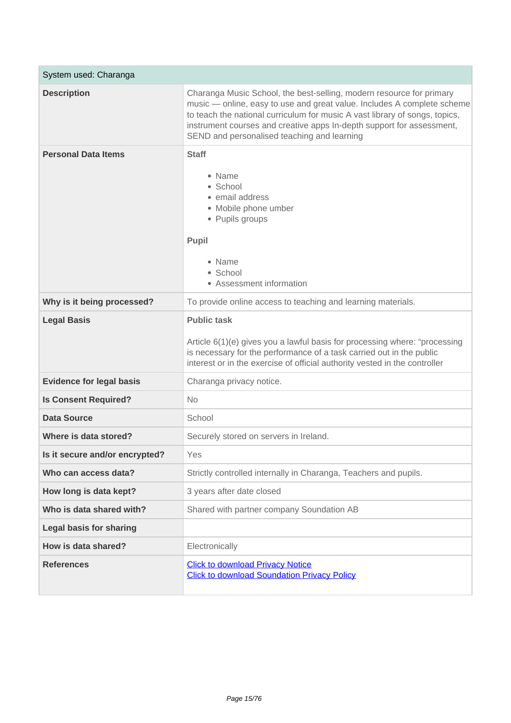| System used: Charanga           |                                                                                                                                                                                                                                                                                                                                                        |
|---------------------------------|--------------------------------------------------------------------------------------------------------------------------------------------------------------------------------------------------------------------------------------------------------------------------------------------------------------------------------------------------------|
| <b>Description</b>              | Charanga Music School, the best-selling, modern resource for primary<br>music - online, easy to use and great value. Includes A complete scheme<br>to teach the national curriculum for music A vast library of songs, topics,<br>instrument courses and creative apps In-depth support for assessment,<br>SEND and personalised teaching and learning |
| <b>Personal Data Items</b>      | <b>Staff</b><br>• Name<br>• School<br>• email address<br>• Mobile phone umber<br>• Pupils groups<br>Pupil<br>• Name<br>• School<br>• Assessment information                                                                                                                                                                                            |
| Why is it being processed?      | To provide online access to teaching and learning materials.                                                                                                                                                                                                                                                                                           |
| <b>Legal Basis</b>              | <b>Public task</b><br>Article 6(1)(e) gives you a lawful basis for processing where: "processing<br>is necessary for the performance of a task carried out in the public<br>interest or in the exercise of official authority vested in the controller                                                                                                 |
| <b>Evidence for legal basis</b> | Charanga privacy notice.                                                                                                                                                                                                                                                                                                                               |
| <b>Is Consent Required?</b>     | <b>No</b>                                                                                                                                                                                                                                                                                                                                              |
| <b>Data Source</b>              | School                                                                                                                                                                                                                                                                                                                                                 |
| Where is data stored?           | Securely stored on servers in Ireland.                                                                                                                                                                                                                                                                                                                 |
| Is it secure and/or encrypted?  | Yes                                                                                                                                                                                                                                                                                                                                                    |
| Who can access data?            | Strictly controlled internally in Charanga, Teachers and pupils.                                                                                                                                                                                                                                                                                       |
| How long is data kept?          | 3 years after date closed                                                                                                                                                                                                                                                                                                                              |
| Who is data shared with?        | Shared with partner company Soundation AB                                                                                                                                                                                                                                                                                                              |
| <b>Legal basis for sharing</b>  |                                                                                                                                                                                                                                                                                                                                                        |
| How is data shared?             | Electronically                                                                                                                                                                                                                                                                                                                                         |
| <b>References</b>               | <b>Click to download Privacy Notice</b><br><b>Click to download Soundation Privacy Policy</b>                                                                                                                                                                                                                                                          |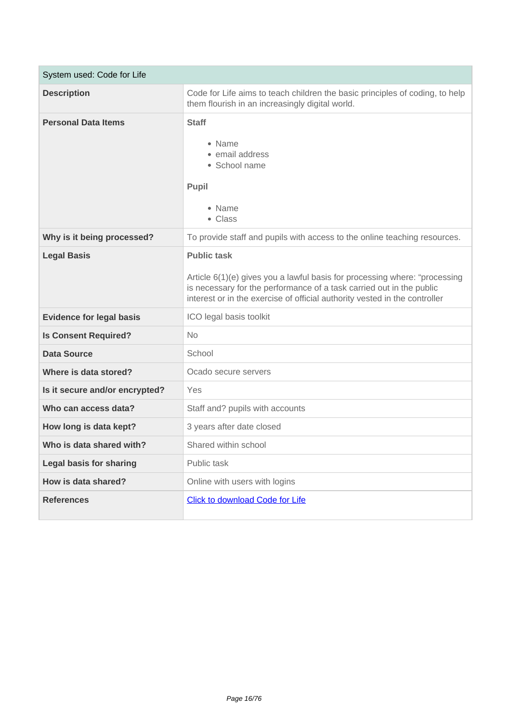| System used: Code for Life      |                                                                                                                                                                                                                                                        |
|---------------------------------|--------------------------------------------------------------------------------------------------------------------------------------------------------------------------------------------------------------------------------------------------------|
| <b>Description</b>              | Code for Life aims to teach children the basic principles of coding, to help<br>them flourish in an increasingly digital world.                                                                                                                        |
| <b>Personal Data Items</b>      | <b>Staff</b><br>• Name<br>• email address<br>• School name<br>Pupil<br>• Name<br>• Class                                                                                                                                                               |
| Why is it being processed?      | To provide staff and pupils with access to the online teaching resources.                                                                                                                                                                              |
| <b>Legal Basis</b>              | <b>Public task</b><br>Article 6(1)(e) gives you a lawful basis for processing where: "processing<br>is necessary for the performance of a task carried out in the public<br>interest or in the exercise of official authority vested in the controller |
| <b>Evidence for legal basis</b> | ICO legal basis toolkit                                                                                                                                                                                                                                |
| <b>Is Consent Required?</b>     | <b>No</b>                                                                                                                                                                                                                                              |
| <b>Data Source</b>              | School                                                                                                                                                                                                                                                 |
| Where is data stored?           | Ocado secure servers                                                                                                                                                                                                                                   |
| Is it secure and/or encrypted?  | Yes                                                                                                                                                                                                                                                    |
| Who can access data?            | Staff and? pupils with accounts                                                                                                                                                                                                                        |
| How long is data kept?          | 3 years after date closed                                                                                                                                                                                                                              |
| Who is data shared with?        | Shared within school                                                                                                                                                                                                                                   |
| <b>Legal basis for sharing</b>  | Public task                                                                                                                                                                                                                                            |
| How is data shared?             | Online with users with logins                                                                                                                                                                                                                          |
| <b>References</b>               | <b>Click to download Code for Life</b>                                                                                                                                                                                                                 |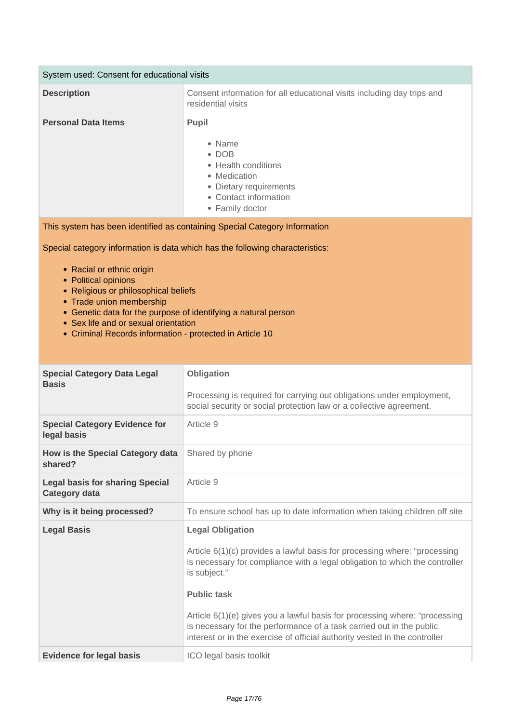| System used: Consent for educational visits |                                                                                                                                                      |
|---------------------------------------------|------------------------------------------------------------------------------------------------------------------------------------------------------|
| <b>Description</b>                          | Consent information for all educational visits including day trips and<br>residential visits                                                         |
| <b>Personal Data Items</b>                  | <b>Pupil</b><br>• Name<br>$\bullet$ DOB<br>• Health conditions<br>• Medication<br>• Dietary requirements<br>• Contact information<br>• Family doctor |

This system has been identified as containing Special Category Information

Special category information is data which has the following characteristics:

- Racial or ethnic origin
- Political opinions
- Religious or philosophical beliefs
- Trade union membership
- Genetic data for the purpose of identifying a natural person
- Sex life and or sexual orientation
- Criminal Records information protected in Article 10

| <b>Special Category Data Legal</b><br><b>Basis</b>             | Obligation<br>Processing is required for carrying out obligations under employment,<br>social security or social protection law or a collective agreement.                                                                                                                                                                                                                                                                                                    |
|----------------------------------------------------------------|---------------------------------------------------------------------------------------------------------------------------------------------------------------------------------------------------------------------------------------------------------------------------------------------------------------------------------------------------------------------------------------------------------------------------------------------------------------|
| <b>Special Category Evidence for</b><br>legal basis            | Article 9                                                                                                                                                                                                                                                                                                                                                                                                                                                     |
| How is the Special Category data<br>shared?                    | Shared by phone                                                                                                                                                                                                                                                                                                                                                                                                                                               |
| <b>Legal basis for sharing Special</b><br><b>Category data</b> | Article 9                                                                                                                                                                                                                                                                                                                                                                                                                                                     |
| Why is it being processed?                                     | To ensure school has up to date information when taking children off site                                                                                                                                                                                                                                                                                                                                                                                     |
| <b>Legal Basis</b>                                             | <b>Legal Obligation</b><br>Article 6(1)(c) provides a lawful basis for processing where: "processing<br>is necessary for compliance with a legal obligation to which the controller<br>is subject."<br><b>Public task</b><br>Article 6(1)(e) gives you a lawful basis for processing where: "processing<br>is necessary for the performance of a task carried out in the public<br>interest or in the exercise of official authority vested in the controller |
| <b>Evidence for legal basis</b>                                | ICO legal basis toolkit                                                                                                                                                                                                                                                                                                                                                                                                                                       |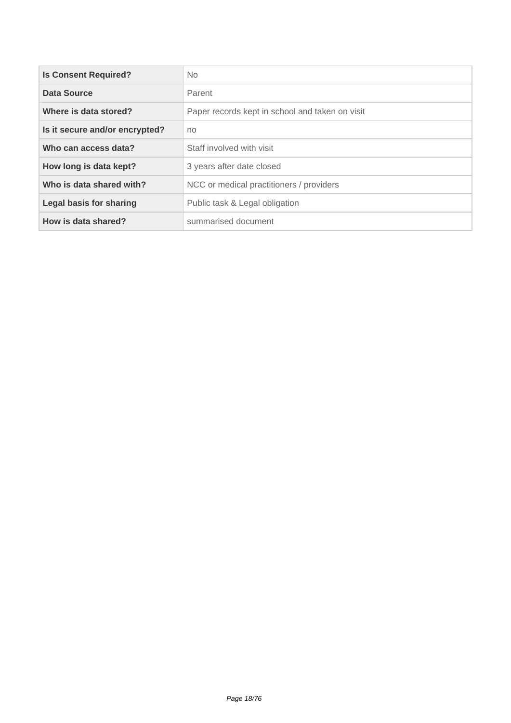| <b>Is Consent Required?</b>    | No.                                             |
|--------------------------------|-------------------------------------------------|
| Data Source                    | Parent                                          |
| Where is data stored?          | Paper records kept in school and taken on visit |
| Is it secure and/or encrypted? | no                                              |
| Who can access data?           | Staff involved with visit                       |
| How long is data kept?         | 3 years after date closed                       |
| Who is data shared with?       | NCC or medical practitioners / providers        |
| Legal basis for sharing        | Public task & Legal obligation                  |
| How is data shared?            | summarised document                             |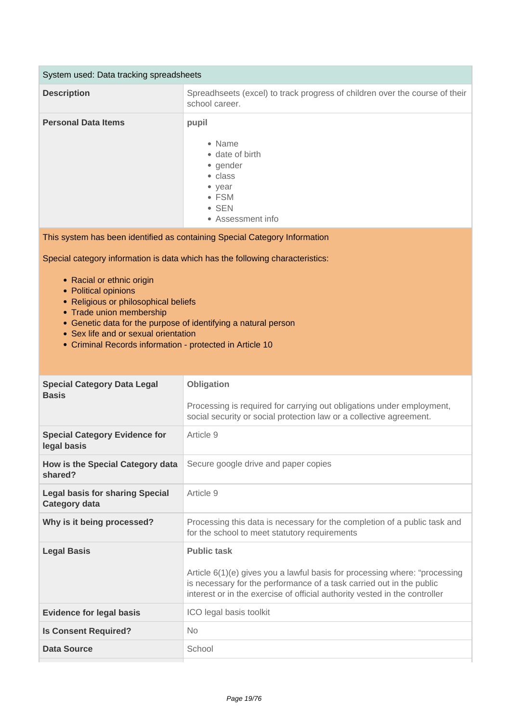| System used: Data tracking spreadsheets |                                                                                                                                    |
|-----------------------------------------|------------------------------------------------------------------------------------------------------------------------------------|
| <b>Description</b>                      | Spreadhseets (excel) to track progress of children over the course of their<br>school career.                                      |
| <b>Personal Data Items</b>              | pupil<br>• Name<br>• date of birth<br>• gender<br>• class<br>$\bullet$ year<br>$\bullet$ FSM<br>$\bullet$ SEN<br>• Assessment info |

This system has been identified as containing Special Category Information

Special category information is data which has the following characteristics:

- Racial or ethnic origin
- Political opinions
- Religious or philosophical beliefs
- Trade union membership
- Genetic data for the purpose of identifying a natural person
- Sex life and or sexual orientation
- Criminal Records information protected in Article 10

| <b>Special Category Data Legal</b><br><b>Basis</b>             | Obligation<br>Processing is required for carrying out obligations under employment,<br>social security or social protection law or a collective agreement.                                                                                             |
|----------------------------------------------------------------|--------------------------------------------------------------------------------------------------------------------------------------------------------------------------------------------------------------------------------------------------------|
|                                                                |                                                                                                                                                                                                                                                        |
| <b>Special Category Evidence for</b><br>legal basis            | Article 9                                                                                                                                                                                                                                              |
| How is the Special Category data<br>shared?                    | Secure google drive and paper copies                                                                                                                                                                                                                   |
| <b>Legal basis for sharing Special</b><br><b>Category data</b> | Article 9                                                                                                                                                                                                                                              |
| Why is it being processed?                                     | Processing this data is necessary for the completion of a public task and<br>for the school to meet statutory requirements                                                                                                                             |
| <b>Legal Basis</b>                                             | <b>Public task</b><br>Article 6(1)(e) gives you a lawful basis for processing where: "processing<br>is necessary for the performance of a task carried out in the public<br>interest or in the exercise of official authority vested in the controller |
| <b>Evidence for legal basis</b>                                | ICO legal basis toolkit                                                                                                                                                                                                                                |
| <b>Is Consent Required?</b>                                    | No                                                                                                                                                                                                                                                     |
| Data Source                                                    | School                                                                                                                                                                                                                                                 |
|                                                                |                                                                                                                                                                                                                                                        |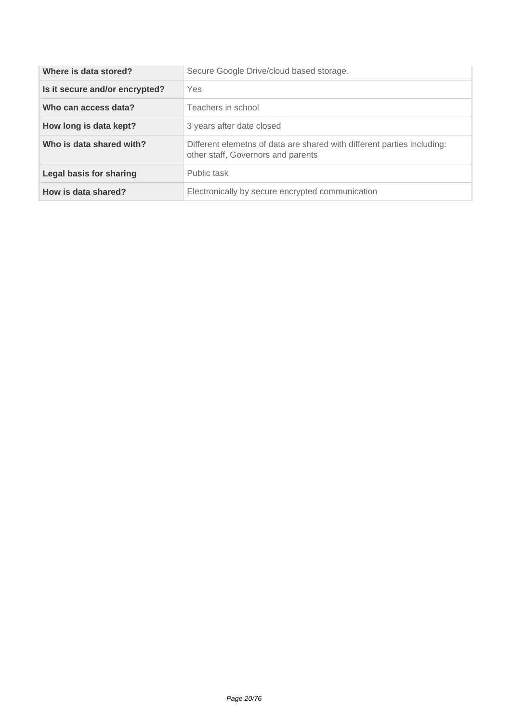| Where is data stored?          | Secure Google Drive/cloud based storage.                                                                      |
|--------------------------------|---------------------------------------------------------------------------------------------------------------|
| Is it secure and/or encrypted? | Yes                                                                                                           |
| Who can access data?           | Teachers in school                                                                                            |
| How long is data kept?         | 3 years after date closed                                                                                     |
| Who is data shared with?       | Different elemetns of data are shared with different parties including:<br>other staff, Governors and parents |
| Legal basis for sharing        | Public task                                                                                                   |
| How is data shared?            | Electronically by secure encrypted communication                                                              |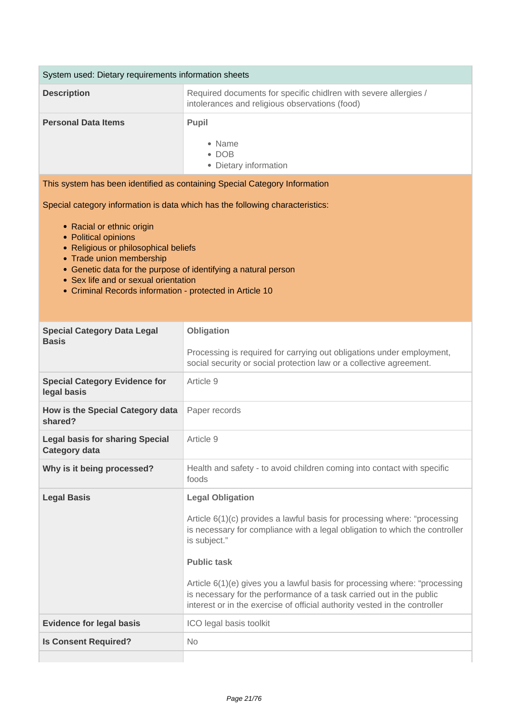| System used: Dietary requirements information sheets                                                                                                                                                                                                           |                                                                                                                                                                                                                                                                                                                                                                                                                                                               |  |
|----------------------------------------------------------------------------------------------------------------------------------------------------------------------------------------------------------------------------------------------------------------|---------------------------------------------------------------------------------------------------------------------------------------------------------------------------------------------------------------------------------------------------------------------------------------------------------------------------------------------------------------------------------------------------------------------------------------------------------------|--|
| <b>Description</b>                                                                                                                                                                                                                                             | Required documents for specific chidlren with severe allergies /<br>intolerances and religious observations (food)                                                                                                                                                                                                                                                                                                                                            |  |
| <b>Personal Data Items</b>                                                                                                                                                                                                                                     | <b>Pupil</b><br>• Name<br>$\bullet$ DOB<br>• Dietary information                                                                                                                                                                                                                                                                                                                                                                                              |  |
|                                                                                                                                                                                                                                                                | This system has been identified as containing Special Category Information                                                                                                                                                                                                                                                                                                                                                                                    |  |
| Special category information is data which has the following characteristics:<br>• Racial or ethnic origin                                                                                                                                                     |                                                                                                                                                                                                                                                                                                                                                                                                                                                               |  |
| • Political opinions<br>• Religious or philosophical beliefs<br>• Trade union membership<br>• Genetic data for the purpose of identifying a natural person<br>• Sex life and or sexual orientation<br>• Criminal Records information - protected in Article 10 |                                                                                                                                                                                                                                                                                                                                                                                                                                                               |  |
| <b>Special Category Data Legal</b>                                                                                                                                                                                                                             | Obligation                                                                                                                                                                                                                                                                                                                                                                                                                                                    |  |
| <b>Basis</b>                                                                                                                                                                                                                                                   | Processing is required for carrying out obligations under employment,<br>social security or social protection law or a collective agreement.                                                                                                                                                                                                                                                                                                                  |  |
| <b>Special Category Evidence for</b><br>legal basis                                                                                                                                                                                                            | Article 9                                                                                                                                                                                                                                                                                                                                                                                                                                                     |  |
| How is the Special Category data<br>shared?                                                                                                                                                                                                                    | Paper records                                                                                                                                                                                                                                                                                                                                                                                                                                                 |  |
| <b>Legal basis for sharing Special</b><br><b>Category data</b>                                                                                                                                                                                                 | Article 9                                                                                                                                                                                                                                                                                                                                                                                                                                                     |  |
| Why is it being processed?                                                                                                                                                                                                                                     | Health and safety - to avoid children coming into contact with specific<br>foods                                                                                                                                                                                                                                                                                                                                                                              |  |
| <b>Legal Basis</b>                                                                                                                                                                                                                                             | <b>Legal Obligation</b><br>Article 6(1)(c) provides a lawful basis for processing where: "processing<br>is necessary for compliance with a legal obligation to which the controller<br>is subject."<br><b>Public task</b><br>Article 6(1)(e) gives you a lawful basis for processing where: "processing<br>is necessary for the performance of a task carried out in the public<br>interest or in the exercise of official authority vested in the controller |  |
| <b>Evidence for legal basis</b>                                                                                                                                                                                                                                | ICO legal basis toolkit                                                                                                                                                                                                                                                                                                                                                                                                                                       |  |
| <b>Is Consent Required?</b>                                                                                                                                                                                                                                    | <b>No</b>                                                                                                                                                                                                                                                                                                                                                                                                                                                     |  |
|                                                                                                                                                                                                                                                                |                                                                                                                                                                                                                                                                                                                                                                                                                                                               |  |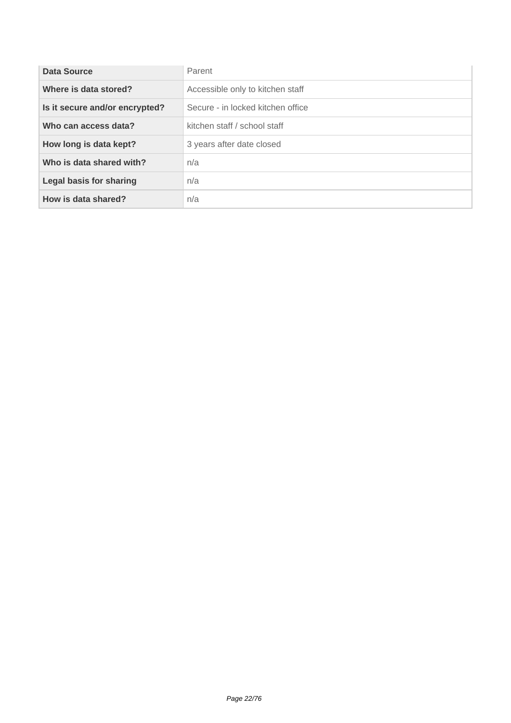| Data Source                    | Parent                            |
|--------------------------------|-----------------------------------|
| Where is data stored?          | Accessible only to kitchen staff  |
| Is it secure and/or encrypted? | Secure - in locked kitchen office |
| Who can access data?           | kitchen staff / school staff      |
| How long is data kept?         | 3 years after date closed         |
| Who is data shared with?       | n/a                               |
| <b>Legal basis for sharing</b> | n/a                               |
| How is data shared?            | n/a                               |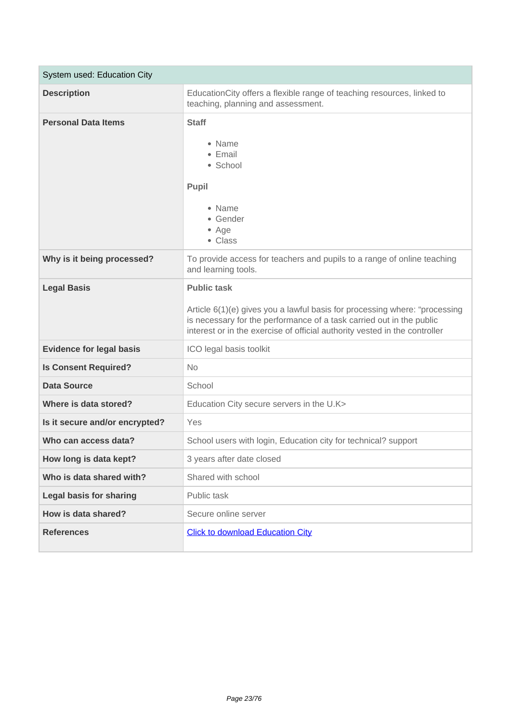| System used: Education City     |                                                                                                                                                                                                                                                        |
|---------------------------------|--------------------------------------------------------------------------------------------------------------------------------------------------------------------------------------------------------------------------------------------------------|
| <b>Description</b>              | EducationCity offers a flexible range of teaching resources, linked to<br>teaching, planning and assessment.                                                                                                                                           |
| <b>Personal Data Items</b>      | <b>Staff</b><br>• Name<br>• Email<br>• School<br>Pupil<br>• Name<br>• Gender<br>• Age<br>• Class                                                                                                                                                       |
| Why is it being processed?      | To provide access for teachers and pupils to a range of online teaching<br>and learning tools.                                                                                                                                                         |
| <b>Legal Basis</b>              | <b>Public task</b><br>Article 6(1)(e) gives you a lawful basis for processing where: "processing<br>is necessary for the performance of a task carried out in the public<br>interest or in the exercise of official authority vested in the controller |
| <b>Evidence for legal basis</b> | ICO legal basis toolkit                                                                                                                                                                                                                                |
| <b>Is Consent Required?</b>     | <b>No</b>                                                                                                                                                                                                                                              |
| <b>Data Source</b>              | School                                                                                                                                                                                                                                                 |
| Where is data stored?           | Education City secure servers in the U.K>                                                                                                                                                                                                              |
| Is it secure and/or encrypted?  | Yes                                                                                                                                                                                                                                                    |
| Who can access data?            | School users with login, Education city for technical? support                                                                                                                                                                                         |
| How long is data kept?          | 3 years after date closed                                                                                                                                                                                                                              |
| Who is data shared with?        | Shared with school                                                                                                                                                                                                                                     |
| <b>Legal basis for sharing</b>  | Public task                                                                                                                                                                                                                                            |
| How is data shared?             | Secure online server                                                                                                                                                                                                                                   |
| <b>References</b>               | <b>Click to download Education City</b>                                                                                                                                                                                                                |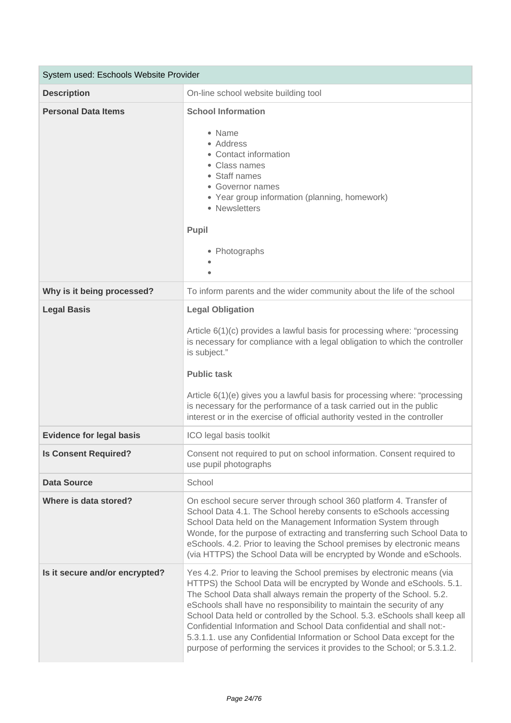| System used: Eschools Website Provider |                                                                                                                                                                                                                                                                                                                                                                                                                                                                                                                                                                                                                |
|----------------------------------------|----------------------------------------------------------------------------------------------------------------------------------------------------------------------------------------------------------------------------------------------------------------------------------------------------------------------------------------------------------------------------------------------------------------------------------------------------------------------------------------------------------------------------------------------------------------------------------------------------------------|
| <b>Description</b>                     | On-line school website building tool                                                                                                                                                                                                                                                                                                                                                                                                                                                                                                                                                                           |
| <b>Personal Data Items</b>             | <b>School Information</b><br>• Name<br>• Address<br>• Contact information<br>• Class names<br>• Staff names<br>• Governor names<br>• Year group information (planning, homework)<br>• Newsletters<br>Pupil<br>• Photographs                                                                                                                                                                                                                                                                                                                                                                                    |
| Why is it being processed?             | To inform parents and the wider community about the life of the school                                                                                                                                                                                                                                                                                                                                                                                                                                                                                                                                         |
| <b>Legal Basis</b>                     | <b>Legal Obligation</b><br>Article 6(1)(c) provides a lawful basis for processing where: "processing<br>is necessary for compliance with a legal obligation to which the controller<br>is subject."<br><b>Public task</b><br>Article 6(1)(e) gives you a lawful basis for processing where: "processing<br>is necessary for the performance of a task carried out in the public<br>interest or in the exercise of official authority vested in the controller                                                                                                                                                  |
| <b>Evidence for legal basis</b>        | ICO legal basis toolkit                                                                                                                                                                                                                                                                                                                                                                                                                                                                                                                                                                                        |
| <b>Is Consent Required?</b>            | Consent not required to put on school information. Consent required to<br>use pupil photographs                                                                                                                                                                                                                                                                                                                                                                                                                                                                                                                |
| <b>Data Source</b>                     | School                                                                                                                                                                                                                                                                                                                                                                                                                                                                                                                                                                                                         |
| Where is data stored?                  | On eschool secure server through school 360 platform 4. Transfer of<br>School Data 4.1. The School hereby consents to eSchools accessing<br>School Data held on the Management Information System through<br>Wonde, for the purpose of extracting and transferring such School Data to<br>eSchools. 4.2. Prior to leaving the School premises by electronic means<br>(via HTTPS) the School Data will be encrypted by Wonde and eSchools.                                                                                                                                                                      |
| Is it secure and/or encrypted?         | Yes 4.2. Prior to leaving the School premises by electronic means (via<br>HTTPS) the School Data will be encrypted by Wonde and eSchools. 5.1.<br>The School Data shall always remain the property of the School. 5.2.<br>eSchools shall have no responsibility to maintain the security of any<br>School Data held or controlled by the School. 5.3. eSchools shall keep all<br>Confidential Information and School Data confidential and shall not:-<br>5.3.1.1. use any Confidential Information or School Data except for the<br>purpose of performing the services it provides to the School; or 5.3.1.2. |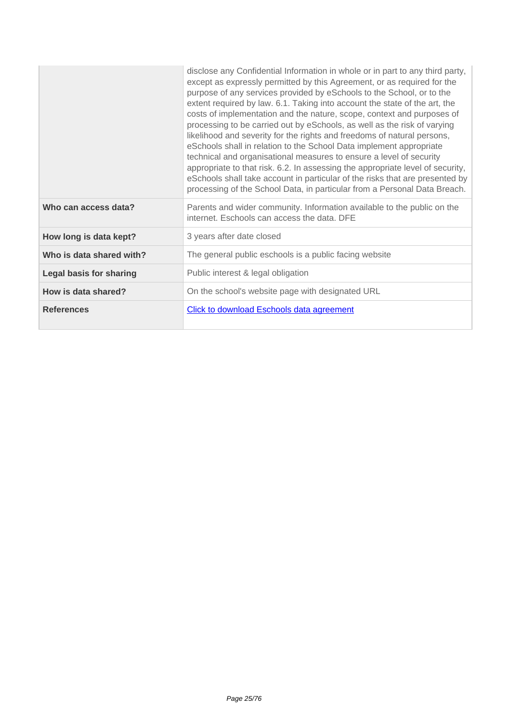|                                | disclose any Confidential Information in whole or in part to any third party,<br>except as expressly permitted by this Agreement, or as required for the<br>purpose of any services provided by eSchools to the School, or to the<br>extent required by law. 6.1. Taking into account the state of the art, the<br>costs of implementation and the nature, scope, context and purposes of<br>processing to be carried out by eSchools, as well as the risk of varying<br>likelihood and severity for the rights and freedoms of natural persons,<br>eSchools shall in relation to the School Data implement appropriate<br>technical and organisational measures to ensure a level of security<br>appropriate to that risk. 6.2. In assessing the appropriate level of security,<br>eSchools shall take account in particular of the risks that are presented by<br>processing of the School Data, in particular from a Personal Data Breach. |
|--------------------------------|-----------------------------------------------------------------------------------------------------------------------------------------------------------------------------------------------------------------------------------------------------------------------------------------------------------------------------------------------------------------------------------------------------------------------------------------------------------------------------------------------------------------------------------------------------------------------------------------------------------------------------------------------------------------------------------------------------------------------------------------------------------------------------------------------------------------------------------------------------------------------------------------------------------------------------------------------|
| Who can access data?           | Parents and wider community. Information available to the public on the<br>internet. Eschools can access the data. DFE                                                                                                                                                                                                                                                                                                                                                                                                                                                                                                                                                                                                                                                                                                                                                                                                                        |
| How long is data kept?         | 3 years after date closed                                                                                                                                                                                                                                                                                                                                                                                                                                                                                                                                                                                                                                                                                                                                                                                                                                                                                                                     |
| Who is data shared with?       | The general public eschools is a public facing website                                                                                                                                                                                                                                                                                                                                                                                                                                                                                                                                                                                                                                                                                                                                                                                                                                                                                        |
| <b>Legal basis for sharing</b> | Public interest & legal obligation                                                                                                                                                                                                                                                                                                                                                                                                                                                                                                                                                                                                                                                                                                                                                                                                                                                                                                            |
| How is data shared?            | On the school's website page with designated URL                                                                                                                                                                                                                                                                                                                                                                                                                                                                                                                                                                                                                                                                                                                                                                                                                                                                                              |
| <b>References</b>              | <b>Click to download Eschools data agreement</b>                                                                                                                                                                                                                                                                                                                                                                                                                                                                                                                                                                                                                                                                                                                                                                                                                                                                                              |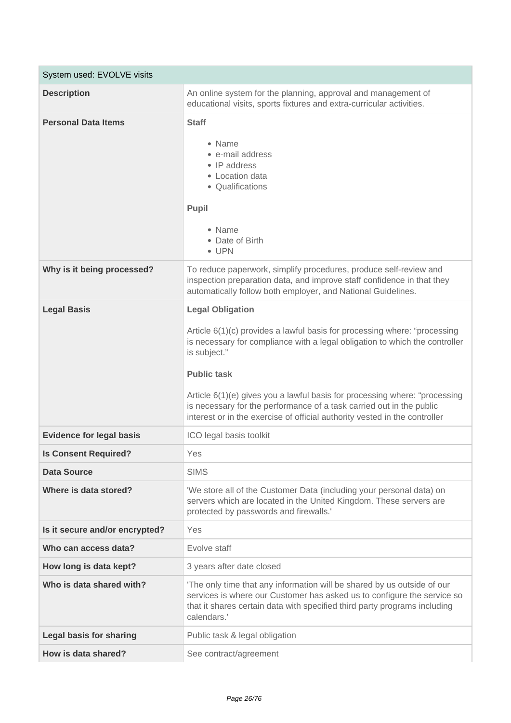| System used: EVOLVE visits      |                                                                                                                                                                                                                                                                                                                                                                                                                                                               |
|---------------------------------|---------------------------------------------------------------------------------------------------------------------------------------------------------------------------------------------------------------------------------------------------------------------------------------------------------------------------------------------------------------------------------------------------------------------------------------------------------------|
| <b>Description</b>              | An online system for the planning, approval and management of<br>educational visits, sports fixtures and extra-curricular activities.                                                                                                                                                                                                                                                                                                                         |
| <b>Personal Data Items</b>      | <b>Staff</b><br>• Name<br>• e-mail address<br>• IP address<br>• Location data<br>• Qualifications<br>Pupil<br>• Name<br>• Date of Birth<br>$\bullet$ UPN                                                                                                                                                                                                                                                                                                      |
| Why is it being processed?      | To reduce paperwork, simplify procedures, produce self-review and<br>inspection preparation data, and improve staff confidence in that they<br>automatically follow both employer, and National Guidelines.                                                                                                                                                                                                                                                   |
| <b>Legal Basis</b>              | <b>Legal Obligation</b><br>Article 6(1)(c) provides a lawful basis for processing where: "processing<br>is necessary for compliance with a legal obligation to which the controller<br>is subject."<br><b>Public task</b><br>Article 6(1)(e) gives you a lawful basis for processing where: "processing<br>is necessary for the performance of a task carried out in the public<br>interest or in the exercise of official authority vested in the controller |
| <b>Evidence for legal basis</b> | ICO legal basis toolkit                                                                                                                                                                                                                                                                                                                                                                                                                                       |
| <b>Is Consent Required?</b>     | Yes                                                                                                                                                                                                                                                                                                                                                                                                                                                           |
| <b>Data Source</b>              | <b>SIMS</b>                                                                                                                                                                                                                                                                                                                                                                                                                                                   |
| Where is data stored?           | 'We store all of the Customer Data (including your personal data) on<br>servers which are located in the United Kingdom. These servers are<br>protected by passwords and firewalls.'                                                                                                                                                                                                                                                                          |
| Is it secure and/or encrypted?  | Yes                                                                                                                                                                                                                                                                                                                                                                                                                                                           |
| Who can access data?            | Evolve staff                                                                                                                                                                                                                                                                                                                                                                                                                                                  |
| How long is data kept?          | 3 years after date closed                                                                                                                                                                                                                                                                                                                                                                                                                                     |
| Who is data shared with?        | 'The only time that any information will be shared by us outside of our<br>services is where our Customer has asked us to configure the service so<br>that it shares certain data with specified third party programs including<br>calendars.'                                                                                                                                                                                                                |
| <b>Legal basis for sharing</b>  | Public task & legal obligation                                                                                                                                                                                                                                                                                                                                                                                                                                |
| How is data shared?             | See contract/agreement                                                                                                                                                                                                                                                                                                                                                                                                                                        |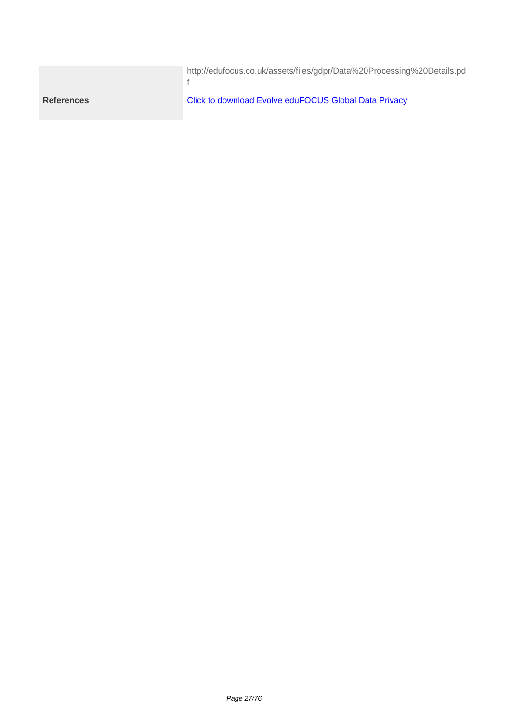|                   | http://edufocus.co.uk/assets/files/gdpr/Data%20Processing%20Details.pd |
|-------------------|------------------------------------------------------------------------|
| <b>References</b> | <b>Click to download Evolve eduFOCUS Global Data Privacy</b>           |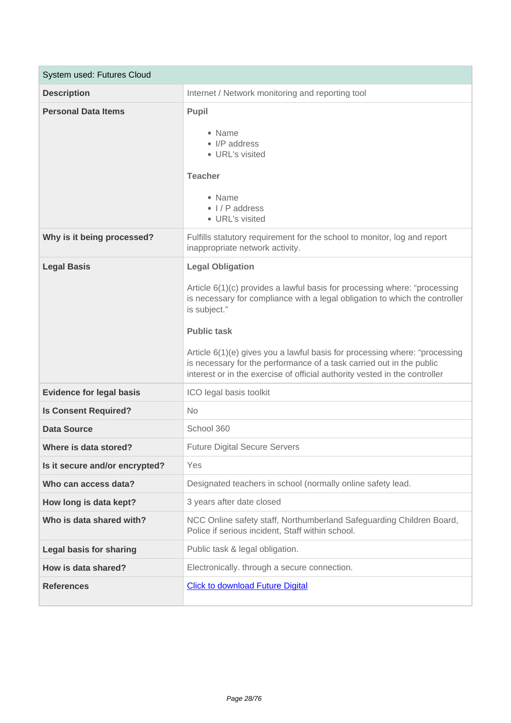| System used: Futures Cloud      |                                                                                                                                                                                                                                                                                                                                                                                                                                                               |
|---------------------------------|---------------------------------------------------------------------------------------------------------------------------------------------------------------------------------------------------------------------------------------------------------------------------------------------------------------------------------------------------------------------------------------------------------------------------------------------------------------|
| <b>Description</b>              | Internet / Network monitoring and reporting tool                                                                                                                                                                                                                                                                                                                                                                                                              |
| <b>Personal Data Items</b>      | Pupil<br>• Name<br>• I/P address<br>• URL's visited<br><b>Teacher</b><br>• Name<br>$\bullet$ I/P address<br>• URL's visited                                                                                                                                                                                                                                                                                                                                   |
| Why is it being processed?      | Fulfills statutory requirement for the school to monitor, log and report<br>inappropriate network activity.                                                                                                                                                                                                                                                                                                                                                   |
| <b>Legal Basis</b>              | <b>Legal Obligation</b><br>Article 6(1)(c) provides a lawful basis for processing where: "processing<br>is necessary for compliance with a legal obligation to which the controller<br>is subject."<br><b>Public task</b><br>Article 6(1)(e) gives you a lawful basis for processing where: "processing<br>is necessary for the performance of a task carried out in the public<br>interest or in the exercise of official authority vested in the controller |
| <b>Evidence for legal basis</b> | ICO legal basis toolkit                                                                                                                                                                                                                                                                                                                                                                                                                                       |
| <b>Is Consent Required?</b>     | <b>No</b>                                                                                                                                                                                                                                                                                                                                                                                                                                                     |
| <b>Data Source</b>              | School 360                                                                                                                                                                                                                                                                                                                                                                                                                                                    |
| Where is data stored?           | <b>Future Digital Secure Servers</b>                                                                                                                                                                                                                                                                                                                                                                                                                          |
| Is it secure and/or encrypted?  | Yes                                                                                                                                                                                                                                                                                                                                                                                                                                                           |
| Who can access data?            | Designated teachers in school (normally online safety lead.                                                                                                                                                                                                                                                                                                                                                                                                   |
| How long is data kept?          | 3 years after date closed                                                                                                                                                                                                                                                                                                                                                                                                                                     |
| Who is data shared with?        | NCC Online safety staff, Northumberland Safeguarding Children Board,<br>Police if serious incident, Staff within school.                                                                                                                                                                                                                                                                                                                                      |
| <b>Legal basis for sharing</b>  | Public task & legal obligation.                                                                                                                                                                                                                                                                                                                                                                                                                               |
| How is data shared?             | Electronically. through a secure connection.                                                                                                                                                                                                                                                                                                                                                                                                                  |
| <b>References</b>               | <b>Click to download Future Digital</b>                                                                                                                                                                                                                                                                                                                                                                                                                       |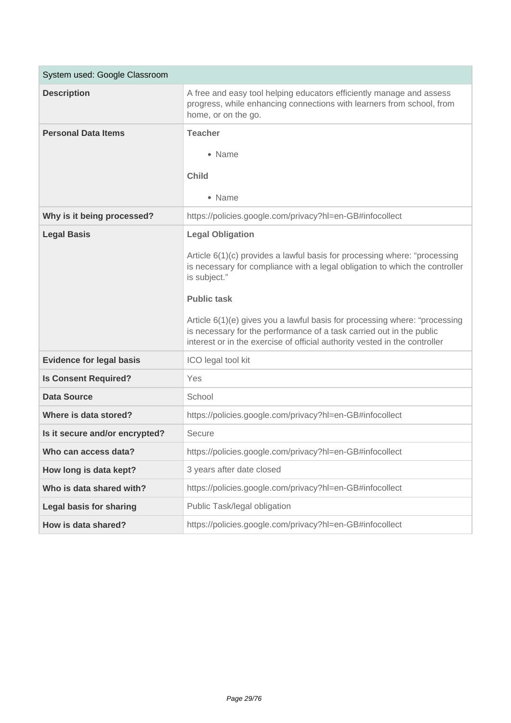| System used: Google Classroom   |                                                                                                                                                                                                                                  |
|---------------------------------|----------------------------------------------------------------------------------------------------------------------------------------------------------------------------------------------------------------------------------|
| <b>Description</b>              | A free and easy tool helping educators efficiently manage and assess<br>progress, while enhancing connections with learners from school, from<br>home, or on the go.                                                             |
| <b>Personal Data Items</b>      | <b>Teacher</b>                                                                                                                                                                                                                   |
|                                 | • Name                                                                                                                                                                                                                           |
|                                 | <b>Child</b>                                                                                                                                                                                                                     |
|                                 |                                                                                                                                                                                                                                  |
|                                 | • Name                                                                                                                                                                                                                           |
| Why is it being processed?      | https://policies.google.com/privacy?hl=en-GB#infocollect                                                                                                                                                                         |
| <b>Legal Basis</b>              | <b>Legal Obligation</b>                                                                                                                                                                                                          |
|                                 | Article 6(1)(c) provides a lawful basis for processing where: "processing<br>is necessary for compliance with a legal obligation to which the controller<br>is subject."                                                         |
|                                 | <b>Public task</b>                                                                                                                                                                                                               |
|                                 | Article 6(1)(e) gives you a lawful basis for processing where: "processing<br>is necessary for the performance of a task carried out in the public<br>interest or in the exercise of official authority vested in the controller |
| <b>Evidence for legal basis</b> | ICO legal tool kit                                                                                                                                                                                                               |
| <b>Is Consent Required?</b>     | Yes                                                                                                                                                                                                                              |
| <b>Data Source</b>              | School                                                                                                                                                                                                                           |
| Where is data stored?           | https://policies.google.com/privacy?hl=en-GB#infocollect                                                                                                                                                                         |
| Is it secure and/or encrypted?  | Secure                                                                                                                                                                                                                           |
| Who can access data?            | https://policies.google.com/privacy?hl=en-GB#infocollect                                                                                                                                                                         |
| How long is data kept?          | 3 years after date closed                                                                                                                                                                                                        |
| Who is data shared with?        | https://policies.google.com/privacy?hl=en-GB#infocollect                                                                                                                                                                         |
| <b>Legal basis for sharing</b>  | Public Task/legal obligation                                                                                                                                                                                                     |
| How is data shared?             | https://policies.google.com/privacy?hl=en-GB#infocollect                                                                                                                                                                         |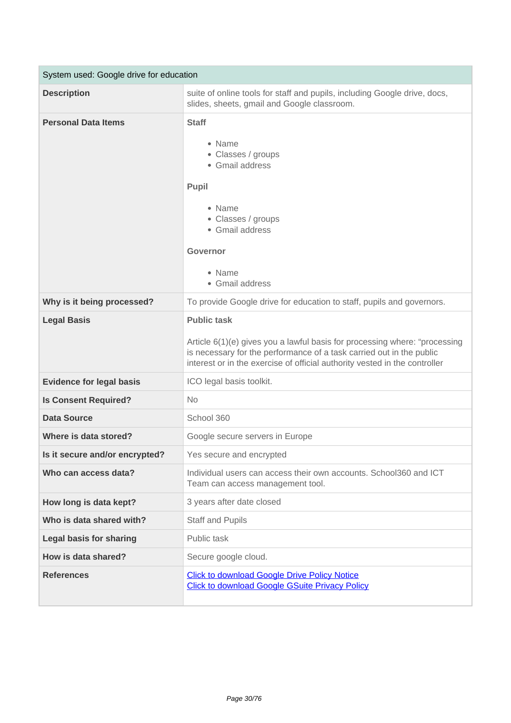| System used: Google drive for education |                                                                                                                                                                                                                                                        |
|-----------------------------------------|--------------------------------------------------------------------------------------------------------------------------------------------------------------------------------------------------------------------------------------------------------|
| <b>Description</b>                      | suite of online tools for staff and pupils, including Google drive, docs,<br>slides, sheets, gmail and Google classroom.                                                                                                                               |
| <b>Personal Data Items</b>              | <b>Staff</b><br>• Name<br>• Classes / groups<br>• Gmail address<br>Pupil<br>• Name<br>• Classes / groups<br>• Gmail address<br>Governor<br>• Name<br>• Gmail address                                                                                   |
| Why is it being processed?              | To provide Google drive for education to staff, pupils and governors.                                                                                                                                                                                  |
| <b>Legal Basis</b>                      | <b>Public task</b><br>Article 6(1)(e) gives you a lawful basis for processing where: "processing<br>is necessary for the performance of a task carried out in the public<br>interest or in the exercise of official authority vested in the controller |
| <b>Evidence for legal basis</b>         | ICO legal basis toolkit.                                                                                                                                                                                                                               |
| <b>Is Consent Required?</b>             | <b>No</b>                                                                                                                                                                                                                                              |
| <b>Data Source</b>                      | School 360                                                                                                                                                                                                                                             |
| Where is data stored?                   | Google secure servers in Europe                                                                                                                                                                                                                        |
| Is it secure and/or encrypted?          | Yes secure and encrypted                                                                                                                                                                                                                               |
| Who can access data?                    | Individual users can access their own accounts. School360 and ICT<br>Team can access management tool.                                                                                                                                                  |
| How long is data kept?                  | 3 years after date closed                                                                                                                                                                                                                              |
| Who is data shared with?                | <b>Staff and Pupils</b>                                                                                                                                                                                                                                |
| <b>Legal basis for sharing</b>          | Public task                                                                                                                                                                                                                                            |
| How is data shared?                     | Secure google cloud.                                                                                                                                                                                                                                   |
| <b>References</b>                       | <b>Click to download Google Drive Policy Notice</b><br><b>Click to download Google GSuite Privacy Policy</b>                                                                                                                                           |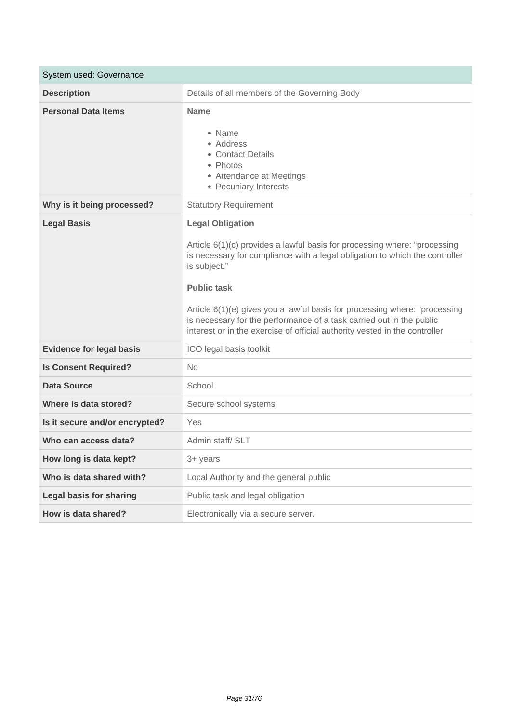| System used: Governance         |                                                                                                                                                                                                                                                                                                                                                                                                                                                               |
|---------------------------------|---------------------------------------------------------------------------------------------------------------------------------------------------------------------------------------------------------------------------------------------------------------------------------------------------------------------------------------------------------------------------------------------------------------------------------------------------------------|
| <b>Description</b>              | Details of all members of the Governing Body                                                                                                                                                                                                                                                                                                                                                                                                                  |
| <b>Personal Data Items</b>      | <b>Name</b><br>• Name<br>• Address<br>• Contact Details<br>• Photos<br>• Attendance at Meetings<br>• Pecuniary Interests                                                                                                                                                                                                                                                                                                                                      |
| Why is it being processed?      | <b>Statutory Requirement</b>                                                                                                                                                                                                                                                                                                                                                                                                                                  |
| <b>Legal Basis</b>              | <b>Legal Obligation</b><br>Article 6(1)(c) provides a lawful basis for processing where: "processing<br>is necessary for compliance with a legal obligation to which the controller<br>is subject."<br><b>Public task</b><br>Article 6(1)(e) gives you a lawful basis for processing where: "processing<br>is necessary for the performance of a task carried out in the public<br>interest or in the exercise of official authority vested in the controller |
| <b>Evidence for legal basis</b> | ICO legal basis toolkit                                                                                                                                                                                                                                                                                                                                                                                                                                       |
| <b>Is Consent Required?</b>     | <b>No</b>                                                                                                                                                                                                                                                                                                                                                                                                                                                     |
| <b>Data Source</b>              | School                                                                                                                                                                                                                                                                                                                                                                                                                                                        |
| Where is data stored?           | Secure school systems                                                                                                                                                                                                                                                                                                                                                                                                                                         |
| Is it secure and/or encrypted?  | Yes                                                                                                                                                                                                                                                                                                                                                                                                                                                           |
| Who can access data?            | Admin staff/ SLT                                                                                                                                                                                                                                                                                                                                                                                                                                              |
| How long is data kept?          | 3+ years                                                                                                                                                                                                                                                                                                                                                                                                                                                      |
| Who is data shared with?        | Local Authority and the general public                                                                                                                                                                                                                                                                                                                                                                                                                        |
| <b>Legal basis for sharing</b>  | Public task and legal obligation                                                                                                                                                                                                                                                                                                                                                                                                                              |
| How is data shared?             | Electronically via a secure server.                                                                                                                                                                                                                                                                                                                                                                                                                           |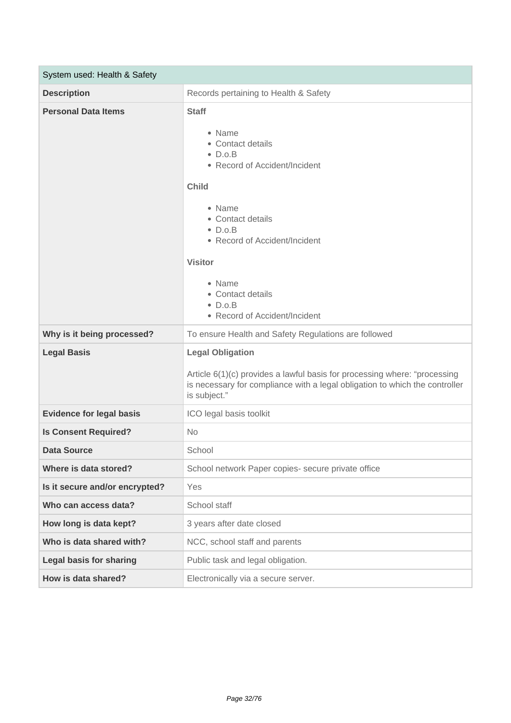| System used: Health & Safety    |                                                                                                                                                                                                                                                                                                         |
|---------------------------------|---------------------------------------------------------------------------------------------------------------------------------------------------------------------------------------------------------------------------------------------------------------------------------------------------------|
| <b>Description</b>              | Records pertaining to Health & Safety                                                                                                                                                                                                                                                                   |
| <b>Personal Data Items</b>      | <b>Staff</b><br>• Name<br>• Contact details<br>$\bullet$ D.o.B<br>• Record of Accident/Incident<br><b>Child</b><br>• Name<br>• Contact details<br>$\bullet$ D.o.B<br>• Record of Accident/Incident<br><b>Visitor</b><br>• Name<br>• Contact details<br>$\bullet$ D.o.B<br>• Record of Accident/Incident |
| Why is it being processed?      | To ensure Health and Safety Regulations are followed                                                                                                                                                                                                                                                    |
| <b>Legal Basis</b>              | <b>Legal Obligation</b><br>Article 6(1)(c) provides a lawful basis for processing where: "processing<br>is necessary for compliance with a legal obligation to which the controller<br>is subject."                                                                                                     |
| <b>Evidence for legal basis</b> | ICO legal basis toolkit                                                                                                                                                                                                                                                                                 |
| <b>Is Consent Required?</b>     | No                                                                                                                                                                                                                                                                                                      |
| <b>Data Source</b>              | School                                                                                                                                                                                                                                                                                                  |
| Where is data stored?           | School network Paper copies- secure private office                                                                                                                                                                                                                                                      |
|                                 |                                                                                                                                                                                                                                                                                                         |
| Is it secure and/or encrypted?  | Yes                                                                                                                                                                                                                                                                                                     |
| Who can access data?            | School staff                                                                                                                                                                                                                                                                                            |
| How long is data kept?          | 3 years after date closed                                                                                                                                                                                                                                                                               |
| Who is data shared with?        | NCC, school staff and parents                                                                                                                                                                                                                                                                           |
| <b>Legal basis for sharing</b>  | Public task and legal obligation.                                                                                                                                                                                                                                                                       |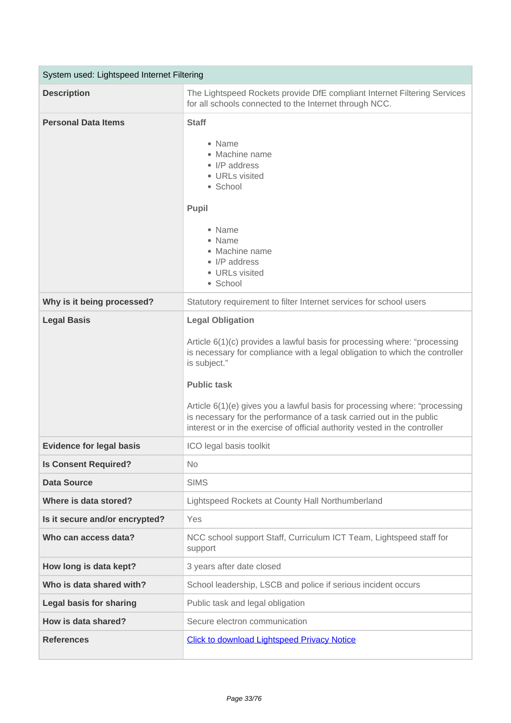| System used: Lightspeed Internet Filtering |                                                                                                                                                                                                                                                                                                                                                                                                                                                               |
|--------------------------------------------|---------------------------------------------------------------------------------------------------------------------------------------------------------------------------------------------------------------------------------------------------------------------------------------------------------------------------------------------------------------------------------------------------------------------------------------------------------------|
| <b>Description</b>                         | The Lightspeed Rockets provide DfE compliant Internet Filtering Services<br>for all schools connected to the Internet through NCC.                                                                                                                                                                                                                                                                                                                            |
| <b>Personal Data Items</b>                 | <b>Staff</b><br>• Name<br>• Machine name<br>• I/P address<br>• URLs visited<br>• School<br>Pupil<br>• Name<br>• Name<br>• Machine name<br>• I/P address<br>• URLs visited<br>• School                                                                                                                                                                                                                                                                         |
| Why is it being processed?                 | Statutory requirement to filter Internet services for school users                                                                                                                                                                                                                                                                                                                                                                                            |
| <b>Legal Basis</b>                         | <b>Legal Obligation</b><br>Article 6(1)(c) provides a lawful basis for processing where: "processing<br>is necessary for compliance with a legal obligation to which the controller<br>is subject."<br><b>Public task</b><br>Article 6(1)(e) gives you a lawful basis for processing where: "processing<br>is necessary for the performance of a task carried out in the public<br>interest or in the exercise of official authority vested in the controller |
| <b>Evidence for legal basis</b>            | ICO legal basis toolkit                                                                                                                                                                                                                                                                                                                                                                                                                                       |
| <b>Is Consent Required?</b>                | No.                                                                                                                                                                                                                                                                                                                                                                                                                                                           |
| <b>Data Source</b>                         | <b>SIMS</b>                                                                                                                                                                                                                                                                                                                                                                                                                                                   |
| Where is data stored?                      | Lightspeed Rockets at County Hall Northumberland                                                                                                                                                                                                                                                                                                                                                                                                              |
| Is it secure and/or encrypted?             | Yes                                                                                                                                                                                                                                                                                                                                                                                                                                                           |
| Who can access data?                       | NCC school support Staff, Curriculum ICT Team, Lightspeed staff for<br>support                                                                                                                                                                                                                                                                                                                                                                                |
| How long is data kept?                     | 3 years after date closed                                                                                                                                                                                                                                                                                                                                                                                                                                     |
| Who is data shared with?                   | School leadership, LSCB and police if serious incident occurs                                                                                                                                                                                                                                                                                                                                                                                                 |
| <b>Legal basis for sharing</b>             | Public task and legal obligation                                                                                                                                                                                                                                                                                                                                                                                                                              |
| How is data shared?                        | Secure electron communication                                                                                                                                                                                                                                                                                                                                                                                                                                 |
| <b>References</b>                          | <b>Click to download Lightspeed Privacy Notice</b>                                                                                                                                                                                                                                                                                                                                                                                                            |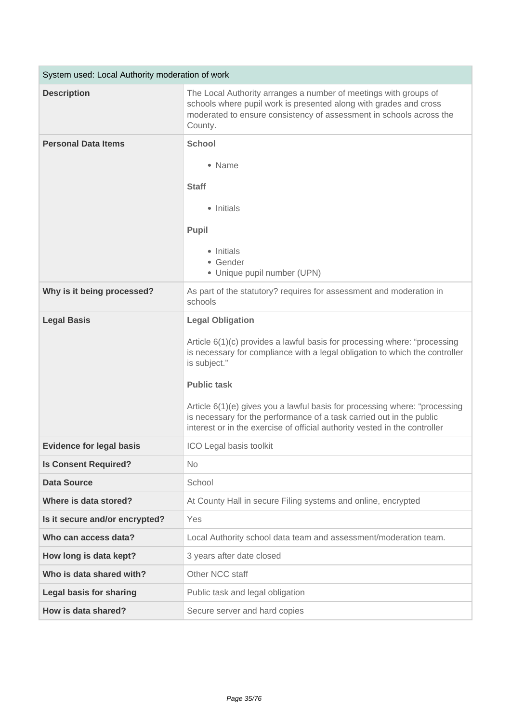| System used: Local Authority moderation of work |                                                                                                                                                                                                                                                                                                                                                                                                                                                               |
|-------------------------------------------------|---------------------------------------------------------------------------------------------------------------------------------------------------------------------------------------------------------------------------------------------------------------------------------------------------------------------------------------------------------------------------------------------------------------------------------------------------------------|
| <b>Description</b>                              | The Local Authority arranges a number of meetings with groups of<br>schools where pupil work is presented along with grades and cross<br>moderated to ensure consistency of assessment in schools across the<br>County.                                                                                                                                                                                                                                       |
| <b>Personal Data Items</b>                      | <b>School</b><br>• Name<br><b>Staff</b><br>• Initials<br>Pupil<br>• Initials<br>• Gender<br>• Unique pupil number (UPN)                                                                                                                                                                                                                                                                                                                                       |
| Why is it being processed?                      | As part of the statutory? requires for assessment and moderation in<br>schools                                                                                                                                                                                                                                                                                                                                                                                |
| <b>Legal Basis</b>                              | <b>Legal Obligation</b><br>Article 6(1)(c) provides a lawful basis for processing where: "processing<br>is necessary for compliance with a legal obligation to which the controller<br>is subject."<br><b>Public task</b><br>Article 6(1)(e) gives you a lawful basis for processing where: "processing<br>is necessary for the performance of a task carried out in the public<br>interest or in the exercise of official authority vested in the controller |
| <b>Evidence for legal basis</b>                 | ICO Legal basis toolkit                                                                                                                                                                                                                                                                                                                                                                                                                                       |
| <b>Is Consent Required?</b>                     | <b>No</b>                                                                                                                                                                                                                                                                                                                                                                                                                                                     |
| <b>Data Source</b>                              | School                                                                                                                                                                                                                                                                                                                                                                                                                                                        |
| Where is data stored?                           | At County Hall in secure Filing systems and online, encrypted                                                                                                                                                                                                                                                                                                                                                                                                 |
| Is it secure and/or encrypted?                  | Yes                                                                                                                                                                                                                                                                                                                                                                                                                                                           |
| Who can access data?                            | Local Authority school data team and assessment/moderation team.                                                                                                                                                                                                                                                                                                                                                                                              |
| How long is data kept?                          | 3 years after date closed                                                                                                                                                                                                                                                                                                                                                                                                                                     |
| Who is data shared with?                        | Other NCC staff                                                                                                                                                                                                                                                                                                                                                                                                                                               |
| <b>Legal basis for sharing</b>                  | Public task and legal obligation                                                                                                                                                                                                                                                                                                                                                                                                                              |
| How is data shared?                             | Secure server and hard copies                                                                                                                                                                                                                                                                                                                                                                                                                                 |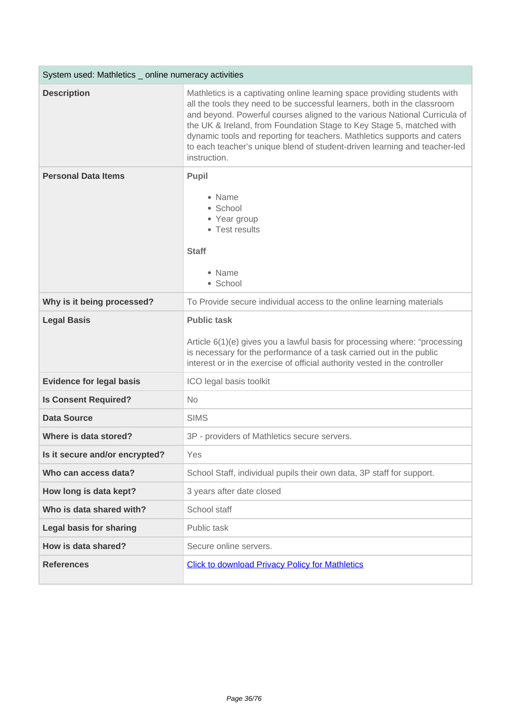| System used: Mathletics _ online numeracy activities |                                                                                                                                                                                                                                                                                                                                                                                                                                                                                     |
|------------------------------------------------------|-------------------------------------------------------------------------------------------------------------------------------------------------------------------------------------------------------------------------------------------------------------------------------------------------------------------------------------------------------------------------------------------------------------------------------------------------------------------------------------|
| <b>Description</b>                                   | Mathletics is a captivating online learning space providing students with<br>all the tools they need to be successful learners, both in the classroom<br>and beyond. Powerful courses aligned to the various National Curricula of<br>the UK & Ireland, from Foundation Stage to Key Stage 5, matched with<br>dynamic tools and reporting for teachers. Mathletics supports and caters<br>to each teacher's unique blend of student-driven learning and teacher-led<br>instruction. |
| <b>Personal Data Items</b>                           | <b>Pupil</b>                                                                                                                                                                                                                                                                                                                                                                                                                                                                        |
|                                                      | • Name<br>• School<br>• Year group<br>• Test results<br><b>Staff</b><br>• Name<br>· School                                                                                                                                                                                                                                                                                                                                                                                          |
| Why is it being processed?                           | To Provide secure individual access to the online learning materials                                                                                                                                                                                                                                                                                                                                                                                                                |
| <b>Legal Basis</b>                                   | <b>Public task</b>                                                                                                                                                                                                                                                                                                                                                                                                                                                                  |
|                                                      | Article 6(1)(e) gives you a lawful basis for processing where: "processing<br>is necessary for the performance of a task carried out in the public<br>interest or in the exercise of official authority vested in the controller                                                                                                                                                                                                                                                    |
| <b>Evidence for legal basis</b>                      | ICO legal basis toolkit                                                                                                                                                                                                                                                                                                                                                                                                                                                             |
| <b>Is Consent Required?</b>                          | <b>No</b>                                                                                                                                                                                                                                                                                                                                                                                                                                                                           |
| <b>Data Source</b>                                   | <b>SIMS</b>                                                                                                                                                                                                                                                                                                                                                                                                                                                                         |
| Where is data stored?                                | 3P - providers of Mathletics secure servers.                                                                                                                                                                                                                                                                                                                                                                                                                                        |
| Is it secure and/or encrypted?                       | Yes                                                                                                                                                                                                                                                                                                                                                                                                                                                                                 |
| Who can access data?                                 | School Staff, individual pupils their own data, 3P staff for support.                                                                                                                                                                                                                                                                                                                                                                                                               |
| How long is data kept?                               | 3 years after date closed                                                                                                                                                                                                                                                                                                                                                                                                                                                           |
| Who is data shared with?                             | School staff                                                                                                                                                                                                                                                                                                                                                                                                                                                                        |
| <b>Legal basis for sharing</b>                       | Public task                                                                                                                                                                                                                                                                                                                                                                                                                                                                         |
| How is data shared?                                  | Secure online servers.                                                                                                                                                                                                                                                                                                                                                                                                                                                              |
| <b>References</b>                                    | <b>Click to download Privacy Policy for Mathletics</b>                                                                                                                                                                                                                                                                                                                                                                                                                              |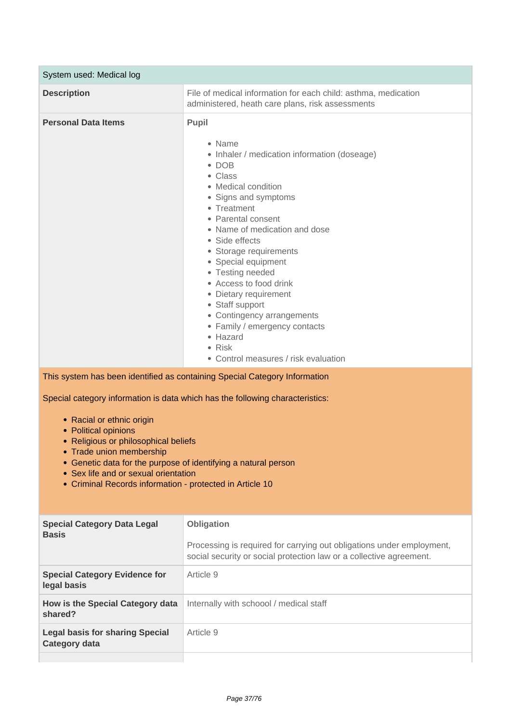| System used: Medical log                                                                                                                                                                                                                                                                                                                                                                                                                                   |                                                                                                                                                                                                                                                                                                                                                                                                                                                                                                                   |
|------------------------------------------------------------------------------------------------------------------------------------------------------------------------------------------------------------------------------------------------------------------------------------------------------------------------------------------------------------------------------------------------------------------------------------------------------------|-------------------------------------------------------------------------------------------------------------------------------------------------------------------------------------------------------------------------------------------------------------------------------------------------------------------------------------------------------------------------------------------------------------------------------------------------------------------------------------------------------------------|
| <b>Description</b>                                                                                                                                                                                                                                                                                                                                                                                                                                         | File of medical information for each child: asthma, medication<br>administered, heath care plans, risk assessments                                                                                                                                                                                                                                                                                                                                                                                                |
| <b>Personal Data Items</b>                                                                                                                                                                                                                                                                                                                                                                                                                                 | <b>Pupil</b><br>• Name<br>• Inhaler / medication information (doseage)<br>$\bullet$ DOB<br>• Class<br>• Medical condition<br>• Signs and symptoms<br>• Treatment<br>• Parental consent<br>• Name of medication and dose<br>• Side effects<br>• Storage requirements<br>• Special equipment<br>• Testing needed<br>• Access to food drink<br>• Dietary requirement<br>• Staff support<br>• Contingency arrangements<br>• Family / emergency contacts<br>• Hazard<br>• Risk<br>• Control measures / risk evaluation |
| This system has been identified as containing Special Category Information<br>Special category information is data which has the following characteristics:<br>• Racial or ethnic origin<br>• Political opinions<br>• Religious or philosophical beliefs<br>• Trade union membership<br>• Genetic data for the purpose of identifying a natural person<br>• Sex life and or sexual orientation<br>• Criminal Records information - protected in Article 10 |                                                                                                                                                                                                                                                                                                                                                                                                                                                                                                                   |
| <b>Special Category Data Legal</b><br><b>Basis</b>                                                                                                                                                                                                                                                                                                                                                                                                         | Obligation<br>Processing is required for carrying out obligations under employment,<br>social security or social protection law or a collective agreement.                                                                                                                                                                                                                                                                                                                                                        |
| <b>Special Category Evidence for</b><br>legal basis                                                                                                                                                                                                                                                                                                                                                                                                        | Article 9                                                                                                                                                                                                                                                                                                                                                                                                                                                                                                         |
| How is the Special Category data<br>shared?                                                                                                                                                                                                                                                                                                                                                                                                                | Internally with schoool / medical staff                                                                                                                                                                                                                                                                                                                                                                                                                                                                           |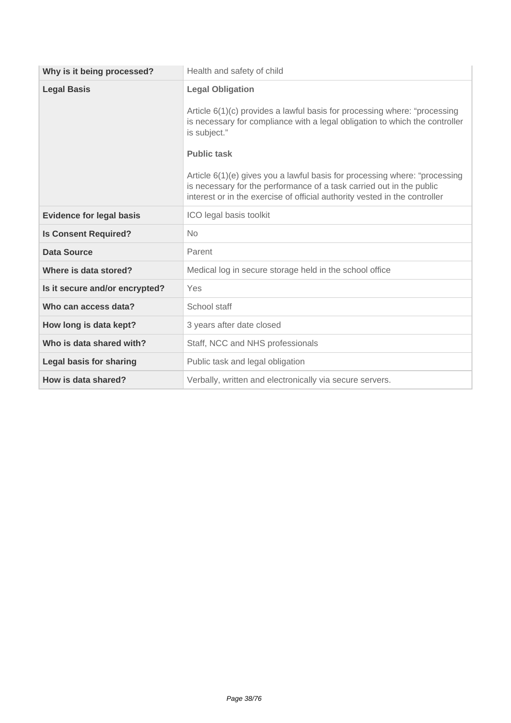| Why is it being processed?      | Health and safety of child                                                                                                                                                                                                                                                                                                                                                                                                                                    |
|---------------------------------|---------------------------------------------------------------------------------------------------------------------------------------------------------------------------------------------------------------------------------------------------------------------------------------------------------------------------------------------------------------------------------------------------------------------------------------------------------------|
| <b>Legal Basis</b>              | <b>Legal Obligation</b><br>Article 6(1)(c) provides a lawful basis for processing where: "processing<br>is necessary for compliance with a legal obligation to which the controller<br>is subject."<br><b>Public task</b><br>Article 6(1)(e) gives you a lawful basis for processing where: "processing<br>is necessary for the performance of a task carried out in the public<br>interest or in the exercise of official authority vested in the controller |
| <b>Evidence for legal basis</b> | ICO legal basis toolkit                                                                                                                                                                                                                                                                                                                                                                                                                                       |
| <b>Is Consent Required?</b>     | No                                                                                                                                                                                                                                                                                                                                                                                                                                                            |
| <b>Data Source</b>              | Parent                                                                                                                                                                                                                                                                                                                                                                                                                                                        |
| Where is data stored?           | Medical log in secure storage held in the school office                                                                                                                                                                                                                                                                                                                                                                                                       |
| Is it secure and/or encrypted?  | Yes                                                                                                                                                                                                                                                                                                                                                                                                                                                           |
| Who can access data?            | School staff                                                                                                                                                                                                                                                                                                                                                                                                                                                  |
| How long is data kept?          | 3 years after date closed                                                                                                                                                                                                                                                                                                                                                                                                                                     |
| Who is data shared with?        | Staff, NCC and NHS professionals                                                                                                                                                                                                                                                                                                                                                                                                                              |
| <b>Legal basis for sharing</b>  | Public task and legal obligation                                                                                                                                                                                                                                                                                                                                                                                                                              |
| How is data shared?             | Verbally, written and electronically via secure servers.                                                                                                                                                                                                                                                                                                                                                                                                      |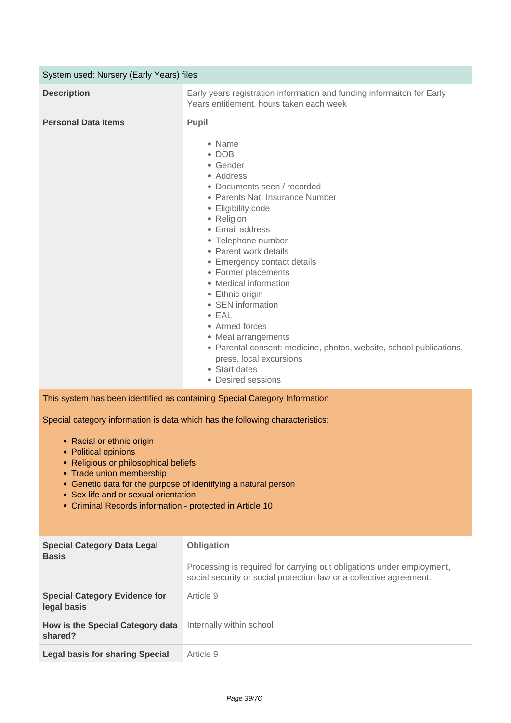| System used: Nursery (Early Years) files                                                                                                                                                                                                                                                                                                                                                                                                                   |                                                                                                                                                                                                                                                                                                                                                                                                                                                                                                                                                                    |  |
|------------------------------------------------------------------------------------------------------------------------------------------------------------------------------------------------------------------------------------------------------------------------------------------------------------------------------------------------------------------------------------------------------------------------------------------------------------|--------------------------------------------------------------------------------------------------------------------------------------------------------------------------------------------------------------------------------------------------------------------------------------------------------------------------------------------------------------------------------------------------------------------------------------------------------------------------------------------------------------------------------------------------------------------|--|
| <b>Description</b>                                                                                                                                                                                                                                                                                                                                                                                                                                         | Early years registration information and funding informaiton for Early<br>Years entitlement, hours taken each week                                                                                                                                                                                                                                                                                                                                                                                                                                                 |  |
| <b>Personal Data Items</b>                                                                                                                                                                                                                                                                                                                                                                                                                                 | <b>Pupil</b><br>• Name<br>$\bullet$ DOB<br>• Gender<br>• Address<br>• Documents seen / recorded<br>• Parents Nat. Insurance Number<br>• Eligibility code<br>• Religion<br>• Email address<br>• Telephone number<br>• Parent work details<br>• Emergency contact details<br>• Former placements<br>• Medical information<br>• Ethnic origin<br>• SEN information<br>$\bullet$ EAL<br>• Armed forces<br>• Meal arrangements<br>• Parental consent: medicine, photos, website, school publications,<br>press, local excursions<br>• Start dates<br>• Desired sessions |  |
| This system has been identified as containing Special Category Information<br>Special category information is data which has the following characteristics:<br>• Racial or ethnic origin<br>• Political opinions<br>• Religious or philosophical beliefs<br>• Trade union membership<br>• Genetic data for the purpose of identifying a natural person<br>• Sex life and or sexual orientation<br>• Criminal Records information - protected in Article 10 |                                                                                                                                                                                                                                                                                                                                                                                                                                                                                                                                                                    |  |
| <b>Special Category Data Legal</b><br><b>Basis</b>                                                                                                                                                                                                                                                                                                                                                                                                         | Obligation<br>Processing is required for carrying out obligations under employment,<br>social security or social protection law or a collective agreement.                                                                                                                                                                                                                                                                                                                                                                                                         |  |
| <b>Special Category Evidence for</b><br>legal basis                                                                                                                                                                                                                                                                                                                                                                                                        | Article 9                                                                                                                                                                                                                                                                                                                                                                                                                                                                                                                                                          |  |
| How is the Special Category data<br>shared?                                                                                                                                                                                                                                                                                                                                                                                                                | Internally within school                                                                                                                                                                                                                                                                                                                                                                                                                                                                                                                                           |  |
| <b>Legal basis for sharing Special</b>                                                                                                                                                                                                                                                                                                                                                                                                                     | Article 9                                                                                                                                                                                                                                                                                                                                                                                                                                                                                                                                                          |  |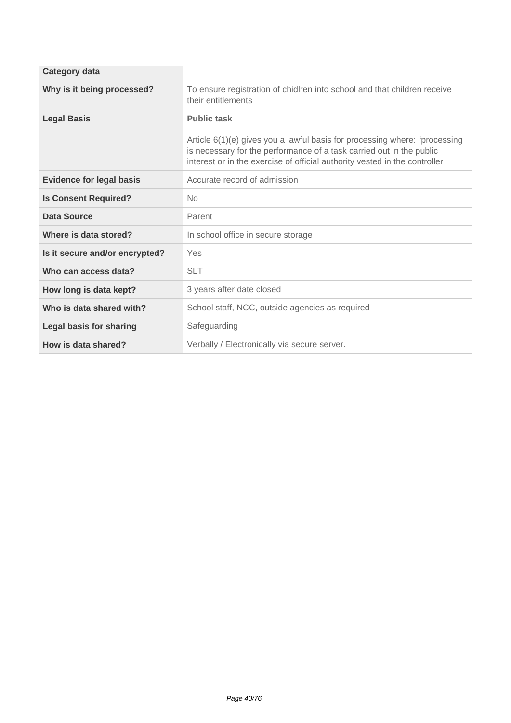| <b>Category data</b>            |                                                                                                                                                                                                                                                        |
|---------------------------------|--------------------------------------------------------------------------------------------------------------------------------------------------------------------------------------------------------------------------------------------------------|
| Why is it being processed?      | To ensure registration of chidlren into school and that children receive<br>their entitlements                                                                                                                                                         |
| <b>Legal Basis</b>              | <b>Public task</b><br>Article 6(1)(e) gives you a lawful basis for processing where: "processing<br>is necessary for the performance of a task carried out in the public<br>interest or in the exercise of official authority vested in the controller |
| <b>Evidence for legal basis</b> | Accurate record of admission                                                                                                                                                                                                                           |
| <b>Is Consent Required?</b>     | No                                                                                                                                                                                                                                                     |
| Data Source                     | Parent                                                                                                                                                                                                                                                 |
| Where is data stored?           | In school office in secure storage                                                                                                                                                                                                                     |
| Is it secure and/or encrypted?  | Yes                                                                                                                                                                                                                                                    |
| Who can access data?            | <b>SLT</b>                                                                                                                                                                                                                                             |
| How long is data kept?          | 3 years after date closed                                                                                                                                                                                                                              |
| Who is data shared with?        | School staff, NCC, outside agencies as required                                                                                                                                                                                                        |
| <b>Legal basis for sharing</b>  | Safeguarding                                                                                                                                                                                                                                           |
| How is data shared?             | Verbally / Electronically via secure server.                                                                                                                                                                                                           |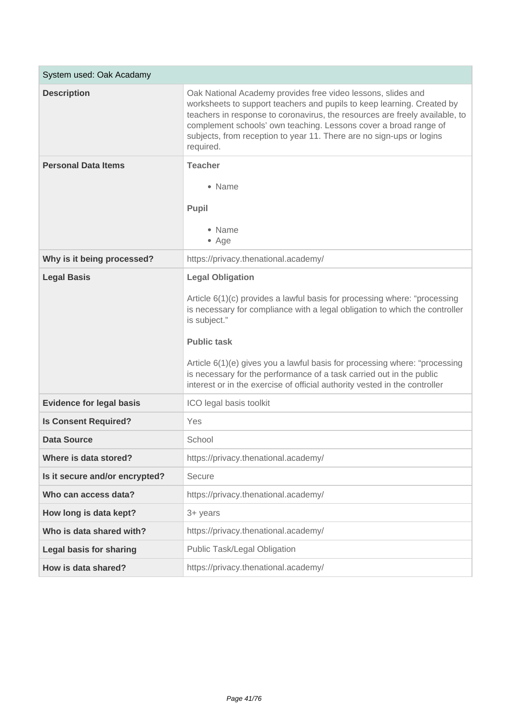| System used: Oak Acadamy        |                                                                                                                                                                                                                                                                                                                                                                                                                                                               |
|---------------------------------|---------------------------------------------------------------------------------------------------------------------------------------------------------------------------------------------------------------------------------------------------------------------------------------------------------------------------------------------------------------------------------------------------------------------------------------------------------------|
| <b>Description</b>              | Oak National Academy provides free video lessons, slides and<br>worksheets to support teachers and pupils to keep learning. Created by<br>teachers in response to coronavirus, the resources are freely available, to<br>complement schools' own teaching. Lessons cover a broad range of<br>subjects, from reception to year 11. There are no sign-ups or logins<br>required.                                                                                |
| <b>Personal Data Items</b>      | <b>Teacher</b><br>• Name<br>Pupil<br>• Name<br>• Age                                                                                                                                                                                                                                                                                                                                                                                                          |
| Why is it being processed?      | https://privacy.thenational.academy/                                                                                                                                                                                                                                                                                                                                                                                                                          |
| <b>Legal Basis</b>              | <b>Legal Obligation</b><br>Article 6(1)(c) provides a lawful basis for processing where: "processing<br>is necessary for compliance with a legal obligation to which the controller<br>is subject."<br><b>Public task</b><br>Article 6(1)(e) gives you a lawful basis for processing where: "processing<br>is necessary for the performance of a task carried out in the public<br>interest or in the exercise of official authority vested in the controller |
| <b>Evidence for legal basis</b> | ICO legal basis toolkit                                                                                                                                                                                                                                                                                                                                                                                                                                       |
| <b>Is Consent Required?</b>     | Yes                                                                                                                                                                                                                                                                                                                                                                                                                                                           |
| <b>Data Source</b>              | School                                                                                                                                                                                                                                                                                                                                                                                                                                                        |
| Where is data stored?           | https://privacy.thenational.academy/                                                                                                                                                                                                                                                                                                                                                                                                                          |
| Is it secure and/or encrypted?  | Secure                                                                                                                                                                                                                                                                                                                                                                                                                                                        |
| Who can access data?            | https://privacy.thenational.academy/                                                                                                                                                                                                                                                                                                                                                                                                                          |
| How long is data kept?          | 3+ years                                                                                                                                                                                                                                                                                                                                                                                                                                                      |
| Who is data shared with?        | https://privacy.thenational.academy/                                                                                                                                                                                                                                                                                                                                                                                                                          |
| <b>Legal basis for sharing</b>  | Public Task/Legal Obligation                                                                                                                                                                                                                                                                                                                                                                                                                                  |
| How is data shared?             | https://privacy.thenational.academy/                                                                                                                                                                                                                                                                                                                                                                                                                          |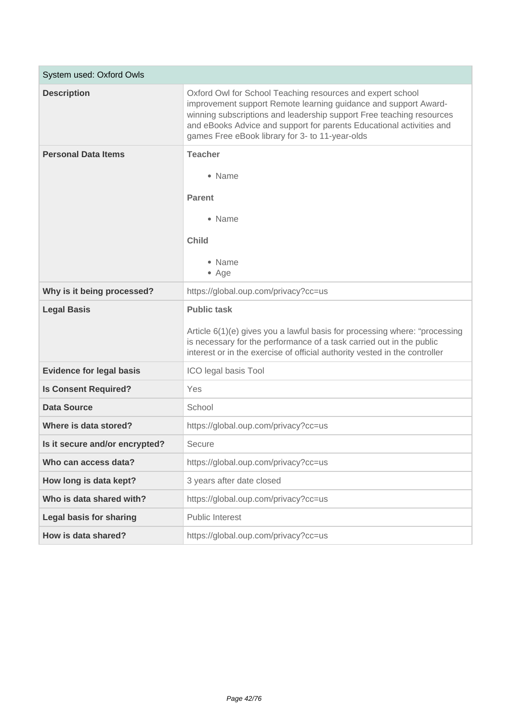| System used: Oxford Owls        |                                                                                                                                                                                                                                                                                                                                  |
|---------------------------------|----------------------------------------------------------------------------------------------------------------------------------------------------------------------------------------------------------------------------------------------------------------------------------------------------------------------------------|
| <b>Description</b>              | Oxford Owl for School Teaching resources and expert school<br>improvement support Remote learning guidance and support Award-<br>winning subscriptions and leadership support Free teaching resources<br>and eBooks Advice and support for parents Educational activities and<br>games Free eBook library for 3- to 11-year-olds |
| <b>Personal Data Items</b>      | <b>Teacher</b><br>• Name<br><b>Parent</b><br>• Name<br><b>Child</b><br>• Name<br>$•$ Age                                                                                                                                                                                                                                         |
| Why is it being processed?      | https://global.oup.com/privacy?cc=us                                                                                                                                                                                                                                                                                             |
| <b>Legal Basis</b>              | <b>Public task</b><br>Article 6(1)(e) gives you a lawful basis for processing where: "processing<br>is necessary for the performance of a task carried out in the public<br>interest or in the exercise of official authority vested in the controller                                                                           |
| <b>Evidence for legal basis</b> | ICO legal basis Tool                                                                                                                                                                                                                                                                                                             |
| <b>Is Consent Required?</b>     | Yes                                                                                                                                                                                                                                                                                                                              |
| <b>Data Source</b>              | School                                                                                                                                                                                                                                                                                                                           |
| Where is data stored?           | https://global.oup.com/privacy?cc=us                                                                                                                                                                                                                                                                                             |
| Is it secure and/or encrypted?  | Secure                                                                                                                                                                                                                                                                                                                           |
| Who can access data?            | https://global.oup.com/privacy?cc=us                                                                                                                                                                                                                                                                                             |
| How long is data kept?          | 3 years after date closed                                                                                                                                                                                                                                                                                                        |
| Who is data shared with?        | https://global.oup.com/privacy?cc=us                                                                                                                                                                                                                                                                                             |
| <b>Legal basis for sharing</b>  | <b>Public Interest</b>                                                                                                                                                                                                                                                                                                           |
| How is data shared?             | https://global.oup.com/privacy?cc=us                                                                                                                                                                                                                                                                                             |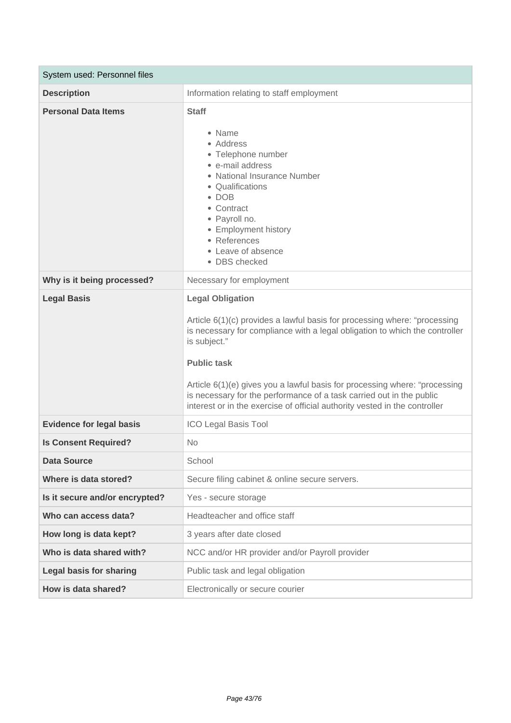| System used: Personnel files    |                                                                                                                                                                                                                                                                                                                                                                                                                                                               |
|---------------------------------|---------------------------------------------------------------------------------------------------------------------------------------------------------------------------------------------------------------------------------------------------------------------------------------------------------------------------------------------------------------------------------------------------------------------------------------------------------------|
| <b>Description</b>              | Information relating to staff employment                                                                                                                                                                                                                                                                                                                                                                                                                      |
| <b>Personal Data Items</b>      | <b>Staff</b><br>• Name<br>• Address<br>• Telephone number<br>• e-mail address<br>• National Insurance Number<br>• Qualifications<br>$\bullet$ DOB<br>• Contract<br>• Payroll no.<br>• Employment history<br>• References<br>• Leave of absence<br>• DBS checked                                                                                                                                                                                               |
| Why is it being processed?      | Necessary for employment                                                                                                                                                                                                                                                                                                                                                                                                                                      |
| <b>Legal Basis</b>              | <b>Legal Obligation</b><br>Article 6(1)(c) provides a lawful basis for processing where: "processing<br>is necessary for compliance with a legal obligation to which the controller<br>is subject."<br><b>Public task</b><br>Article 6(1)(e) gives you a lawful basis for processing where: "processing<br>is necessary for the performance of a task carried out in the public<br>interest or in the exercise of official authority vested in the controller |
| <b>Evidence for legal basis</b> | <b>ICO Legal Basis Tool</b>                                                                                                                                                                                                                                                                                                                                                                                                                                   |
| <b>Is Consent Required?</b>     | <b>No</b>                                                                                                                                                                                                                                                                                                                                                                                                                                                     |
| <b>Data Source</b>              | School                                                                                                                                                                                                                                                                                                                                                                                                                                                        |
| Where is data stored?           | Secure filing cabinet & online secure servers.                                                                                                                                                                                                                                                                                                                                                                                                                |
| Is it secure and/or encrypted?  | Yes - secure storage                                                                                                                                                                                                                                                                                                                                                                                                                                          |
| Who can access data?            | Headteacher and office staff                                                                                                                                                                                                                                                                                                                                                                                                                                  |
| How long is data kept?          | 3 years after date closed                                                                                                                                                                                                                                                                                                                                                                                                                                     |
| Who is data shared with?        | NCC and/or HR provider and/or Payroll provider                                                                                                                                                                                                                                                                                                                                                                                                                |
| <b>Legal basis for sharing</b>  | Public task and legal obligation                                                                                                                                                                                                                                                                                                                                                                                                                              |
| How is data shared?             | Electronically or secure courier                                                                                                                                                                                                                                                                                                                                                                                                                              |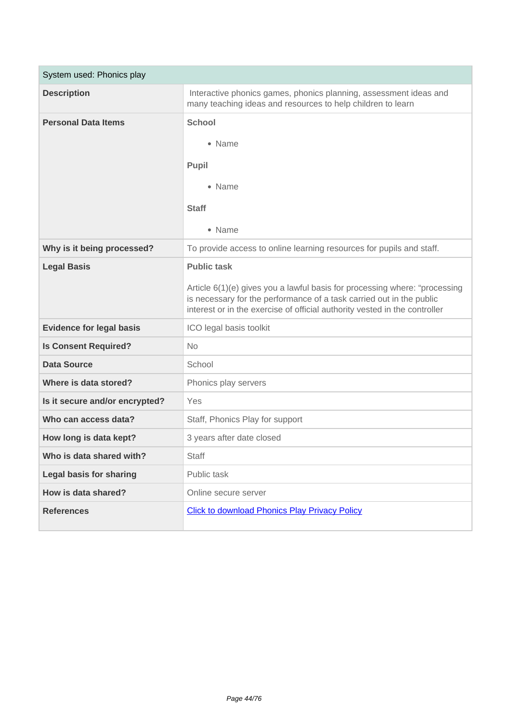| System used: Phonics play       |                                                                                                                                                                                                                                  |
|---------------------------------|----------------------------------------------------------------------------------------------------------------------------------------------------------------------------------------------------------------------------------|
| <b>Description</b>              | Interactive phonics games, phonics planning, assessment ideas and<br>many teaching ideas and resources to help children to learn                                                                                                 |
| <b>Personal Data Items</b>      | <b>School</b>                                                                                                                                                                                                                    |
|                                 | • Name                                                                                                                                                                                                                           |
|                                 | Pupil                                                                                                                                                                                                                            |
|                                 | • Name                                                                                                                                                                                                                           |
|                                 | <b>Staff</b>                                                                                                                                                                                                                     |
|                                 | • Name                                                                                                                                                                                                                           |
| Why is it being processed?      | To provide access to online learning resources for pupils and staff.                                                                                                                                                             |
| <b>Legal Basis</b>              | <b>Public task</b>                                                                                                                                                                                                               |
|                                 | Article 6(1)(e) gives you a lawful basis for processing where: "processing<br>is necessary for the performance of a task carried out in the public<br>interest or in the exercise of official authority vested in the controller |
| <b>Evidence for legal basis</b> | ICO legal basis toolkit                                                                                                                                                                                                          |
| <b>Is Consent Required?</b>     | <b>No</b>                                                                                                                                                                                                                        |
| <b>Data Source</b>              | School                                                                                                                                                                                                                           |
| Where is data stored?           | Phonics play servers                                                                                                                                                                                                             |
| Is it secure and/or encrypted?  | Yes                                                                                                                                                                                                                              |
| Who can access data?            | Staff, Phonics Play for support                                                                                                                                                                                                  |
| How long is data kept?          | 3 years after date closed                                                                                                                                                                                                        |
| Who is data shared with?        | <b>Staff</b>                                                                                                                                                                                                                     |
| <b>Legal basis for sharing</b>  | Public task                                                                                                                                                                                                                      |
| How is data shared?             | Online secure server                                                                                                                                                                                                             |
| <b>References</b>               | <b>Click to download Phonics Play Privacy Policy</b>                                                                                                                                                                             |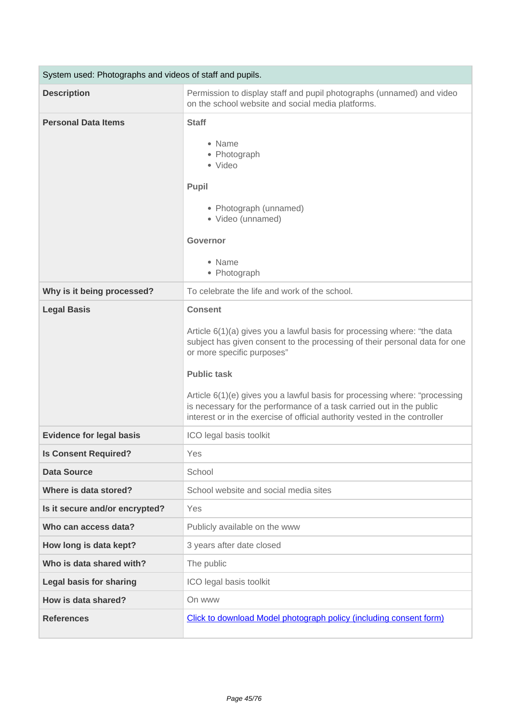| System used: Photographs and videos of staff and pupils. |                                                                                                                                                                                                                                                                                                                                                                                                                                                                  |
|----------------------------------------------------------|------------------------------------------------------------------------------------------------------------------------------------------------------------------------------------------------------------------------------------------------------------------------------------------------------------------------------------------------------------------------------------------------------------------------------------------------------------------|
| <b>Description</b>                                       | Permission to display staff and pupil photographs (unnamed) and video<br>on the school website and social media platforms.                                                                                                                                                                                                                                                                                                                                       |
| <b>Personal Data Items</b>                               | <b>Staff</b><br>• Name<br>• Photograph<br>• Video<br>Pupil<br>• Photograph (unnamed)<br>· Video (unnamed)<br><b>Governor</b><br>• Name<br>• Photograph                                                                                                                                                                                                                                                                                                           |
| Why is it being processed?                               | To celebrate the life and work of the school.                                                                                                                                                                                                                                                                                                                                                                                                                    |
| <b>Legal Basis</b>                                       | <b>Consent</b><br>Article 6(1)(a) gives you a lawful basis for processing where: "the data<br>subject has given consent to the processing of their personal data for one<br>or more specific purposes"<br><b>Public task</b><br>Article 6(1)(e) gives you a lawful basis for processing where: "processing<br>is necessary for the performance of a task carried out in the public<br>interest or in the exercise of official authority vested in the controller |
| <b>Evidence for legal basis</b>                          | ICO legal basis toolkit                                                                                                                                                                                                                                                                                                                                                                                                                                          |
| <b>Is Consent Required?</b>                              | Yes                                                                                                                                                                                                                                                                                                                                                                                                                                                              |
| <b>Data Source</b>                                       | School                                                                                                                                                                                                                                                                                                                                                                                                                                                           |
| Where is data stored?                                    | School website and social media sites                                                                                                                                                                                                                                                                                                                                                                                                                            |
| Is it secure and/or encrypted?                           | Yes                                                                                                                                                                                                                                                                                                                                                                                                                                                              |
| Who can access data?                                     | Publicly available on the www                                                                                                                                                                                                                                                                                                                                                                                                                                    |
| How long is data kept?                                   | 3 years after date closed                                                                                                                                                                                                                                                                                                                                                                                                                                        |
| Who is data shared with?                                 | The public                                                                                                                                                                                                                                                                                                                                                                                                                                                       |
| <b>Legal basis for sharing</b>                           | ICO legal basis toolkit                                                                                                                                                                                                                                                                                                                                                                                                                                          |
| How is data shared?                                      | On www                                                                                                                                                                                                                                                                                                                                                                                                                                                           |
| <b>References</b>                                        | Click to download Model photograph policy (including consent form)                                                                                                                                                                                                                                                                                                                                                                                               |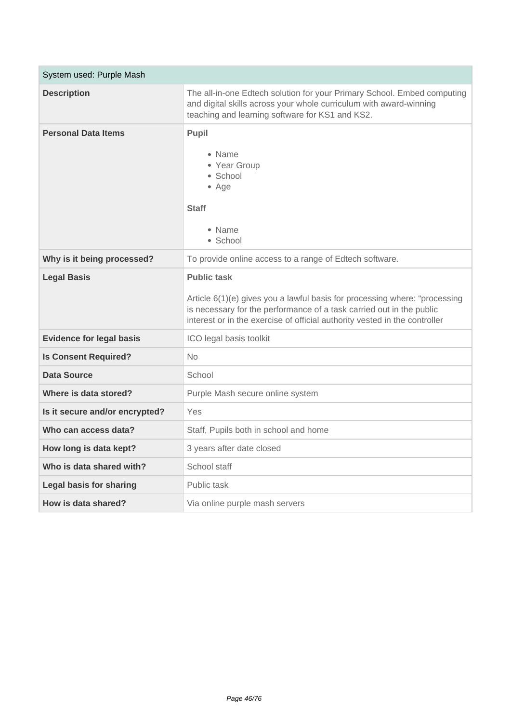| System used: Purple Mash        |                                                                                                                                                                                                                                                        |
|---------------------------------|--------------------------------------------------------------------------------------------------------------------------------------------------------------------------------------------------------------------------------------------------------|
| <b>Description</b>              | The all-in-one Edtech solution for your Primary School. Embed computing<br>and digital skills across your whole curriculum with award-winning<br>teaching and learning software for KS1 and KS2.                                                       |
| <b>Personal Data Items</b>      | Pupil<br>• Name<br>• Year Group<br>• School<br>• Age<br><b>Staff</b><br>• Name<br>• School                                                                                                                                                             |
| Why is it being processed?      | To provide online access to a range of Edtech software.                                                                                                                                                                                                |
| <b>Legal Basis</b>              | <b>Public task</b><br>Article 6(1)(e) gives you a lawful basis for processing where: "processing<br>is necessary for the performance of a task carried out in the public<br>interest or in the exercise of official authority vested in the controller |
| <b>Evidence for legal basis</b> | ICO legal basis toolkit                                                                                                                                                                                                                                |
| <b>Is Consent Required?</b>     | <b>No</b>                                                                                                                                                                                                                                              |
| Data Source                     | School                                                                                                                                                                                                                                                 |
| Where is data stored?           | Purple Mash secure online system                                                                                                                                                                                                                       |
| Is it secure and/or encrypted?  | <b>Yes</b>                                                                                                                                                                                                                                             |
| Who can access data?            | Staff, Pupils both in school and home                                                                                                                                                                                                                  |
| How long is data kept?          | 3 years after date closed                                                                                                                                                                                                                              |
| Who is data shared with?        | School staff                                                                                                                                                                                                                                           |
| <b>Legal basis for sharing</b>  | Public task                                                                                                                                                                                                                                            |
| How is data shared?             | Via online purple mash servers                                                                                                                                                                                                                         |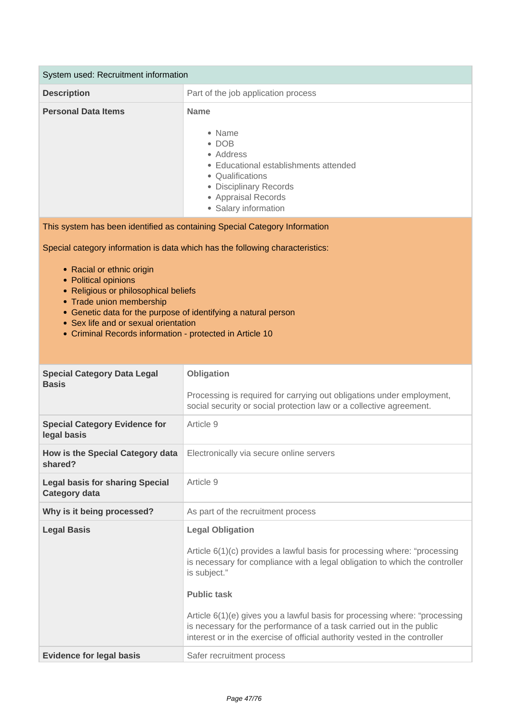| System used: Recruitment information |                                                                                                                                                                                           |
|--------------------------------------|-------------------------------------------------------------------------------------------------------------------------------------------------------------------------------------------|
| <b>Description</b>                   | Part of the job application process                                                                                                                                                       |
| <b>Personal Data Items</b>           | <b>Name</b><br>• Name<br>$\bullet$ DOB<br>• Address<br>• Educational establishments attended<br>• Qualifications<br>• Disciplinary Records<br>• Appraisal Records<br>• Salary information |

This system has been identified as containing Special Category Information

- Racial or ethnic origin
- Political opinions
- Religious or philosophical beliefs
- Trade union membership
- Genetic data for the purpose of identifying a natural person
- Sex life and or sexual orientation
- Criminal Records information protected in Article 10

| <b>Special Category Data Legal</b><br><b>Basis</b>             | Obligation<br>Processing is required for carrying out obligations under employment,<br>social security or social protection law or a collective agreement.                                                                                                                                                                                                                                                                                                    |
|----------------------------------------------------------------|---------------------------------------------------------------------------------------------------------------------------------------------------------------------------------------------------------------------------------------------------------------------------------------------------------------------------------------------------------------------------------------------------------------------------------------------------------------|
| <b>Special Category Evidence for</b><br>legal basis            | Article 9                                                                                                                                                                                                                                                                                                                                                                                                                                                     |
| How is the Special Category data<br>shared?                    | Electronically via secure online servers                                                                                                                                                                                                                                                                                                                                                                                                                      |
| <b>Legal basis for sharing Special</b><br><b>Category data</b> | Article 9                                                                                                                                                                                                                                                                                                                                                                                                                                                     |
| Why is it being processed?                                     | As part of the recruitment process                                                                                                                                                                                                                                                                                                                                                                                                                            |
| <b>Legal Basis</b>                                             | <b>Legal Obligation</b><br>Article 6(1)(c) provides a lawful basis for processing where: "processing<br>is necessary for compliance with a legal obligation to which the controller<br>is subject."<br><b>Public task</b><br>Article 6(1)(e) gives you a lawful basis for processing where: "processing<br>is necessary for the performance of a task carried out in the public<br>interest or in the exercise of official authority vested in the controller |
| <b>Evidence for legal basis</b>                                | Safer recruitment process                                                                                                                                                                                                                                                                                                                                                                                                                                     |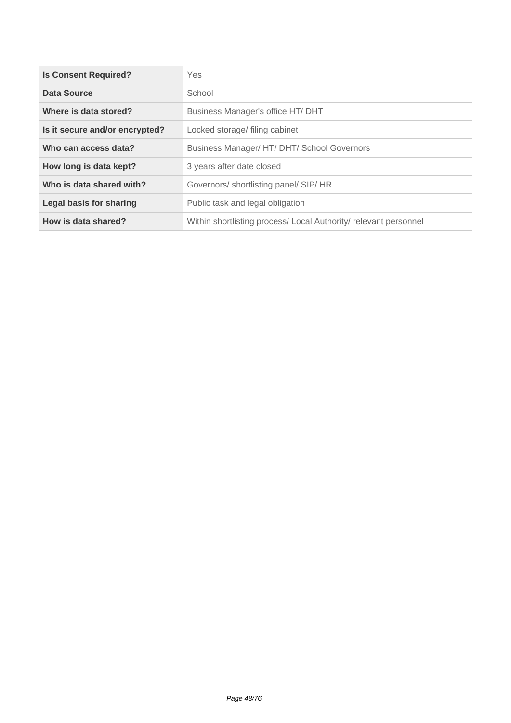| <b>Is Consent Required?</b>    | <b>Yes</b>                                                       |
|--------------------------------|------------------------------------------------------------------|
| <b>Data Source</b>             | School                                                           |
| Where is data stored?          | Business Manager's office HT/ DHT                                |
| Is it secure and/or encrypted? | Locked storage/ filing cabinet                                   |
| Who can access data?           | Business Manager/ HT/ DHT/ School Governors                      |
| How long is data kept?         | 3 years after date closed                                        |
| Who is data shared with?       | Governors/ shortlisting panel/ SIP/ HR                           |
| <b>Legal basis for sharing</b> | Public task and legal obligation                                 |
| How is data shared?            | Within shortlisting process/ Local Authority/ relevant personnel |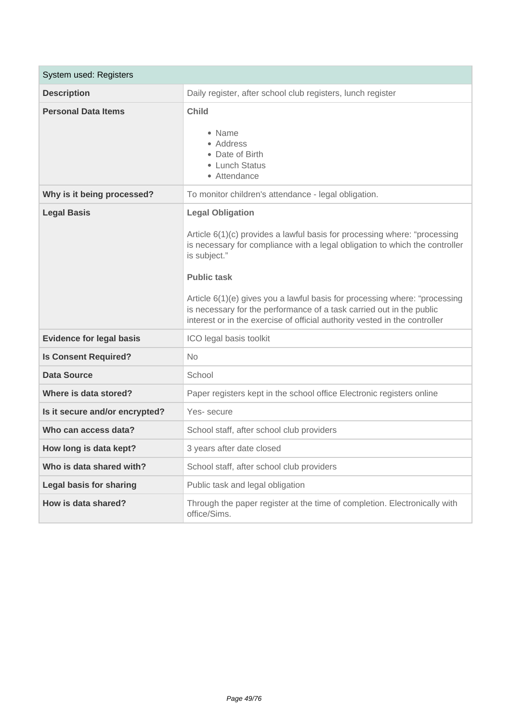| System used: Registers          |                                                                                                                                                                                                                                                                                                                                                                                                                                                               |
|---------------------------------|---------------------------------------------------------------------------------------------------------------------------------------------------------------------------------------------------------------------------------------------------------------------------------------------------------------------------------------------------------------------------------------------------------------------------------------------------------------|
| <b>Description</b>              | Daily register, after school club registers, lunch register                                                                                                                                                                                                                                                                                                                                                                                                   |
| <b>Personal Data Items</b>      | <b>Child</b><br>• Name<br>• Address<br>• Date of Birth<br>• Lunch Status<br>• Attendance                                                                                                                                                                                                                                                                                                                                                                      |
| Why is it being processed?      | To monitor children's attendance - legal obligation.                                                                                                                                                                                                                                                                                                                                                                                                          |
| <b>Legal Basis</b>              | <b>Legal Obligation</b><br>Article 6(1)(c) provides a lawful basis for processing where: "processing<br>is necessary for compliance with a legal obligation to which the controller<br>is subject."<br><b>Public task</b><br>Article 6(1)(e) gives you a lawful basis for processing where: "processing<br>is necessary for the performance of a task carried out in the public<br>interest or in the exercise of official authority vested in the controller |
| <b>Evidence for legal basis</b> | ICO legal basis toolkit                                                                                                                                                                                                                                                                                                                                                                                                                                       |
| <b>Is Consent Required?</b>     | <b>No</b>                                                                                                                                                                                                                                                                                                                                                                                                                                                     |
| <b>Data Source</b>              | School                                                                                                                                                                                                                                                                                                                                                                                                                                                        |
| Where is data stored?           | Paper registers kept in the school office Electronic registers online                                                                                                                                                                                                                                                                                                                                                                                         |
| Is it secure and/or encrypted?  | Yes-secure                                                                                                                                                                                                                                                                                                                                                                                                                                                    |
| Who can access data?            | School staff, after school club providers                                                                                                                                                                                                                                                                                                                                                                                                                     |
| How long is data kept?          | 3 years after date closed                                                                                                                                                                                                                                                                                                                                                                                                                                     |
| Who is data shared with?        | School staff, after school club providers                                                                                                                                                                                                                                                                                                                                                                                                                     |
| <b>Legal basis for sharing</b>  | Public task and legal obligation                                                                                                                                                                                                                                                                                                                                                                                                                              |
| How is data shared?             | Through the paper register at the time of completion. Electronically with<br>office/Sims.                                                                                                                                                                                                                                                                                                                                                                     |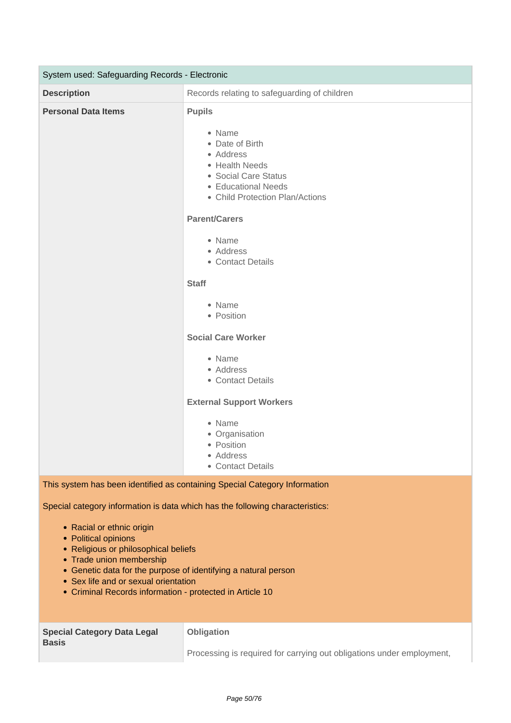| System used: Safeguarding Records - Electronic |                                                                                                                                                                                      |
|------------------------------------------------|--------------------------------------------------------------------------------------------------------------------------------------------------------------------------------------|
| <b>Description</b>                             | Records relating to safeguarding of children                                                                                                                                         |
| <b>Personal Data Items</b>                     | <b>Pupils</b><br>• Name<br>• Date of Birth<br>• Address<br>• Health Needs<br>• Social Care Status<br>• Educational Needs<br>• Child Protection Plan/Actions                          |
|                                                | <b>Parent/Carers</b><br>• Name<br>• Address<br>• Contact Details<br><b>Staff</b><br>• Name<br>• Position                                                                             |
|                                                | <b>Social Care Worker</b><br>• Name<br>• Address<br>• Contact Details<br><b>External Support Workers</b><br>• Name<br>• Organisation<br>• Position<br>• Address<br>• Contact Details |
|                                                | This system has been identified as containing Special Category Information                                                                                                           |

- Racial or ethnic origin
- Political opinions
- Religious or philosophical beliefs
- Trade union membership
- Genetic data for the purpose of identifying a natural person
- Sex life and or sexual orientation
- Criminal Records information protected in Article 10

| <b>Special Category Data Legal</b><br><b>Basis</b> | <b>Obligation</b>                                                     |
|----------------------------------------------------|-----------------------------------------------------------------------|
|                                                    | Processing is required for carrying out obligations under employment, |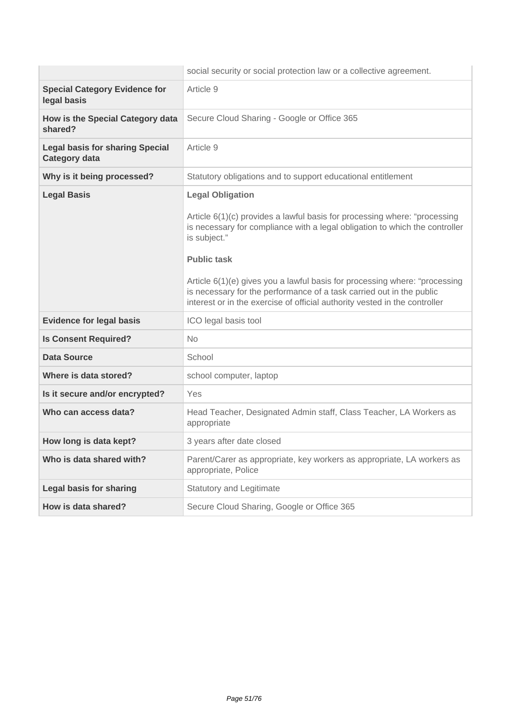|                                                                | social security or social protection law or a collective agreement.                                                                                                                                                                                                                                                                                                                                                                                           |
|----------------------------------------------------------------|---------------------------------------------------------------------------------------------------------------------------------------------------------------------------------------------------------------------------------------------------------------------------------------------------------------------------------------------------------------------------------------------------------------------------------------------------------------|
| <b>Special Category Evidence for</b><br>legal basis            | Article 9                                                                                                                                                                                                                                                                                                                                                                                                                                                     |
| How is the Special Category data<br>shared?                    | Secure Cloud Sharing - Google or Office 365                                                                                                                                                                                                                                                                                                                                                                                                                   |
| <b>Legal basis for sharing Special</b><br><b>Category data</b> | Article 9                                                                                                                                                                                                                                                                                                                                                                                                                                                     |
| Why is it being processed?                                     | Statutory obligations and to support educational entitlement                                                                                                                                                                                                                                                                                                                                                                                                  |
| <b>Legal Basis</b>                                             | <b>Legal Obligation</b><br>Article 6(1)(c) provides a lawful basis for processing where: "processing<br>is necessary for compliance with a legal obligation to which the controller<br>is subject."<br><b>Public task</b><br>Article 6(1)(e) gives you a lawful basis for processing where: "processing<br>is necessary for the performance of a task carried out in the public<br>interest or in the exercise of official authority vested in the controller |
| <b>Evidence for legal basis</b>                                | ICO legal basis tool                                                                                                                                                                                                                                                                                                                                                                                                                                          |
| <b>Is Consent Required?</b>                                    | <b>No</b>                                                                                                                                                                                                                                                                                                                                                                                                                                                     |
| <b>Data Source</b>                                             | School                                                                                                                                                                                                                                                                                                                                                                                                                                                        |
| Where is data stored?                                          | school computer, laptop                                                                                                                                                                                                                                                                                                                                                                                                                                       |
| Is it secure and/or encrypted?                                 | Yes                                                                                                                                                                                                                                                                                                                                                                                                                                                           |
| Who can access data?                                           | Head Teacher, Designated Admin staff, Class Teacher, LA Workers as<br>appropriate                                                                                                                                                                                                                                                                                                                                                                             |
| How long is data kept?                                         | 3 years after date closed                                                                                                                                                                                                                                                                                                                                                                                                                                     |
| Who is data shared with?                                       | Parent/Carer as appropriate, key workers as appropriate, LA workers as<br>appropriate, Police                                                                                                                                                                                                                                                                                                                                                                 |
| Legal basis for sharing                                        | <b>Statutory and Legitimate</b>                                                                                                                                                                                                                                                                                                                                                                                                                               |
| How is data shared?                                            | Secure Cloud Sharing, Google or Office 365                                                                                                                                                                                                                                                                                                                                                                                                                    |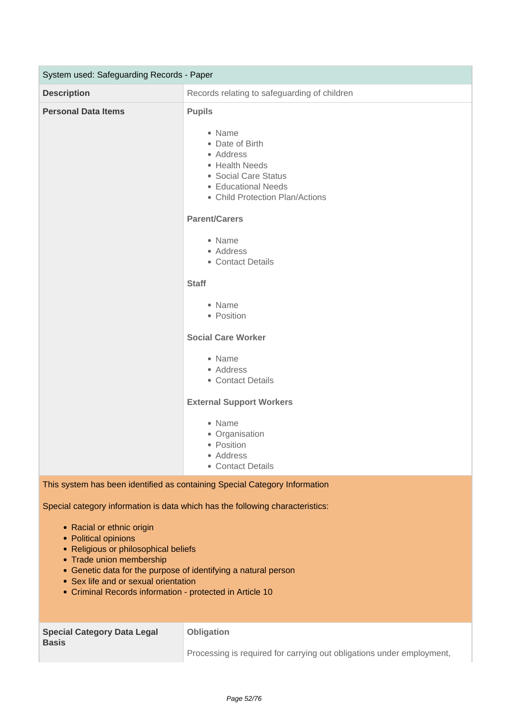| System used: Safeguarding Records - Paper |                                                                                                                                                                                      |
|-------------------------------------------|--------------------------------------------------------------------------------------------------------------------------------------------------------------------------------------|
| <b>Description</b>                        | Records relating to safeguarding of children                                                                                                                                         |
| <b>Personal Data Items</b>                | <b>Pupils</b><br>• Name<br>• Date of Birth<br>• Address<br>• Health Needs<br>• Social Care Status<br>• Educational Needs<br>• Child Protection Plan/Actions                          |
|                                           | <b>Parent/Carers</b><br>• Name<br>• Address<br>• Contact Details<br><b>Staff</b><br>• Name<br>• Position                                                                             |
|                                           | <b>Social Care Worker</b><br>• Name<br>• Address<br>• Contact Details<br><b>External Support Workers</b><br>• Name<br>• Organisation<br>• Position<br>• Address<br>• Contact Details |
|                                           | This system has been identified as containing Special Category Information                                                                                                           |

- Racial or ethnic origin
- Political opinions
- Religious or philosophical beliefs
- Trade union membership
- Genetic data for the purpose of identifying a natural person
- Sex life and or sexual orientation
- Criminal Records information protected in Article 10

| <b>Special Category Data Legal</b><br><b>Basis</b> | Obligation                                                            |
|----------------------------------------------------|-----------------------------------------------------------------------|
|                                                    | Processing is required for carrying out obligations under employment, |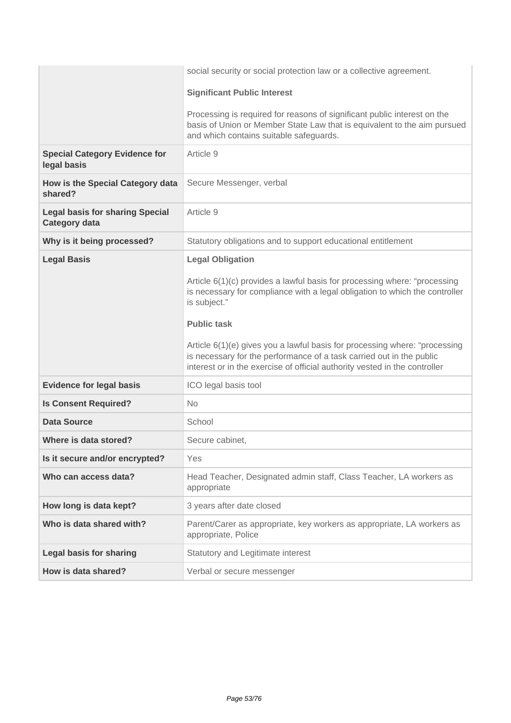|                                                                | social security or social protection law or a collective agreement.                                                                                                                                                                                                                                                                                                                                                                                           |
|----------------------------------------------------------------|---------------------------------------------------------------------------------------------------------------------------------------------------------------------------------------------------------------------------------------------------------------------------------------------------------------------------------------------------------------------------------------------------------------------------------------------------------------|
|                                                                | <b>Significant Public Interest</b>                                                                                                                                                                                                                                                                                                                                                                                                                            |
|                                                                | Processing is required for reasons of significant public interest on the<br>basis of Union or Member State Law that is equivalent to the aim pursued<br>and which contains suitable safeguards.                                                                                                                                                                                                                                                               |
| <b>Special Category Evidence for</b><br>legal basis            | Article 9                                                                                                                                                                                                                                                                                                                                                                                                                                                     |
| How is the Special Category data<br>shared?                    | Secure Messenger, verbal                                                                                                                                                                                                                                                                                                                                                                                                                                      |
| <b>Legal basis for sharing Special</b><br><b>Category data</b> | Article 9                                                                                                                                                                                                                                                                                                                                                                                                                                                     |
| Why is it being processed?                                     | Statutory obligations and to support educational entitlement                                                                                                                                                                                                                                                                                                                                                                                                  |
| <b>Legal Basis</b>                                             | <b>Legal Obligation</b><br>Article 6(1)(c) provides a lawful basis for processing where: "processing<br>is necessary for compliance with a legal obligation to which the controller<br>is subject."<br><b>Public task</b><br>Article 6(1)(e) gives you a lawful basis for processing where: "processing<br>is necessary for the performance of a task carried out in the public<br>interest or in the exercise of official authority vested in the controller |
| <b>Evidence for legal basis</b>                                | ICO legal basis tool                                                                                                                                                                                                                                                                                                                                                                                                                                          |
| <b>Is Consent Required?</b>                                    | <b>No</b>                                                                                                                                                                                                                                                                                                                                                                                                                                                     |
| <b>Data Source</b>                                             | School                                                                                                                                                                                                                                                                                                                                                                                                                                                        |
| Where is data stored?                                          | Secure cabinet,                                                                                                                                                                                                                                                                                                                                                                                                                                               |
| Is it secure and/or encrypted?                                 | Yes                                                                                                                                                                                                                                                                                                                                                                                                                                                           |
| Who can access data?                                           | Head Teacher, Designated admin staff, Class Teacher, LA workers as<br>appropriate                                                                                                                                                                                                                                                                                                                                                                             |
| How long is data kept?                                         | 3 years after date closed                                                                                                                                                                                                                                                                                                                                                                                                                                     |
| Who is data shared with?                                       | Parent/Carer as appropriate, key workers as appropriate, LA workers as<br>appropriate, Police                                                                                                                                                                                                                                                                                                                                                                 |
| <b>Legal basis for sharing</b>                                 | Statutory and Legitimate interest                                                                                                                                                                                                                                                                                                                                                                                                                             |
| How is data shared?                                            | Verbal or secure messenger                                                                                                                                                                                                                                                                                                                                                                                                                                    |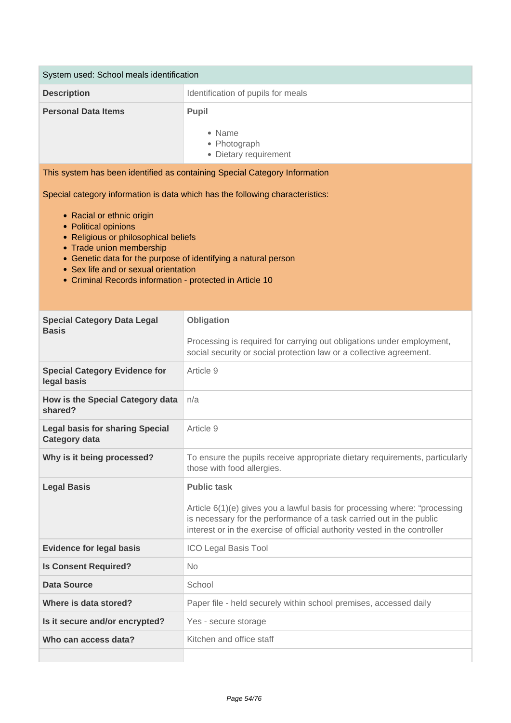| System used: School meals identification                                                                                                                                                                                                                                                                                                                                     |                                                                                                                                                                                                                                                        |  |
|------------------------------------------------------------------------------------------------------------------------------------------------------------------------------------------------------------------------------------------------------------------------------------------------------------------------------------------------------------------------------|--------------------------------------------------------------------------------------------------------------------------------------------------------------------------------------------------------------------------------------------------------|--|
| <b>Description</b>                                                                                                                                                                                                                                                                                                                                                           | Identification of pupils for meals                                                                                                                                                                                                                     |  |
| <b>Personal Data Items</b>                                                                                                                                                                                                                                                                                                                                                   | Pupil<br>• Name<br>• Photograph<br>• Dietary requirement                                                                                                                                                                                               |  |
| This system has been identified as containing Special Category Information                                                                                                                                                                                                                                                                                                   |                                                                                                                                                                                                                                                        |  |
| Special category information is data which has the following characteristics:<br>• Racial or ethnic origin<br>• Political opinions<br>• Religious or philosophical beliefs<br>• Trade union membership<br>• Genetic data for the purpose of identifying a natural person<br>• Sex life and or sexual orientation<br>• Criminal Records information - protected in Article 10 |                                                                                                                                                                                                                                                        |  |
| <b>Special Category Data Legal</b>                                                                                                                                                                                                                                                                                                                                           | Obligation                                                                                                                                                                                                                                             |  |
| <b>Basis</b>                                                                                                                                                                                                                                                                                                                                                                 | Processing is required for carrying out obligations under employment,<br>social security or social protection law or a collective agreement.                                                                                                           |  |
| <b>Special Category Evidence for</b><br>legal basis                                                                                                                                                                                                                                                                                                                          | Article 9                                                                                                                                                                                                                                              |  |
| How is the Special Category data<br>shared?                                                                                                                                                                                                                                                                                                                                  | n/a                                                                                                                                                                                                                                                    |  |
| <b>Legal basis for sharing Special</b><br><b>Category data</b>                                                                                                                                                                                                                                                                                                               | Article 9                                                                                                                                                                                                                                              |  |
| Why is it being processed?                                                                                                                                                                                                                                                                                                                                                   | To ensure the pupils receive appropriate dietary requirements, particularly<br>those with food allergies.                                                                                                                                              |  |
| <b>Legal Basis</b>                                                                                                                                                                                                                                                                                                                                                           | <b>Public task</b><br>Article 6(1)(e) gives you a lawful basis for processing where: "processing<br>is necessary for the performance of a task carried out in the public<br>interest or in the exercise of official authority vested in the controller |  |
| <b>Evidence for legal basis</b>                                                                                                                                                                                                                                                                                                                                              | <b>ICO Legal Basis Tool</b>                                                                                                                                                                                                                            |  |
| <b>Is Consent Required?</b>                                                                                                                                                                                                                                                                                                                                                  | <b>No</b>                                                                                                                                                                                                                                              |  |
| <b>Data Source</b>                                                                                                                                                                                                                                                                                                                                                           | School                                                                                                                                                                                                                                                 |  |
| Where is data stored?                                                                                                                                                                                                                                                                                                                                                        | Paper file - held securely within school premises, accessed daily                                                                                                                                                                                      |  |
| Is it secure and/or encrypted?                                                                                                                                                                                                                                                                                                                                               | Yes - secure storage                                                                                                                                                                                                                                   |  |
| Who can access data?                                                                                                                                                                                                                                                                                                                                                         | Kitchen and office staff                                                                                                                                                                                                                               |  |
|                                                                                                                                                                                                                                                                                                                                                                              |                                                                                                                                                                                                                                                        |  |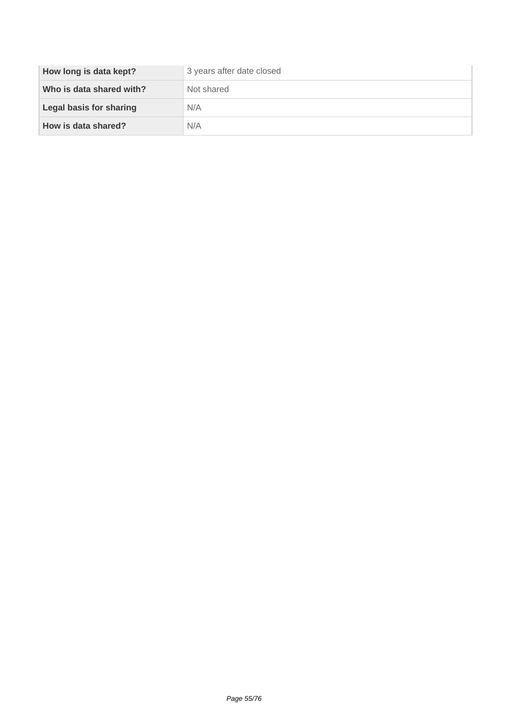| How long is data kept?         | 3 years after date closed |
|--------------------------------|---------------------------|
| Who is data shared with?       | Not shared                |
| <b>Legal basis for sharing</b> | N/A                       |
| How is data shared?            | N/A                       |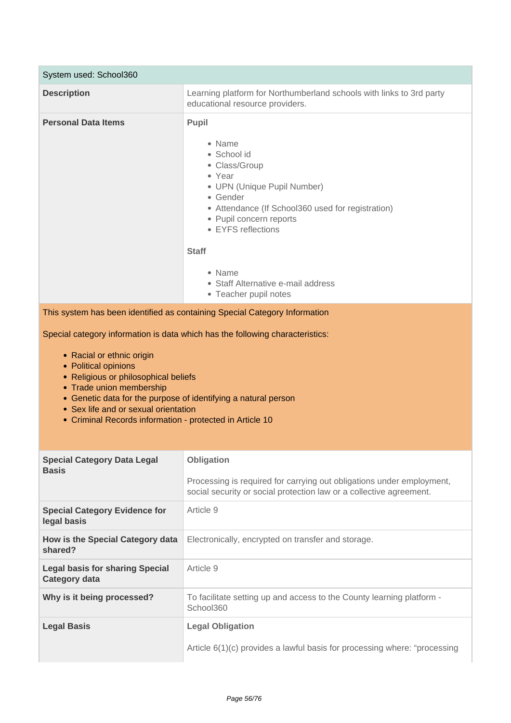| System used: School360     |                                                                                                                                                                                                                                                                                                            |
|----------------------------|------------------------------------------------------------------------------------------------------------------------------------------------------------------------------------------------------------------------------------------------------------------------------------------------------------|
| <b>Description</b>         | Learning platform for Northumberland schools with links to 3rd party<br>educational resource providers.                                                                                                                                                                                                    |
| <b>Personal Data Items</b> | <b>Pupil</b><br>• Name<br>• School id<br>• Class/Group<br>• Year<br>• UPN (Unique Pupil Number)<br>• Gender<br>• Attendance (If School360 used for registration)<br>• Pupil concern reports<br>• EYFS reflections<br><b>Staff</b><br>• Name<br>• Staff Alternative e-mail address<br>• Teacher pupil notes |

This system has been identified as containing Special Category Information

- Racial or ethnic origin
- Political opinions
- Religious or philosophical beliefs
- Trade union membership
- Genetic data for the purpose of identifying a natural person
- Sex life and or sexual orientation
- Criminal Records information protected in Article 10

| <b>Special Category Data Legal</b><br><b>Basis</b>             | <b>Obligation</b>                                                                                                                            |
|----------------------------------------------------------------|----------------------------------------------------------------------------------------------------------------------------------------------|
|                                                                | Processing is required for carrying out obligations under employment,<br>social security or social protection law or a collective agreement. |
| <b>Special Category Evidence for</b><br>legal basis            | Article 9                                                                                                                                    |
| How is the Special Category data<br>shared?                    | Electronically, encrypted on transfer and storage.                                                                                           |
| <b>Legal basis for sharing Special</b><br><b>Category data</b> | Article 9                                                                                                                                    |
| Why is it being processed?                                     | To facilitate setting up and access to the County learning platform -<br>School360                                                           |
| <b>Legal Basis</b>                                             | <b>Legal Obligation</b>                                                                                                                      |
|                                                                | Article $6(1)(c)$ provides a lawful basis for processing where: "processing                                                                  |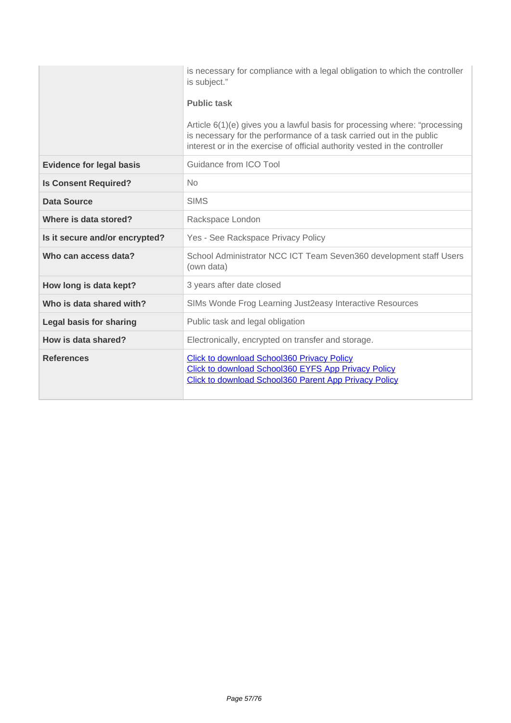|                                 | is necessary for compliance with a legal obligation to which the controller<br>is subject."                                                                                                                                      |
|---------------------------------|----------------------------------------------------------------------------------------------------------------------------------------------------------------------------------------------------------------------------------|
|                                 | <b>Public task</b>                                                                                                                                                                                                               |
|                                 | Article 6(1)(e) gives you a lawful basis for processing where: "processing<br>is necessary for the performance of a task carried out in the public<br>interest or in the exercise of official authority vested in the controller |
| <b>Evidence for legal basis</b> | Guidance from ICO Tool                                                                                                                                                                                                           |
| <b>Is Consent Required?</b>     | No.                                                                                                                                                                                                                              |
| Data Source                     | <b>SIMS</b>                                                                                                                                                                                                                      |
| Where is data stored?           | Rackspace London                                                                                                                                                                                                                 |
| Is it secure and/or encrypted?  | Yes - See Rackspace Privacy Policy                                                                                                                                                                                               |
| Who can access data?            | School Administrator NCC ICT Team Seven360 development staff Users<br>(own data)                                                                                                                                                 |
| How long is data kept?          | 3 years after date closed                                                                                                                                                                                                        |
| Who is data shared with?        | SIMs Wonde Frog Learning Just2easy Interactive Resources                                                                                                                                                                         |
| <b>Legal basis for sharing</b>  | Public task and legal obligation                                                                                                                                                                                                 |
| How is data shared?             | Electronically, encrypted on transfer and storage.                                                                                                                                                                               |
| <b>References</b>               | <b>Click to download School360 Privacy Policy</b><br>Click to download School360 EYFS App Privacy Policy<br><b>Click to download School360 Parent App Privacy Policy</b>                                                         |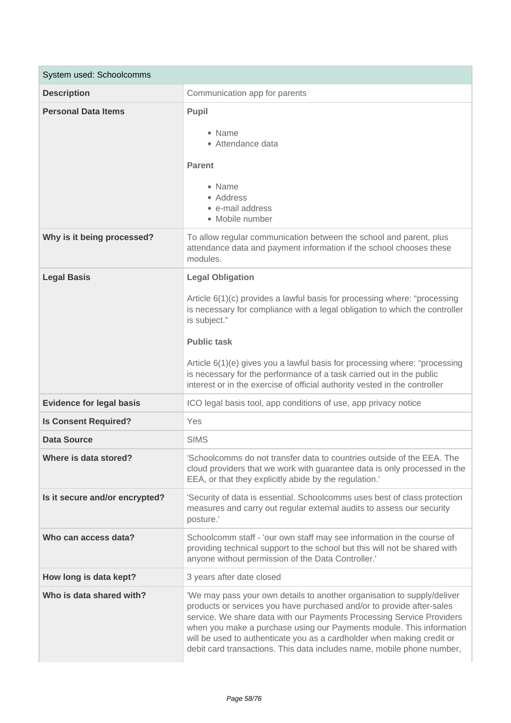| System used: Schoolcomms        |                                                                                                                                                                                                                                                                                                                                                                                                                                                               |
|---------------------------------|---------------------------------------------------------------------------------------------------------------------------------------------------------------------------------------------------------------------------------------------------------------------------------------------------------------------------------------------------------------------------------------------------------------------------------------------------------------|
| <b>Description</b>              | Communication app for parents                                                                                                                                                                                                                                                                                                                                                                                                                                 |
| <b>Personal Data Items</b>      | Pupil<br>• Name<br>• Attendance data<br><b>Parent</b><br>• Name<br>• Address<br>• e-mail address<br>• Mobile number                                                                                                                                                                                                                                                                                                                                           |
| Why is it being processed?      | To allow regular communication between the school and parent, plus<br>attendance data and payment information if the school chooses these<br>modules.                                                                                                                                                                                                                                                                                                         |
| <b>Legal Basis</b>              | <b>Legal Obligation</b><br>Article 6(1)(c) provides a lawful basis for processing where: "processing<br>is necessary for compliance with a legal obligation to which the controller<br>is subject."<br><b>Public task</b><br>Article 6(1)(e) gives you a lawful basis for processing where: "processing<br>is necessary for the performance of a task carried out in the public<br>interest or in the exercise of official authority vested in the controller |
| <b>Evidence for legal basis</b> | ICO legal basis tool, app conditions of use, app privacy notice                                                                                                                                                                                                                                                                                                                                                                                               |
| <b>Is Consent Required?</b>     | Yes                                                                                                                                                                                                                                                                                                                                                                                                                                                           |
| <b>Data Source</b>              | <b>SIMS</b>                                                                                                                                                                                                                                                                                                                                                                                                                                                   |
| Where is data stored?           | 'Schoolcomms do not transfer data to countries outside of the EEA. The<br>cloud providers that we work with guarantee data is only processed in the<br>EEA, or that they explicitly abide by the regulation.'                                                                                                                                                                                                                                                 |
| Is it secure and/or encrypted?  | 'Security of data is essential. Schoolcomms uses best of class protection<br>measures and carry out regular external audits to assess our security<br>posture.'                                                                                                                                                                                                                                                                                               |
| Who can access data?            | Schoolcomm staff - 'our own staff may see information in the course of<br>providing technical support to the school but this will not be shared with<br>anyone without permission of the Data Controller.'                                                                                                                                                                                                                                                    |
| How long is data kept?          | 3 years after date closed                                                                                                                                                                                                                                                                                                                                                                                                                                     |
| Who is data shared with?        | 'We may pass your own details to another organisation to supply/deliver<br>products or services you have purchased and/or to provide after-sales<br>service. We share data with our Payments Processing Service Providers<br>when you make a purchase using our Payments module. This information<br>will be used to authenticate you as a cardholder when making credit or<br>debit card transactions. This data includes name, mobile phone number,         |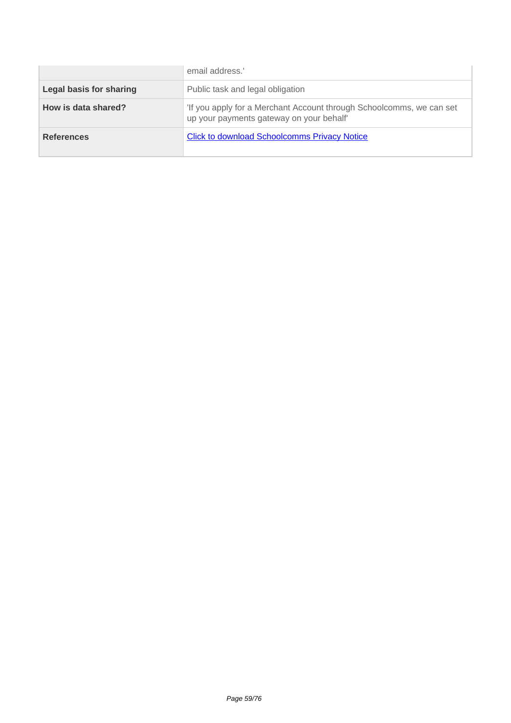|                         | email address.'                                                                                                  |
|-------------------------|------------------------------------------------------------------------------------------------------------------|
| Legal basis for sharing | Public task and legal obligation                                                                                 |
| How is data shared?     | 'If you apply for a Merchant Account through Schoolcomms, we can set<br>up your payments gateway on your behalf' |
| <b>References</b>       | <b>Click to download Schoolcomms Privacy Notice</b>                                                              |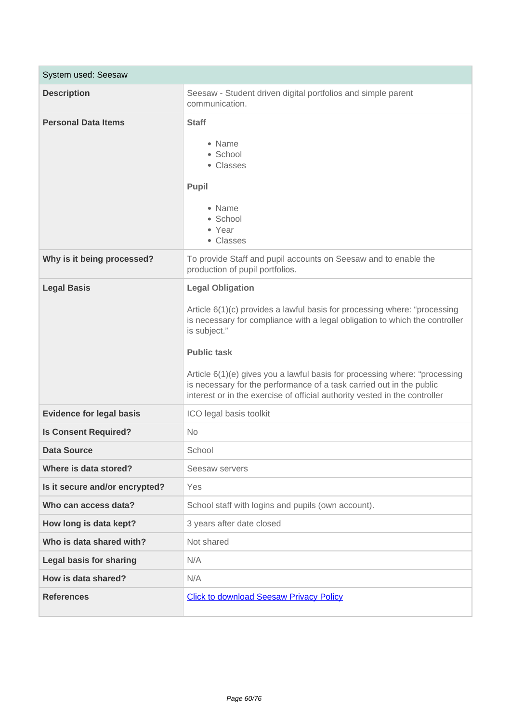| System used: Seesaw             |                                                                                                                                                                                                                                                                                                                                                                                                                                                               |
|---------------------------------|---------------------------------------------------------------------------------------------------------------------------------------------------------------------------------------------------------------------------------------------------------------------------------------------------------------------------------------------------------------------------------------------------------------------------------------------------------------|
| <b>Description</b>              | Seesaw - Student driven digital portfolios and simple parent<br>communication.                                                                                                                                                                                                                                                                                                                                                                                |
| <b>Personal Data Items</b>      | <b>Staff</b><br>• Name<br>• School<br>• Classes<br>Pupil<br>• Name<br>· School<br>• Year<br>• Classes                                                                                                                                                                                                                                                                                                                                                         |
| Why is it being processed?      | To provide Staff and pupil accounts on Seesaw and to enable the<br>production of pupil portfolios.                                                                                                                                                                                                                                                                                                                                                            |
| <b>Legal Basis</b>              | <b>Legal Obligation</b><br>Article 6(1)(c) provides a lawful basis for processing where: "processing<br>is necessary for compliance with a legal obligation to which the controller<br>is subject."<br><b>Public task</b><br>Article 6(1)(e) gives you a lawful basis for processing where: "processing<br>is necessary for the performance of a task carried out in the public<br>interest or in the exercise of official authority vested in the controller |
| <b>Evidence for legal basis</b> | ICO legal basis toolkit                                                                                                                                                                                                                                                                                                                                                                                                                                       |
| <b>Is Consent Required?</b>     | <b>No</b>                                                                                                                                                                                                                                                                                                                                                                                                                                                     |
| <b>Data Source</b>              | School                                                                                                                                                                                                                                                                                                                                                                                                                                                        |
| Where is data stored?           | Seesaw servers                                                                                                                                                                                                                                                                                                                                                                                                                                                |
| Is it secure and/or encrypted?  | Yes                                                                                                                                                                                                                                                                                                                                                                                                                                                           |
| Who can access data?            | School staff with logins and pupils (own account).                                                                                                                                                                                                                                                                                                                                                                                                            |
| How long is data kept?          | 3 years after date closed                                                                                                                                                                                                                                                                                                                                                                                                                                     |
| Who is data shared with?        | Not shared                                                                                                                                                                                                                                                                                                                                                                                                                                                    |
| <b>Legal basis for sharing</b>  | N/A                                                                                                                                                                                                                                                                                                                                                                                                                                                           |
| How is data shared?             | N/A                                                                                                                                                                                                                                                                                                                                                                                                                                                           |
| <b>References</b>               | <b>Click to download Seesaw Privacy Policy</b>                                                                                                                                                                                                                                                                                                                                                                                                                |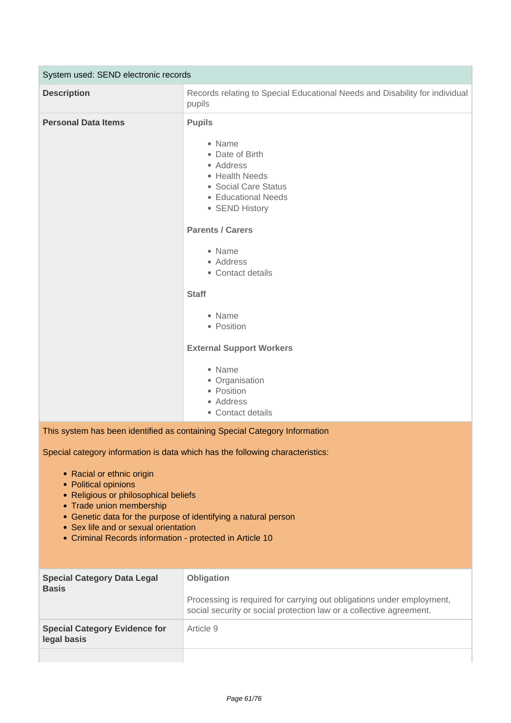| System used: SEND electronic records                                       |                                                                                                                                                                                                                                                                                                                                                                          |  |
|----------------------------------------------------------------------------|--------------------------------------------------------------------------------------------------------------------------------------------------------------------------------------------------------------------------------------------------------------------------------------------------------------------------------------------------------------------------|--|
| <b>Description</b>                                                         | Records relating to Special Educational Needs and Disability for individual<br>pupils                                                                                                                                                                                                                                                                                    |  |
| <b>Personal Data Items</b>                                                 | <b>Pupils</b><br>• Name<br>• Date of Birth<br>• Address<br>• Health Needs<br>• Social Care Status<br>• Educational Needs<br>• SEND History<br><b>Parents / Carers</b><br>• Name<br>• Address<br>• Contact details<br><b>Staff</b><br>• Name<br>• Position<br><b>External Support Workers</b><br>• Name<br>• Organisation<br>• Position<br>• Address<br>• Contact details |  |
| This system has been identified as containing Special Category Information |                                                                                                                                                                                                                                                                                                                                                                          |  |

- Racial or ethnic origin
- Political opinions
- Religious or philosophical beliefs
- Trade union membership
- Genetic data for the purpose of identifying a natural person
- Sex life and or sexual orientation
- Criminal Records information protected in Article 10

| <b>Special Category Data Legal</b><br><b>Basis</b>  | <b>Obligation</b><br>Processing is required for carrying out obligations under employment,<br>social security or social protection law or a collective agreement. |
|-----------------------------------------------------|-------------------------------------------------------------------------------------------------------------------------------------------------------------------|
| <b>Special Category Evidence for</b><br>legal basis | Article 9                                                                                                                                                         |
|                                                     |                                                                                                                                                                   |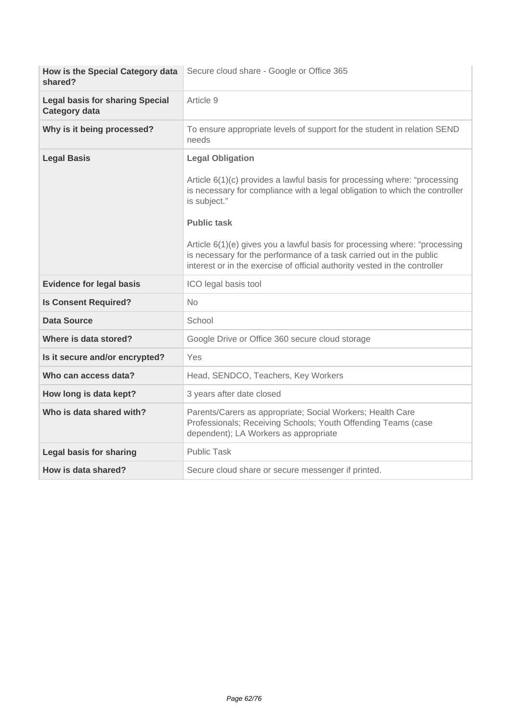| How is the Special Category data<br>shared?                    | Secure cloud share - Google or Office 365                                                                                                                                                                                                                                                                                                                                                                                                                     |
|----------------------------------------------------------------|---------------------------------------------------------------------------------------------------------------------------------------------------------------------------------------------------------------------------------------------------------------------------------------------------------------------------------------------------------------------------------------------------------------------------------------------------------------|
| <b>Legal basis for sharing Special</b><br><b>Category data</b> | Article 9                                                                                                                                                                                                                                                                                                                                                                                                                                                     |
| Why is it being processed?                                     | To ensure appropriate levels of support for the student in relation SEND<br>needs                                                                                                                                                                                                                                                                                                                                                                             |
| <b>Legal Basis</b>                                             | <b>Legal Obligation</b><br>Article 6(1)(c) provides a lawful basis for processing where: "processing<br>is necessary for compliance with a legal obligation to which the controller<br>is subject."<br><b>Public task</b><br>Article 6(1)(e) gives you a lawful basis for processing where: "processing<br>is necessary for the performance of a task carried out in the public<br>interest or in the exercise of official authority vested in the controller |
| <b>Evidence for legal basis</b>                                | ICO legal basis tool                                                                                                                                                                                                                                                                                                                                                                                                                                          |
| <b>Is Consent Required?</b>                                    | <b>No</b>                                                                                                                                                                                                                                                                                                                                                                                                                                                     |
| Data Source                                                    | School                                                                                                                                                                                                                                                                                                                                                                                                                                                        |
| Where is data stored?                                          | Google Drive or Office 360 secure cloud storage                                                                                                                                                                                                                                                                                                                                                                                                               |
| Is it secure and/or encrypted?                                 | Yes                                                                                                                                                                                                                                                                                                                                                                                                                                                           |
| Who can access data?                                           | Head, SENDCO, Teachers, Key Workers                                                                                                                                                                                                                                                                                                                                                                                                                           |
| How long is data kept?                                         | 3 years after date closed                                                                                                                                                                                                                                                                                                                                                                                                                                     |
| Who is data shared with?                                       | Parents/Carers as appropriate; Social Workers; Health Care<br>Professionals; Receiving Schools; Youth Offending Teams (case<br>dependent); LA Workers as appropriate                                                                                                                                                                                                                                                                                          |
| <b>Legal basis for sharing</b>                                 | <b>Public Task</b>                                                                                                                                                                                                                                                                                                                                                                                                                                            |
| How is data shared?                                            | Secure cloud share or secure messenger if printed.                                                                                                                                                                                                                                                                                                                                                                                                            |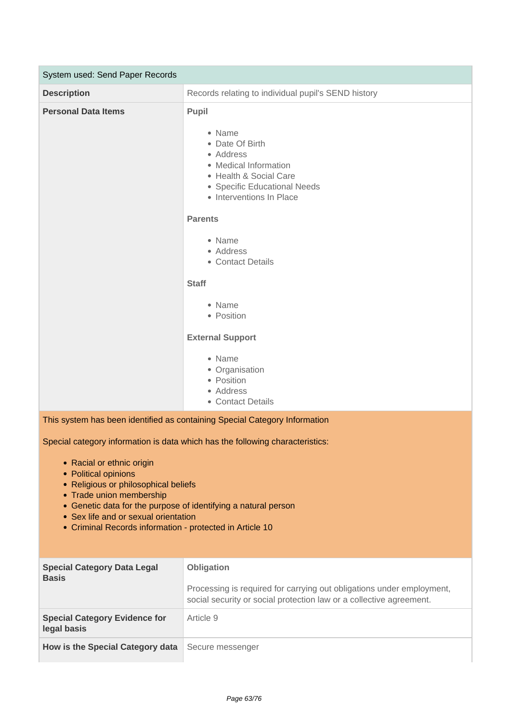| System used: Send Paper Records |                                                                                                                                                                                                                                                                                                                                                                             |
|---------------------------------|-----------------------------------------------------------------------------------------------------------------------------------------------------------------------------------------------------------------------------------------------------------------------------------------------------------------------------------------------------------------------------|
| <b>Description</b>              | Records relating to individual pupil's SEND history                                                                                                                                                                                                                                                                                                                         |
| <b>Personal Data Items</b>      | Pupil<br>• Name<br>• Date Of Birth<br>• Address<br>• Medical Information<br>• Health & Social Care<br>• Specific Educational Needs<br>• Interventions In Place<br><b>Parents</b><br>• Name<br>• Address<br>• Contact Details<br><b>Staff</b><br>• Name<br>• Position<br><b>External Support</b><br>• Name<br>• Organisation<br>• Position<br>• Address<br>• Contact Details |
|                                 | This system has been identified as containing Special Category Information                                                                                                                                                                                                                                                                                                  |

- Racial or ethnic origin
- Political opinions
- Religious or philosophical beliefs
- Trade union membership
- Genetic data for the purpose of identifying a natural person
- Sex life and or sexual orientation
- Criminal Records information protected in Article 10

| <b>Special Category Data Legal</b><br><b>Basis</b>  | <b>Obligation</b><br>Processing is required for carrying out obligations under employment,<br>social security or social protection law or a collective agreement. |
|-----------------------------------------------------|-------------------------------------------------------------------------------------------------------------------------------------------------------------------|
| <b>Special Category Evidence for</b><br>legal basis | Article 9                                                                                                                                                         |
| How is the Special Category data                    | Secure messenger                                                                                                                                                  |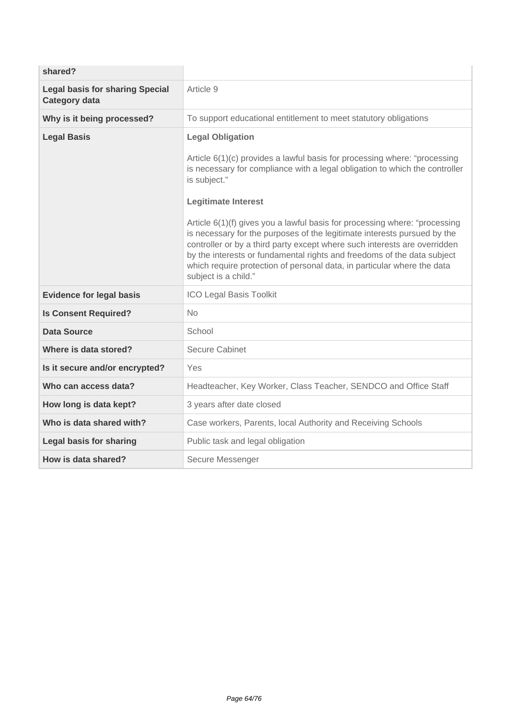| shared?                                                        |                                                                                                                                                                                                                                                                                                                                                                                                                                                                                                                                                                                                                                                        |
|----------------------------------------------------------------|--------------------------------------------------------------------------------------------------------------------------------------------------------------------------------------------------------------------------------------------------------------------------------------------------------------------------------------------------------------------------------------------------------------------------------------------------------------------------------------------------------------------------------------------------------------------------------------------------------------------------------------------------------|
| <b>Legal basis for sharing Special</b><br><b>Category data</b> | Article 9                                                                                                                                                                                                                                                                                                                                                                                                                                                                                                                                                                                                                                              |
| Why is it being processed?                                     | To support educational entitlement to meet statutory obligations                                                                                                                                                                                                                                                                                                                                                                                                                                                                                                                                                                                       |
| <b>Legal Basis</b>                                             | <b>Legal Obligation</b><br>Article 6(1)(c) provides a lawful basis for processing where: "processing<br>is necessary for compliance with a legal obligation to which the controller<br>is subject."<br><b>Legitimate Interest</b><br>Article 6(1)(f) gives you a lawful basis for processing where: "processing<br>is necessary for the purposes of the legitimate interests pursued by the<br>controller or by a third party except where such interests are overridden<br>by the interests or fundamental rights and freedoms of the data subject<br>which require protection of personal data, in particular where the data<br>subject is a child." |
| <b>Evidence for legal basis</b>                                | ICO Legal Basis Toolkit                                                                                                                                                                                                                                                                                                                                                                                                                                                                                                                                                                                                                                |
| <b>Is Consent Required?</b>                                    | <b>No</b>                                                                                                                                                                                                                                                                                                                                                                                                                                                                                                                                                                                                                                              |
| Data Source                                                    | School                                                                                                                                                                                                                                                                                                                                                                                                                                                                                                                                                                                                                                                 |
| Where is data stored?                                          | <b>Secure Cabinet</b>                                                                                                                                                                                                                                                                                                                                                                                                                                                                                                                                                                                                                                  |
| Is it secure and/or encrypted?                                 | Yes                                                                                                                                                                                                                                                                                                                                                                                                                                                                                                                                                                                                                                                    |
| Who can access data?                                           | Headteacher, Key Worker, Class Teacher, SENDCO and Office Staff                                                                                                                                                                                                                                                                                                                                                                                                                                                                                                                                                                                        |
| How long is data kept?                                         | 3 years after date closed                                                                                                                                                                                                                                                                                                                                                                                                                                                                                                                                                                                                                              |
| Who is data shared with?                                       | Case workers, Parents, local Authority and Receiving Schools                                                                                                                                                                                                                                                                                                                                                                                                                                                                                                                                                                                           |
| <b>Legal basis for sharing</b>                                 | Public task and legal obligation                                                                                                                                                                                                                                                                                                                                                                                                                                                                                                                                                                                                                       |
| How is data shared?                                            | Secure Messenger                                                                                                                                                                                                                                                                                                                                                                                                                                                                                                                                                                                                                                       |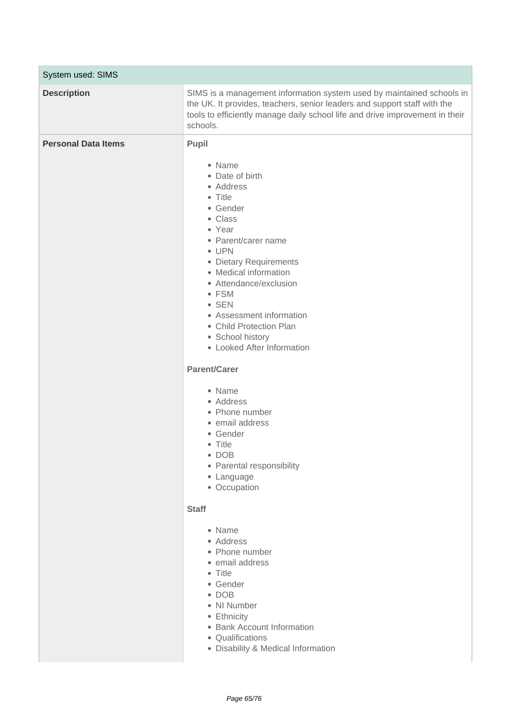| System used: SIMS          |                                                                                                                                                                                                                                                                                                                                                                                                                                                                                                                                                                                                                                                                                                                                                                             |
|----------------------------|-----------------------------------------------------------------------------------------------------------------------------------------------------------------------------------------------------------------------------------------------------------------------------------------------------------------------------------------------------------------------------------------------------------------------------------------------------------------------------------------------------------------------------------------------------------------------------------------------------------------------------------------------------------------------------------------------------------------------------------------------------------------------------|
| <b>Description</b>         | SIMS is a management information system used by maintained schools in<br>the UK. It provides, teachers, senior leaders and support staff with the<br>tools to efficiently manage daily school life and drive improvement in their<br>schools.                                                                                                                                                                                                                                                                                                                                                                                                                                                                                                                               |
| <b>Personal Data Items</b> | Pupil<br>• Name<br>• Date of birth<br>• Address<br>• Title<br>• Gender<br>• Class<br>• Year<br>• Parent/carer name<br>• UPN<br>• Dietary Requirements<br>• Medical information<br>• Attendance/exclusion<br>• FSM<br>$\bullet$ SEN<br>• Assessment information<br>• Child Protection Plan<br>• School history<br>• Looked After Information<br><b>Parent/Carer</b><br>• Name<br>• Address<br>• Phone number<br>• email address<br>• Gender<br>• Title<br>$\bullet$ DOB<br>• Parental responsibility<br>• Language<br>• Occupation<br><b>Staff</b><br>• Name<br>• Address<br>• Phone number<br>· email address<br>• Title<br>• Gender<br>$\bullet$ DOB<br>• NI Number<br>• Ethnicity<br>• Bank Account Information<br>• Qualifications<br>• Disability & Medical Information |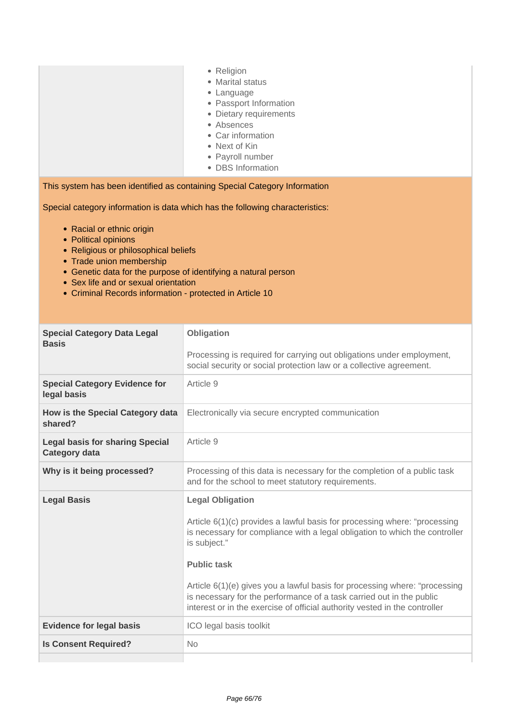| Religion |  |
|----------|--|
|          |  |

- Marital status
- Language
- Passport Information
- Dietary requirements
- Absences
- Car information
- Next of Kin
- Payroll number
- DBS Information

This system has been identified as containing Special Category Information

- Racial or ethnic origin
- Political opinions
- Religious or philosophical beliefs
- Trade union membership
- Genetic data for the purpose of identifying a natural person
- Sex life and or sexual orientation
- Criminal Records information protected in Article 10

| <b>Special Category Data Legal</b><br><b>Basis</b>             | Obligation                                                                                                                                                                                                                                                                                                                                                                                                                                                    |
|----------------------------------------------------------------|---------------------------------------------------------------------------------------------------------------------------------------------------------------------------------------------------------------------------------------------------------------------------------------------------------------------------------------------------------------------------------------------------------------------------------------------------------------|
|                                                                | Processing is required for carrying out obligations under employment,<br>social security or social protection law or a collective agreement.                                                                                                                                                                                                                                                                                                                  |
| <b>Special Category Evidence for</b><br>legal basis            | Article 9                                                                                                                                                                                                                                                                                                                                                                                                                                                     |
| How is the Special Category data<br>shared?                    | Electronically via secure encrypted communication                                                                                                                                                                                                                                                                                                                                                                                                             |
| <b>Legal basis for sharing Special</b><br><b>Category data</b> | Article 9                                                                                                                                                                                                                                                                                                                                                                                                                                                     |
| Why is it being processed?                                     | Processing of this data is necessary for the completion of a public task<br>and for the school to meet statutory requirements.                                                                                                                                                                                                                                                                                                                                |
| <b>Legal Basis</b>                                             | <b>Legal Obligation</b><br>Article 6(1)(c) provides a lawful basis for processing where: "processing<br>is necessary for compliance with a legal obligation to which the controller<br>is subject."<br><b>Public task</b><br>Article 6(1)(e) gives you a lawful basis for processing where: "processing<br>is necessary for the performance of a task carried out in the public<br>interest or in the exercise of official authority vested in the controller |
| <b>Evidence for legal basis</b>                                | ICO legal basis toolkit                                                                                                                                                                                                                                                                                                                                                                                                                                       |
| <b>Is Consent Required?</b>                                    | <b>No</b>                                                                                                                                                                                                                                                                                                                                                                                                                                                     |
|                                                                |                                                                                                                                                                                                                                                                                                                                                                                                                                                               |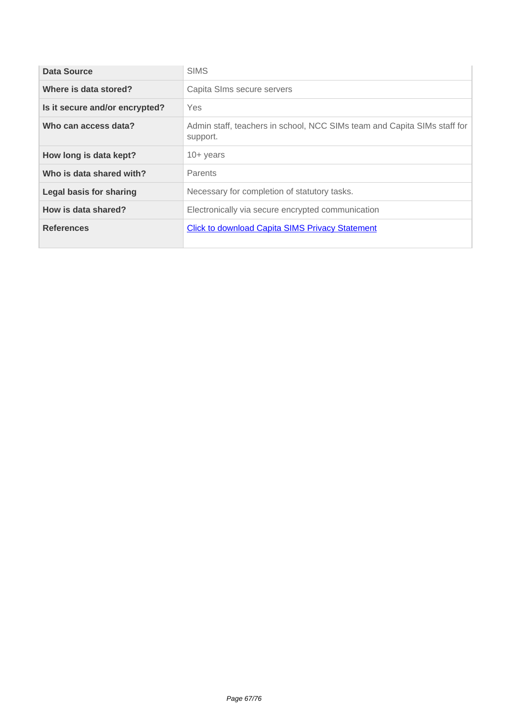| Data Source                    | <b>SIMS</b>                                                                          |
|--------------------------------|--------------------------------------------------------------------------------------|
| Where is data stored?          | Capita SIms secure servers                                                           |
| Is it secure and/or encrypted? | Yes                                                                                  |
| Who can access data?           | Admin staff, teachers in school, NCC SIMs team and Capita SIMs staff for<br>support. |
| How long is data kept?         | $10+$ years                                                                          |
| Who is data shared with?       | <b>Parents</b>                                                                       |
| <b>Legal basis for sharing</b> | Necessary for completion of statutory tasks.                                         |
| How is data shared?            | Electronically via secure encrypted communication                                    |
| <b>References</b>              | <b>Click to download Capita SIMS Privacy Statement</b>                               |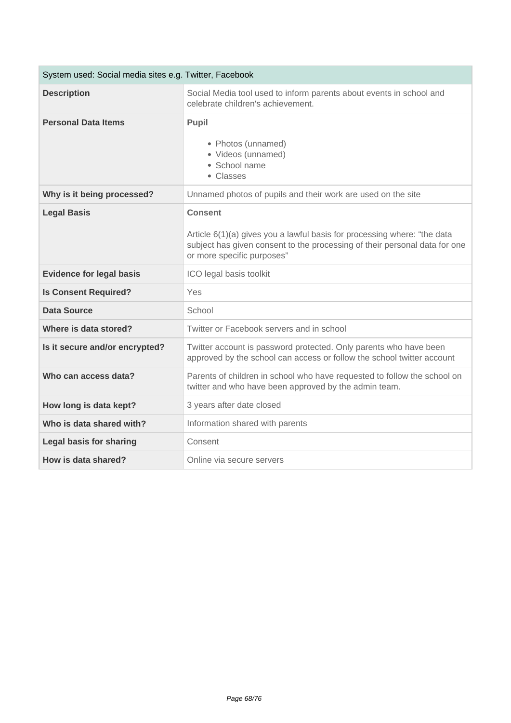| System used: Social media sites e.g. Twitter, Facebook |                                                                                                                                                                                                          |
|--------------------------------------------------------|----------------------------------------------------------------------------------------------------------------------------------------------------------------------------------------------------------|
| <b>Description</b>                                     | Social Media tool used to inform parents about events in school and<br>celebrate children's achievement.                                                                                                 |
| <b>Personal Data Items</b>                             | Pupil<br>• Photos (unnamed)<br>• Videos (unnamed)<br>• School name<br>• Classes                                                                                                                          |
| Why is it being processed?                             | Unnamed photos of pupils and their work are used on the site                                                                                                                                             |
| <b>Legal Basis</b>                                     | <b>Consent</b><br>Article $6(1)(a)$ gives you a lawful basis for processing where: "the data<br>subject has given consent to the processing of their personal data for one<br>or more specific purposes" |
| <b>Evidence for legal basis</b>                        | ICO legal basis toolkit                                                                                                                                                                                  |
| <b>Is Consent Required?</b>                            | <b>Yes</b>                                                                                                                                                                                               |
| <b>Data Source</b>                                     | School                                                                                                                                                                                                   |
| Where is data stored?                                  | Twitter or Facebook servers and in school                                                                                                                                                                |
| Is it secure and/or encrypted?                         | Twitter account is password protected. Only parents who have been<br>approved by the school can access or follow the school twitter account                                                              |
| Who can access data?                                   | Parents of children in school who have requested to follow the school on<br>twitter and who have been approved by the admin team.                                                                        |
| How long is data kept?                                 | 3 years after date closed                                                                                                                                                                                |
| Who is data shared with?                               | Information shared with parents                                                                                                                                                                          |
| <b>Legal basis for sharing</b>                         | Consent                                                                                                                                                                                                  |
| How is data shared?                                    | Online via secure servers                                                                                                                                                                                |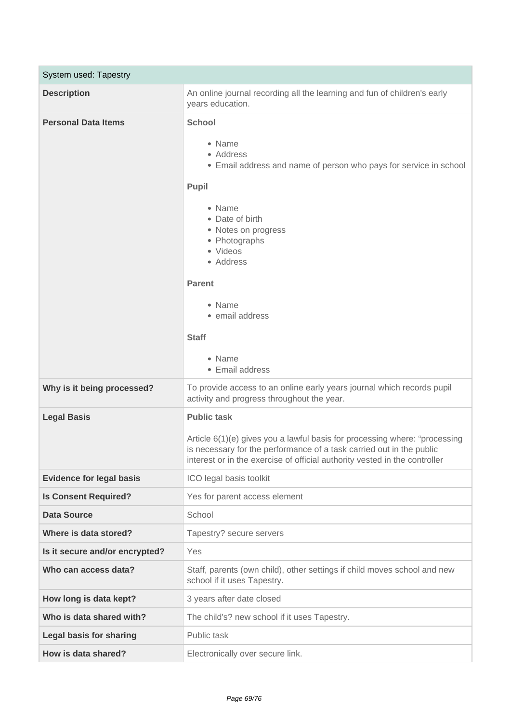| System used: Tapestry           |                                                                                                                                                                                                                                                                                                             |
|---------------------------------|-------------------------------------------------------------------------------------------------------------------------------------------------------------------------------------------------------------------------------------------------------------------------------------------------------------|
| <b>Description</b>              | An online journal recording all the learning and fun of children's early<br>years education.                                                                                                                                                                                                                |
| <b>Personal Data Items</b>      | <b>School</b><br>• Name<br>• Address<br>• Email address and name of person who pays for service in school<br>Pupil<br>• Name<br>• Date of birth<br>• Notes on progress<br>• Photographs<br>• Videos<br>• Address<br><b>Parent</b><br>• Name<br>• email address<br><b>Staff</b><br>• Name<br>• Email address |
| Why is it being processed?      | To provide access to an online early years journal which records pupil<br>activity and progress throughout the year.                                                                                                                                                                                        |
| <b>Legal Basis</b>              | <b>Public task</b><br>Article 6(1)(e) gives you a lawful basis for processing where: "processing<br>is necessary for the performance of a task carried out in the public<br>interest or in the exercise of official authority vested in the controller                                                      |
| <b>Evidence for legal basis</b> | ICO legal basis toolkit                                                                                                                                                                                                                                                                                     |
| <b>Is Consent Required?</b>     | Yes for parent access element                                                                                                                                                                                                                                                                               |
| <b>Data Source</b>              | School                                                                                                                                                                                                                                                                                                      |
| Where is data stored?           | Tapestry? secure servers                                                                                                                                                                                                                                                                                    |
| Is it secure and/or encrypted?  | Yes                                                                                                                                                                                                                                                                                                         |
| Who can access data?            | Staff, parents (own child), other settings if child moves school and new<br>school if it uses Tapestry.                                                                                                                                                                                                     |
| How long is data kept?          | 3 years after date closed                                                                                                                                                                                                                                                                                   |
| Who is data shared with?        | The child's? new school if it uses Tapestry.                                                                                                                                                                                                                                                                |
| <b>Legal basis for sharing</b>  | Public task                                                                                                                                                                                                                                                                                                 |
| How is data shared?             | Electronically over secure link.                                                                                                                                                                                                                                                                            |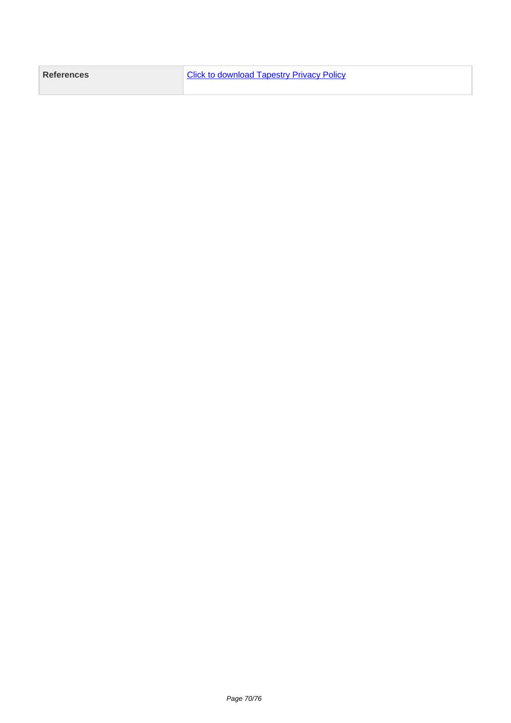| References | <b>4 Click to download Tapestry Privacy Policy</b> |
|------------|----------------------------------------------------|
|            |                                                    |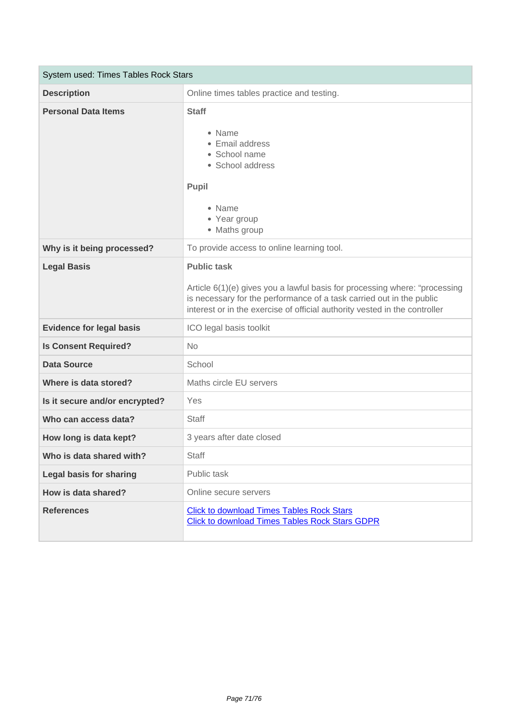| System used: Times Tables Rock Stars |                                                                                                                                                                                                                                                        |
|--------------------------------------|--------------------------------------------------------------------------------------------------------------------------------------------------------------------------------------------------------------------------------------------------------|
| <b>Description</b>                   | Online times tables practice and testing.                                                                                                                                                                                                              |
| <b>Personal Data Items</b>           | <b>Staff</b><br>• Name<br>• Email address<br>• School name<br>• School address<br>Pupil<br>• Name<br>• Year group<br>• Maths group                                                                                                                     |
| Why is it being processed?           | To provide access to online learning tool.                                                                                                                                                                                                             |
| <b>Legal Basis</b>                   | <b>Public task</b><br>Article 6(1)(e) gives you a lawful basis for processing where: "processing<br>is necessary for the performance of a task carried out in the public<br>interest or in the exercise of official authority vested in the controller |
| <b>Evidence for legal basis</b>      | ICO legal basis toolkit                                                                                                                                                                                                                                |
| <b>Is Consent Required?</b>          | <b>No</b>                                                                                                                                                                                                                                              |
| <b>Data Source</b>                   | School                                                                                                                                                                                                                                                 |
| Where is data stored?                | Maths circle EU servers                                                                                                                                                                                                                                |
| Is it secure and/or encrypted?       | Yes                                                                                                                                                                                                                                                    |
| Who can access data?                 | <b>Staff</b>                                                                                                                                                                                                                                           |
| How long is data kept?               | 3 years after date closed                                                                                                                                                                                                                              |
| Who is data shared with?             | <b>Staff</b>                                                                                                                                                                                                                                           |
| <b>Legal basis for sharing</b>       | Public task                                                                                                                                                                                                                                            |
| How is data shared?                  | Online secure servers                                                                                                                                                                                                                                  |
| <b>References</b>                    | <b>Click to download Times Tables Rock Stars</b><br><b>Click to download Times Tables Rock Stars GDPR</b>                                                                                                                                              |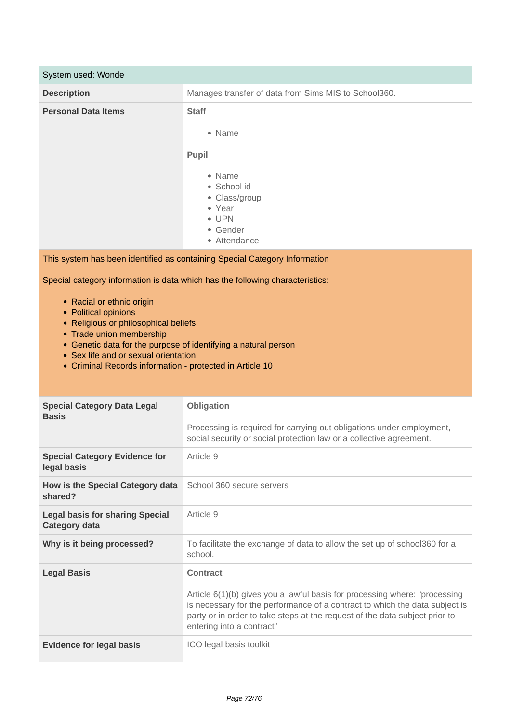| System used: Wonde                                                                                                                                                                                                                                                                                                                                                           |                                                                                                                                                                                                                                                                                          |
|------------------------------------------------------------------------------------------------------------------------------------------------------------------------------------------------------------------------------------------------------------------------------------------------------------------------------------------------------------------------------|------------------------------------------------------------------------------------------------------------------------------------------------------------------------------------------------------------------------------------------------------------------------------------------|
| <b>Description</b>                                                                                                                                                                                                                                                                                                                                                           | Manages transfer of data from Sims MIS to School360.                                                                                                                                                                                                                                     |
| <b>Personal Data Items</b>                                                                                                                                                                                                                                                                                                                                                   | <b>Staff</b><br>• Name<br>Pupil<br>• Name<br>• School id<br>• Class/group<br>• Year<br>• UPN<br>• Gender<br>• Attendance                                                                                                                                                                 |
|                                                                                                                                                                                                                                                                                                                                                                              | This system has been identified as containing Special Category Information                                                                                                                                                                                                               |
| Special category information is data which has the following characteristics:<br>• Racial or ethnic origin<br>• Political opinions<br>• Religious or philosophical beliefs<br>• Trade union membership<br>• Genetic data for the purpose of identifying a natural person<br>• Sex life and or sexual orientation<br>• Criminal Records information - protected in Article 10 |                                                                                                                                                                                                                                                                                          |
| <b>Special Category Data Legal</b><br><b>Basis</b>                                                                                                                                                                                                                                                                                                                           | Obligation<br>Processing is required for carrying out obligations under employment,<br>social security or social protection law or a collective agreement.                                                                                                                               |
| <b>Special Category Evidence for</b><br>legal basis                                                                                                                                                                                                                                                                                                                          | Article 9                                                                                                                                                                                                                                                                                |
| How is the Special Category data<br>shared?                                                                                                                                                                                                                                                                                                                                  | School 360 secure servers                                                                                                                                                                                                                                                                |
| <b>Legal basis for sharing Special</b><br><b>Category data</b>                                                                                                                                                                                                                                                                                                               | Article 9                                                                                                                                                                                                                                                                                |
| Why is it being processed?                                                                                                                                                                                                                                                                                                                                                   | To facilitate the exchange of data to allow the set up of school360 for a<br>school.                                                                                                                                                                                                     |
| <b>Legal Basis</b>                                                                                                                                                                                                                                                                                                                                                           | <b>Contract</b><br>Article 6(1)(b) gives you a lawful basis for processing where: "processing<br>is necessary for the performance of a contract to which the data subject is<br>party or in order to take steps at the request of the data subject prior to<br>entering into a contract" |
| <b>Evidence for legal basis</b>                                                                                                                                                                                                                                                                                                                                              | ICO legal basis toolkit                                                                                                                                                                                                                                                                  |
|                                                                                                                                                                                                                                                                                                                                                                              |                                                                                                                                                                                                                                                                                          |

 $\sim$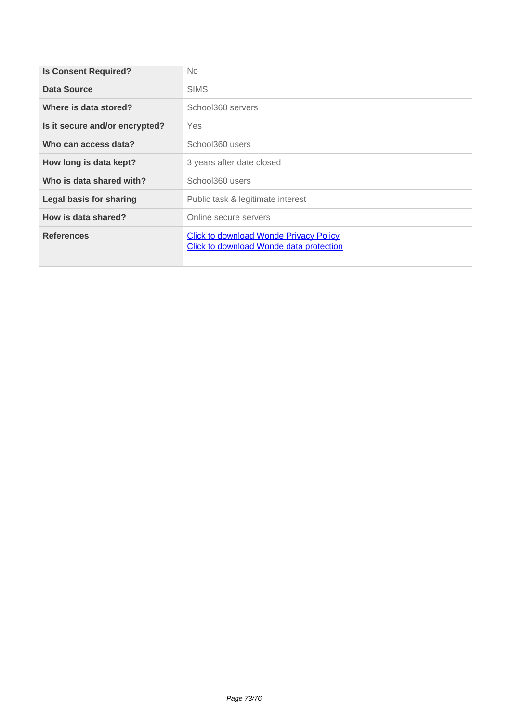| <b>Is Consent Required?</b>    | <b>No</b>                                                                                       |
|--------------------------------|-------------------------------------------------------------------------------------------------|
| Data Source                    | <b>SIMS</b>                                                                                     |
| Where is data stored?          | School360 servers                                                                               |
| Is it secure and/or encrypted? | Yes                                                                                             |
| Who can access data?           | School360 users                                                                                 |
| How long is data kept?         | 3 years after date closed                                                                       |
| Who is data shared with?       | School360 users                                                                                 |
| <b>Legal basis for sharing</b> | Public task & legitimate interest                                                               |
| How is data shared?            | Online secure servers                                                                           |
| <b>References</b>              | <b>Click to download Wonde Privacy Policy</b><br><b>Click to download Wonde data protection</b> |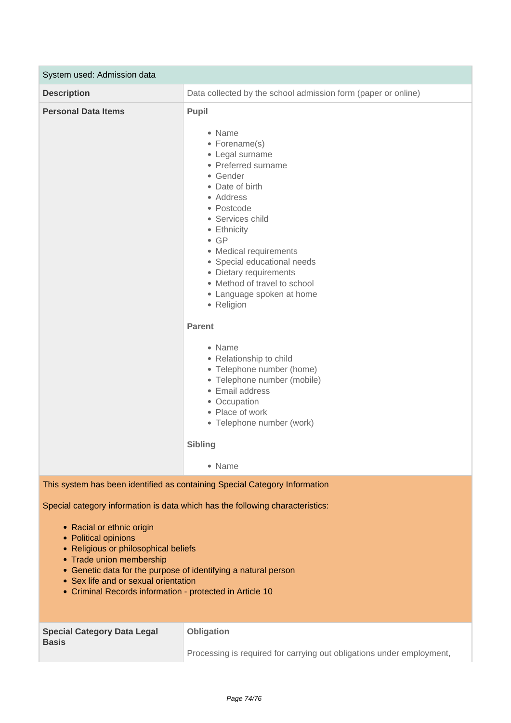| System used: Admission data                                                                                                                                                                            |                                                                                                                                                                                                                                                                                                                                                              |
|--------------------------------------------------------------------------------------------------------------------------------------------------------------------------------------------------------|--------------------------------------------------------------------------------------------------------------------------------------------------------------------------------------------------------------------------------------------------------------------------------------------------------------------------------------------------------------|
| <b>Description</b>                                                                                                                                                                                     | Data collected by the school admission form (paper or online)                                                                                                                                                                                                                                                                                                |
| <b>Personal Data Items</b>                                                                                                                                                                             | <b>Pupil</b><br>• Name<br>• Forename(s)<br>• Legal surname<br>• Preferred surname<br>• Gender<br>• Date of birth<br>• Address<br>• Postcode<br>• Services child<br>• Ethnicity<br>$\bullet$ GP<br>• Medical requirements<br>• Special educational needs<br>• Dietary requirements<br>• Method of travel to school<br>• Language spoken at home<br>• Religion |
|                                                                                                                                                                                                        | <b>Parent</b><br>• Name<br>• Relationship to child<br>• Telephone number (home)<br>• Telephone number (mobile)<br>• Email address<br>• Occupation<br>• Place of work<br>• Telephone number (work)<br><b>Sibling</b><br>• Name                                                                                                                                |
| This system has been identified as containing Special Category Information                                                                                                                             |                                                                                                                                                                                                                                                                                                                                                              |
| Special category information is data which has the following characteristics:<br>• Racial or ethnic origin<br>• Political opinions<br>• Religious or philosophical beliefs<br>• Trade union membership |                                                                                                                                                                                                                                                                                                                                                              |

- Genetic data for the purpose of identifying a natural person
- Sex life and or sexual orientation
- Criminal Records information protected in Article 10

| <b>Special Category Data Legal</b><br><b>Basis</b> | <b>Obligation</b>                                                     |
|----------------------------------------------------|-----------------------------------------------------------------------|
|                                                    | Processing is required for carrying out obligations under employment, |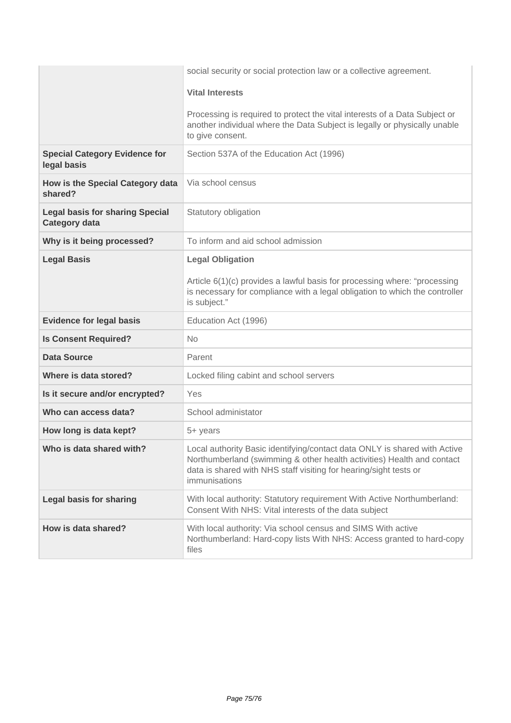|                                                                | social security or social protection law or a collective agreement.                                                                                                                                                                       |
|----------------------------------------------------------------|-------------------------------------------------------------------------------------------------------------------------------------------------------------------------------------------------------------------------------------------|
|                                                                | <b>Vital Interests</b>                                                                                                                                                                                                                    |
|                                                                | Processing is required to protect the vital interests of a Data Subject or<br>another individual where the Data Subject is legally or physically unable<br>to give consent.                                                               |
| <b>Special Category Evidence for</b><br>legal basis            | Section 537A of the Education Act (1996)                                                                                                                                                                                                  |
| How is the Special Category data<br>shared?                    | Via school census                                                                                                                                                                                                                         |
| <b>Legal basis for sharing Special</b><br><b>Category data</b> | Statutory obligation                                                                                                                                                                                                                      |
| Why is it being processed?                                     | To inform and aid school admission                                                                                                                                                                                                        |
| <b>Legal Basis</b>                                             | <b>Legal Obligation</b>                                                                                                                                                                                                                   |
|                                                                | Article 6(1)(c) provides a lawful basis for processing where: "processing<br>is necessary for compliance with a legal obligation to which the controller<br>is subject."                                                                  |
| <b>Evidence for legal basis</b>                                | Education Act (1996)                                                                                                                                                                                                                      |
| <b>Is Consent Required?</b>                                    | No                                                                                                                                                                                                                                        |
| <b>Data Source</b>                                             | Parent                                                                                                                                                                                                                                    |
| Where is data stored?                                          | Locked filing cabint and school servers                                                                                                                                                                                                   |
| Is it secure and/or encrypted?                                 | Yes                                                                                                                                                                                                                                       |
| Who can access data?                                           | School administator                                                                                                                                                                                                                       |
| How long is data kept?                                         | 5+ years                                                                                                                                                                                                                                  |
| Who is data shared with?                                       | Local authority Basic identifying/contact data ONLY is shared with Active<br>Northumberland (swimming & other health activities) Health and contact<br>data is shared with NHS staff visiting for hearing/sight tests or<br>immunisations |
| <b>Legal basis for sharing</b>                                 | With local authority: Statutory requirement With Active Northumberland:<br>Consent With NHS: Vital interests of the data subject                                                                                                          |
| How is data shared?                                            | With local authority: Via school census and SIMS With active<br>Northumberland: Hard-copy lists With NHS: Access granted to hard-copy<br>files                                                                                            |